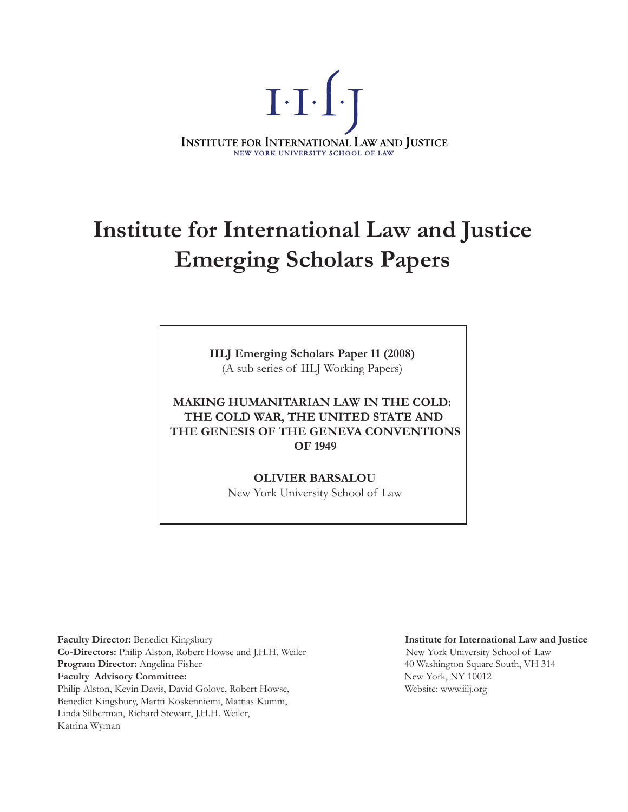

# **Institute for International Law and Justice Emerging Scholars Papers**

**IILJ Emerging Scholars Paper 11 (2008)** (A sub series of IILJ Working Papers)

**MAKING HUMANITARIAN LAW IN THE COLD: THE COLD WAR, THE UNITED STATE AND THE GENESIS OF THE GENEVA CONVENTIONS OF 1949**

> **OLIVIER BARSALOU** New York University School of Law

**Faculty Director:** Benedict Kingsbury **Institute for International Law and Justice Co-Directors:** Philip Alston, Robert Howse and J.H.H. Weiler New York University School of Law **Program Director:** Angelina Fisher **1988 Program Director:** Angelina Fisher **40 Washington Square South, VH** 314 **Faculty Advisory Committee:** New York, NY 10012 Philip Alston, Kevin Davis, David Golove, Robert Howse, Website: www.iilj.org Benedict Kingsbury, Martti Koskenniemi, Mattias Kumm, Linda Silberman, Richard Stewart, J.H.H. Weiler, Katrina Wyman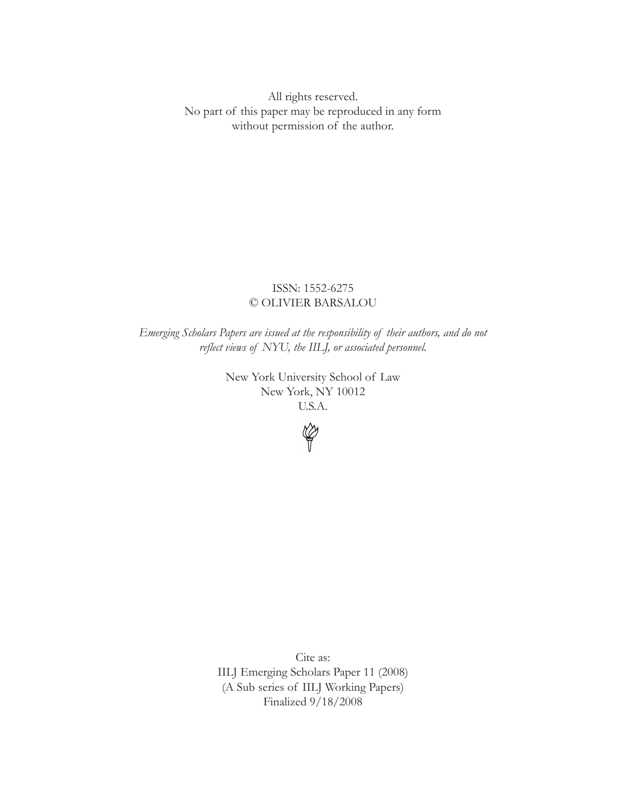All rights reserved. No part of this paper may be reproduced in any form without permission of the author.

## ISSN: 1552-6275 © OLIVIER BARSALOU

*Emerging Scholars Papers are issued at the responsibility of their authors, and do not reflect views of NYU, the IILJ, or associated personnel.* 

> New York University School of Law New York, NY 10012 U.S.A.



Cite as: IILJ Emerging Scholars Paper 11 (2008) (A Sub series of IILJ Working Papers) Finalized 9/18/2008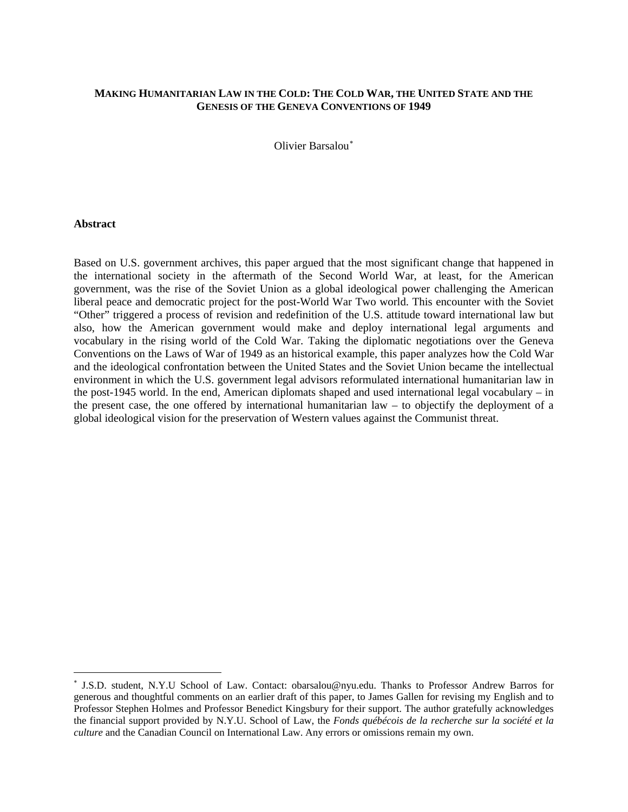## **MAKING HUMANITARIAN LAW IN THE COLD: THE COLD WAR, THE UNITED STATE AND THE GENESIS OF THE GENEVA CONVENTIONS OF 1949**

Olivier Barsalou

#### **Abstract**

 $\overline{a}$ 

Based on U.S. government archives, this paper argued that the most significant change that happened in the international society in the aftermath of the Second World War, at least, for the American government, was the rise of the Soviet Union as a global ideological power challenging the American liberal peace and democratic project for the post-World War Two world. This encounter with the Soviet "Other" triggered a process of revision and redefinition of the U.S. attitude toward international law but also, how the American government would make and deploy international legal arguments and vocabulary in the rising world of the Cold War. Taking the diplomatic negotiations over the Geneva Conventions on the Laws of War of 1949 as an historical example, this paper analyzes how the Cold War and the ideological confrontation between the United States and the Soviet Union became the intellectual environment in which the U.S. government legal advisors reformulated international humanitarian law in the post-1945 world. In the end, American diplomats shaped and used international legal vocabulary – in the present case, the one offered by international humanitarian law – to objectify the deployment of a global ideological vision for the preservation of Western values against the Communist threat.

<span id="page-2-0"></span> J.S.D. student, N.Y.U School of Law. Contact: obarsalou@nyu.edu. Thanks to Professor Andrew Barros for generous and thoughtful comments on an earlier draft of this paper, to James Gallen for revising my English and to Professor Stephen Holmes and Professor Benedict Kingsbury for their support. The author gratefully acknowledges the financial support provided by N.Y.U. School of Law, the *Fonds québécois de la recherche sur la société et la culture* and the Canadian Council on International Law. Any errors or omissions remain my own.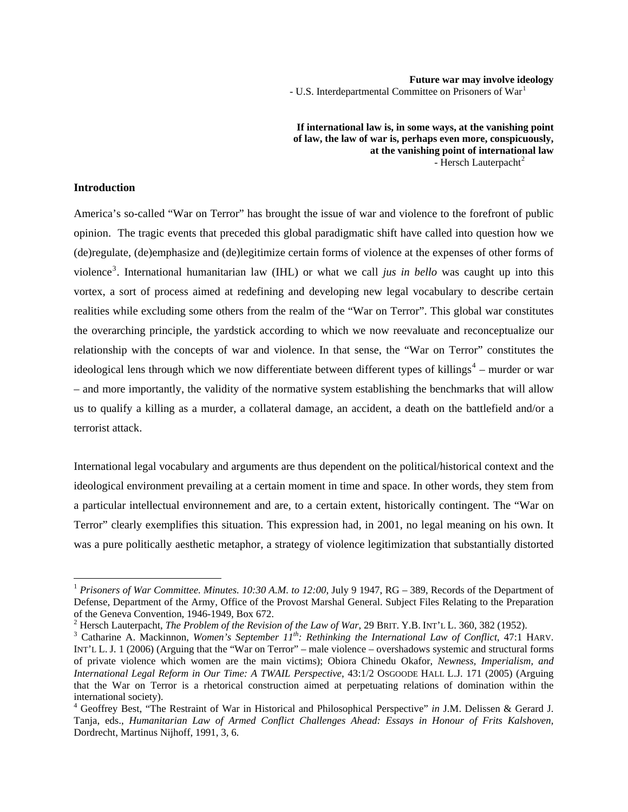#### **Future war may involve ideology**

- U.S. Interdepartmental Committee on Prisoners of War<sup>[1](#page-3-0)</sup>

**If international law is, in some ways, at the vanishing point of law, the law of war is, perhaps even more, conspicuously, at the vanishing point of international law** - Hersch Lauterpacht<sup>[2](#page-3-1)</sup>

## **Introduction**

 $\overline{a}$ 

America's so-called "War on Terror" has brought the issue of war and violence to the forefront of public opinion. The tragic events that preceded this global paradigmatic shift have called into question how we (de)regulate, (de)emphasize and (de)legitimize certain forms of violence at the expenses of other forms of violence[3](#page-3-2) . International humanitarian law (IHL) or what we call *jus in bello* was caught up into this vortex, a sort of process aimed at redefining and developing new legal vocabulary to describe certain realities while excluding some others from the realm of the "War on Terror". This global war constitutes the overarching principle, the yardstick according to which we now reevaluate and reconceptualize our relationship with the concepts of war and violence. In that sense, the "War on Terror" constitutes the ideological lens through which we now differentiate between different types of killings<sup>[4](#page-3-3)</sup> – murder or war – and more importantly, the validity of the normative system establishing the benchmarks that will allow us to qualify a killing as a murder, a collateral damage, an accident, a death on the battlefield and/or a terrorist attack.

International legal vocabulary and arguments are thus dependent on the political/historical context and the ideological environment prevailing at a certain moment in time and space. In other words, they stem from a particular intellectual environnement and are, to a certain extent, historically contingent. The "War on Terror" clearly exemplifies this situation. This expression had, in 2001, no legal meaning on his own. It was a pure politically aesthetic metaphor, a strategy of violence legitimization that substantially distorted

<span id="page-3-0"></span><sup>&</sup>lt;sup>1</sup> Prisoners of War Committee. Minutes. 10:30 A.M. to 12:00, July 9 1947, RG – 389, Records of the Department of Defense, Department of the Army, Office of the Provost Marshal General. Subject Files Relating to the Preparation of the Geneva Convention, 1946-1949, Box 672.

<sup>&</sup>lt;sup>2</sup> Hersch Lauterpacht, *The Problem of the Revision of the Law of War*, 29 BRIT. Y.B. INT'L L. 360, 382 (1952).

<span id="page-3-2"></span><span id="page-3-1"></span>Catharine A. Mackinnon, *Women's September 11th: Rethinking the International Law of Conflict*, 47:1 HARV. INT'L L. J. 1 (2006) (Arguing that the "War on Terror" – male violence – overshadows systemic and structural forms of private violence which women are the main victims); Obiora Chinedu Okafor, *Newness, Imperialism, and International Legal Reform in Our Time: A TWAIL Perspective*, 43:12 OSGOODE HALL L.J. 171 (2005) (Arguing that the War on Terror is a rhetorical construction aimed at perpetuating relations of domination within the international society).

<span id="page-3-3"></span><sup>4</sup> Geoffrey Best, "The Restraint of War in Historical and Philosophical Perspective" *in* J.M. Delissen & Gerard J. Tanja, eds., *Humanitarian Law of Armed Conflict Challenges Ahead: Essays in Honour of Frits Kalshoven*, Dordrecht, Martinus Nijhoff, 1991, 3, 6.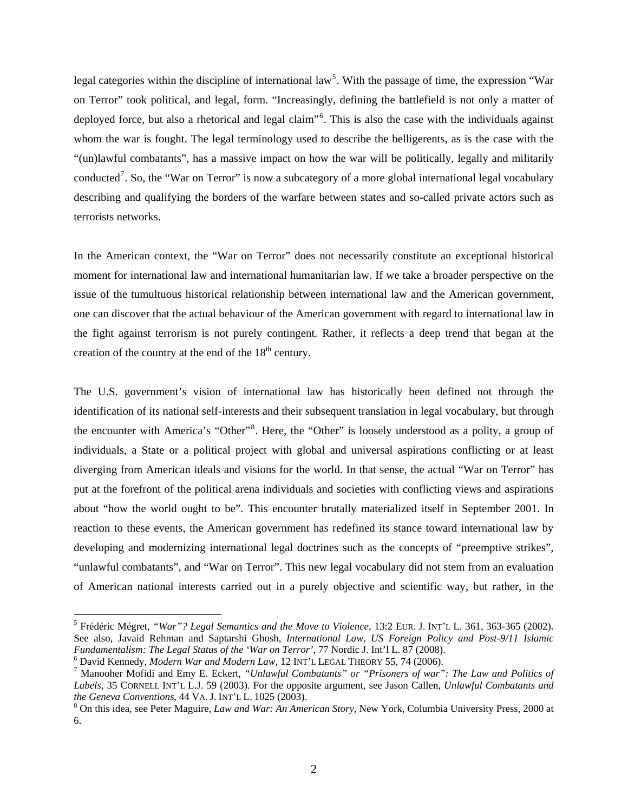legal categories within the discipline of international law<sup>[5](#page-4-0)</sup>. With the passage of time, the expression "War on Terror" took political, and legal, form. "Increasingly, defining the battlefield is not only a matter of deployed force, but also a rhetorical and legal claim"<sup>[6](#page-4-1)</sup>. This is also the case with the individuals against whom the war is fought. The legal terminology used to describe the belligerents, as is the case with the "(un)lawful combatants", has a massive impact on how the war will be politically, legally and militarily conducted<sup>[7](#page-4-2)</sup>. So, the "War on Terror" is now a subcategory of a more global international legal vocabulary describing and qualifying the borders of the warfare between states and so-called private actors such as terrorists networks.

In the American context, the "War on Terror" does not necessarily constitute an exceptional historical moment for international law and international humanitarian law. If we take a broader perspective on the issue of the tumultuous historical relationship between international law and the American government, one can discover that the actual behaviour of the American government with regard to international law in the fight against terrorism is not purely contingent. Rather, it reflects a deep trend that began at the creation of the country at the end of the  $18<sup>th</sup>$  century.

The U.S. government's vision of international law has historically been defined not through the identification of its national self-interests and their subsequent translation in legal vocabulary, but through the encounter with America's "Other"<sup>[8](#page-4-3)</sup>. Here, the "Other" is loosely understood as a polity, a group of individuals, a State or a political project with global and universal aspirations conflicting or at least diverging from American ideals and visions for the world. In that sense, the actual "War on Terror" has put at the forefront of the political arena individuals and societies with conflicting views and aspirations about "how the world ought to be". This encounter brutally materialized itself in September 2001. In reaction to these events, the American government has redefined its stance toward international law by developing and modernizing international legal doctrines such as the concepts of "preemptive strikes", "unlawful combatants", and "War on Terror". This new legal vocabulary did not stem from an evaluation of American national interests carried out in a purely objective and scientific way, but rather, in the

<span id="page-4-0"></span><sup>5</sup> Frédéric Mégret, *"War"? Legal Semantics and the Move to Violence*, 13:2 EUR. J. INT'L L. 361, 363-365 (2002). See also, Javaid Rehman and Saptarshi Ghosh, *International Law, US Foreign Policy and Post-9/11 Islamic Fundamentalism: The Legal Status of the 'War on Terror'*, 77 Nordic J. Int'l L. 87 (2008). <sup>6</sup>

<span id="page-4-1"></span><sup>&</sup>lt;sup>6</sup> David Kennedy, *Modern War and Modern Law*, 12 INT'L LEGAL THEORY 55, 74 (2006).

<span id="page-4-2"></span>Manooher Mofidi and Emy E. Eckert, *"Unlawful Combatants" or "Prisoners of war": The Law and Politics of Labels*, 35 CORNELL INT'L L.J. 59 (2003). For the opposite argument, see Jason Callen, *Unlawful Combatants and the Geneva Conventions*, 44 VA. J. INT'L L. 1025 (2003). 8

<span id="page-4-3"></span>On this idea, see Peter Maguire, *Law and War: An American Story*, New York, Columbia University Press, 2000 at 6.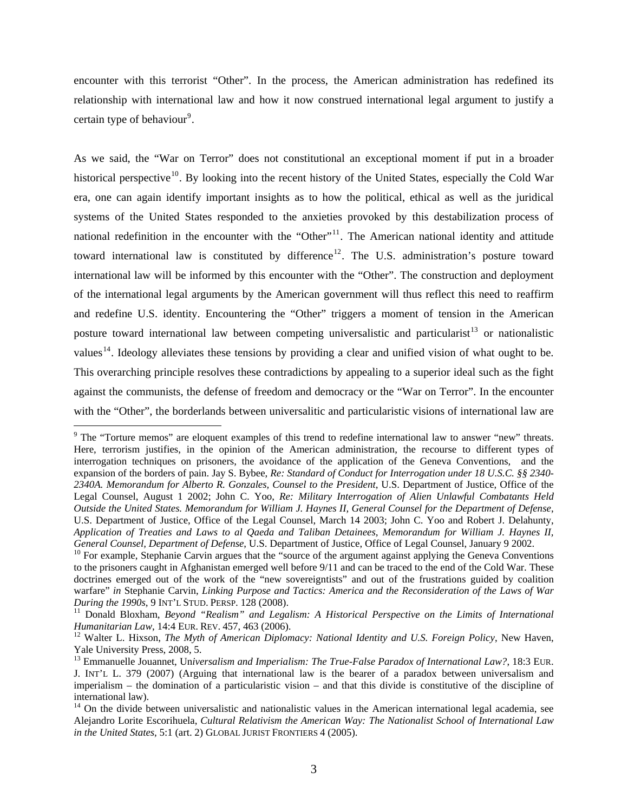encounter with this terrorist "Other". In the process, the American administration has redefined its relationship with international law and how it now construed international legal argument to justify a certain type of behaviour<sup>[9](#page-5-0)</sup>.

As we said, the "War on Terror" does not constitutional an exceptional moment if put in a broader historical perspective<sup>[10](#page-5-1)</sup>. By looking into the recent history of the United States, especially the Cold War era, one can again identify important insights as to how the political, ethical as well as the juridical systems of the United States responded to the anxieties provoked by this destabilization process of national redefinition in the encounter with the "Other"<sup>[11](#page-5-2)</sup>. The American national identity and attitude toward international law is constituted by difference<sup>[12](#page-5-3)</sup>. The U.S. administration's posture toward international law will be informed by this encounter with the "Other". The construction and deployment of the international legal arguments by the American government will thus reflect this need to reaffirm and redefine U.S. identity. Encountering the "Other" triggers a moment of tension in the American posture toward international law between competing universalistic and particularist<sup>[13](#page-5-4)</sup> or nationalistic values<sup>[14](#page-5-5)</sup>. Ideology alleviates these tensions by providing a clear and unified vision of what ought to be. This overarching principle resolves these contradictions by appealing to a superior ideal such as the fight against the communists, the defense of freedom and democracy or the "War on Terror". In the encounter with the "Other", the borderlands between universalitic and particularistic visions of international law are

<span id="page-5-0"></span> $9$  The "Torture memos" are eloquent examples of this trend to redefine international law to answer "new" threats. Here, terrorism justifies, in the opinion of the American administration, the recourse to different types of interrogation techniques on prisoners, the avoidance of the application of the Geneva Conventions, and the expansion of the borders of pain. Jay S. Bybee, *Re: Standard of Conduct for Interrogation under 18 U.S.C. §§ 2340- 2340A. Memorandum for Alberto R. Gonzales, Counsel to the President*, U.S. Department of Justice, Office of the Legal Counsel, August 1 2002; John C. Yoo, *Re: Military Interrogation of Alien Unlawful Combatants Held Outside the United States. Memorandum for William J. Haynes II, General Counsel for the Department of Defense*, U.S. Department of Justice, Office of the Legal Counsel, March 14 2003; John C. Yoo and Robert J. Delahunty, *Application of Treaties and Laws to al Qaeda and Taliban Detainees, Memorandum for William J. Haynes II,*  General Counsel, Department of Defense, U.S. Department of Justice, Office of Legal Counsel, January 9 2002.<br><sup>10</sup> For example, Stephanie Carvin argues that the "source of the argument against applying the Geneva Convention

<span id="page-5-1"></span>to the prisoners caught in Afghanistan emerged well before 9/11 and can be traced to the end of the Cold War. These doctrines emerged out of the work of the "new sovereigntists" and out of the frustrations guided by coalition warfare" *in* Stephanie Carvin, *Linking Purpose and Tactics: America and the Reconsideration of the Laws of War* 

<span id="page-5-2"></span>*During the 1990s*, 9 INT'L STUD. PERSP. 128 (2008).<br><sup>11</sup> Donald Bloxham, *Beyond "Realism" and Legalism: A Historical Perspective on the Limits of International <i>Humanitarian Law*, 14:4 EUR. REV. 457, 463 (2006).

<span id="page-5-3"></span><sup>&</sup>lt;sup>12</sup> Walter L. Hixson, *The Myth of American Diplomacy: National Identity and U.S. Foreign Policy*, New Haven, Yale University Press, 2008, 5.

<span id="page-5-4"></span><sup>13</sup> Emmanuelle Jouannet, Un*iversalism and Imperialism: The True-False Paradox of International Law?*, 18:3 EUR. J. INT'L L. 379 (2007) (Arguing that international law is the bearer of a paradox between universalism and imperialism – the domination of a particularistic vision – and that this divide is constitutive of the discipline of international law).

<span id="page-5-5"></span><sup>&</sup>lt;sup>14</sup> On the divide between universalistic and nationalistic values in the American international legal academia, see Alejandro Lorite Escorihuela, *Cultural Relativism the American Way: The Nationalist School of International Law in the United States*, 5:1 (art. 2) GLOBAL JURIST FRONTIERS 4 (2005).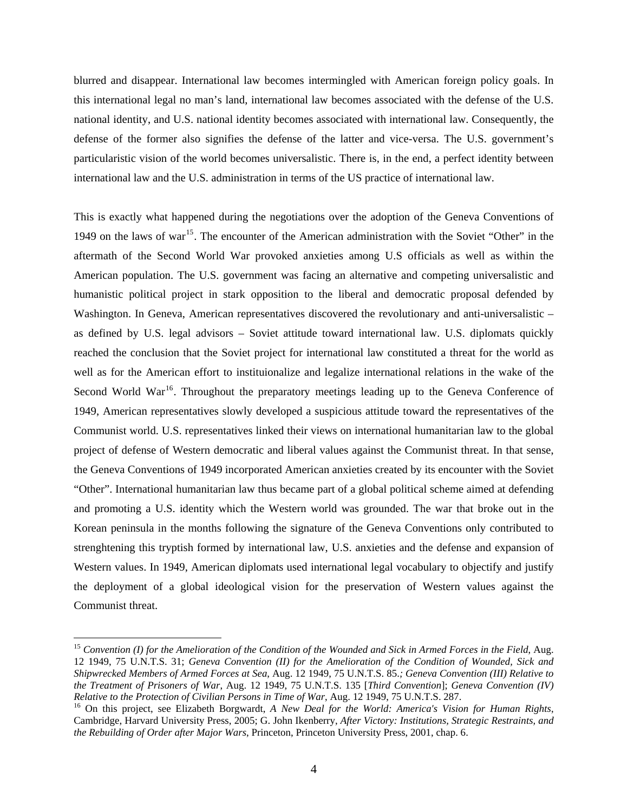blurred and disappear. International law becomes intermingled with American foreign policy goals. In this international legal no man's land, international law becomes associated with the defense of the U.S. national identity, and U.S. national identity becomes associated with international law. Consequently, the defense of the former also signifies the defense of the latter and vice-versa. The U.S. government's particularistic vision of the world becomes universalistic. There is, in the end, a perfect identity between international law and the U.S. administration in terms of the US practice of international law.

This is exactly what happened during the negotiations over the adoption of the Geneva Conventions of 1949 on the laws of war<sup>[15](#page-6-0)</sup>. The encounter of the American administration with the Soviet "Other" in the aftermath of the Second World War provoked anxieties among U.S officials as well as within the American population. The U.S. government was facing an alternative and competing universalistic and humanistic political project in stark opposition to the liberal and democratic proposal defended by Washington. In Geneva, American representatives discovered the revolutionary and anti-universalistic – as defined by U.S. legal advisors – Soviet attitude toward international law. U.S. diplomats quickly reached the conclusion that the Soviet project for international law constituted a threat for the world as well as for the American effort to instituionalize and legalize international relations in the wake of the Second World  $\text{War}^{16}$  $\text{War}^{16}$  $\text{War}^{16}$ . Throughout the preparatory meetings leading up to the Geneva Conference of 1949, American representatives slowly developed a suspicious attitude toward the representatives of the Communist world. U.S. representatives linked their views on international humanitarian law to the global project of defense of Western democratic and liberal values against the Communist threat. In that sense, the Geneva Conventions of 1949 incorporated American anxieties created by its encounter with the Soviet "Other". International humanitarian law thus became part of a global political scheme aimed at defending and promoting a U.S. identity which the Western world was grounded. The war that broke out in the Korean peninsula in the months following the signature of the Geneva Conventions only contributed to strenghtening this tryptish formed by international law, U.S. anxieties and the defense and expansion of Western values. In 1949, American diplomats used international legal vocabulary to objectify and justify the deployment of a global ideological vision for the preservation of Western values against the Communist threat.

<span id="page-6-0"></span><sup>15</sup> *Convention (I) for the Amelioration of the Condition of the Wounded and Sick in Armed Forces in the Field*, Aug. 12 1949, 75 U.N.T.S. 31; *Geneva Convention (II) for the Amelioration of the Condition of Wounded, Sick and Shipwrecked Members of Armed Forces at Sea*, Aug. 12 1949, 75 U.N.T.S. 85.*; Geneva Convention (III) Relative to the Treatment of Prisoners of War*, Aug. 12 1949, 75 U.N.T.S. 135 [*Third Convention*]; *Geneva Convention (IV)* 

<span id="page-6-1"></span><sup>&</sup>lt;sup>16</sup> On this project, see Elizabeth Borgwardt, *A New Deal for the World: America's Vision for Human Rights*, Cambridge, Harvard University Press, 2005; G. John Ikenberry, *After Victory: Institutions, Strategic Restraints, and the Rebuilding of Order after Major Wars*, Princeton, Princeton University Press, 2001, chap. 6.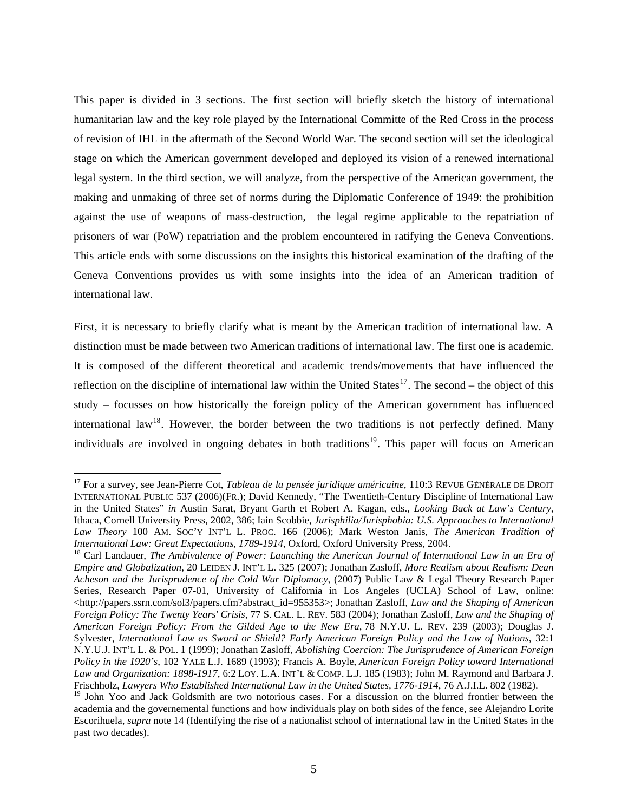This paper is divided in 3 sections. The first section will briefly sketch the history of international humanitarian law and the key role played by the International Committe of the Red Cross in the process of revision of IHL in the aftermath of the Second World War. The second section will set the ideological stage on which the American government developed and deployed its vision of a renewed international legal system. In the third section, we will analyze, from the perspective of the American government, the making and unmaking of three set of norms during the Diplomatic Conference of 1949: the prohibition against the use of weapons of mass-destruction, the legal regime applicable to the repatriation of prisoners of war (PoW) repatriation and the problem encountered in ratifying the Geneva Conventions. This article ends with some discussions on the insights this historical examination of the drafting of the Geneva Conventions provides us with some insights into the idea of an American tradition of international law.

First, it is necessary to briefly clarify what is meant by the American tradition of international law. A distinction must be made between two American traditions of international law. The first one is academic. It is composed of the different theoretical and academic trends/movements that have influenced the reflection on the discipline of international law within the United States $^{17}$  $^{17}$  $^{17}$ . The second – the object of this study – focusses on how historically the foreign policy of the American government has influenced international law<sup>[18](#page-7-1)</sup>. However, the border between the two traditions is not perfectly defined. Many individuals are involved in ongoing debates in both traditions<sup>[19](#page-7-2)</sup>. This paper will focus on American

<span id="page-7-0"></span><sup>&</sup>lt;sup>17</sup> For a survey, see Jean-Pierre Cot, *Tableau de la pensée juridique américaine*, 110:3 REVUE GÉNÉRALE DE DROIT INTERNATIONAL PUBLIC 537 (2006)(FR.); David Kennedy, "The Twentieth-Century Discipline of International Law in the United States" *in* Austin Sarat, Bryant Garth et Robert A. Kagan, eds., *Looking Back at Law's Century*, Ithaca, Cornell University Press, 2002, 386; Iain Scobbie, *Jurisphilia/Jurisphobia: U.S. Approaches to International Law Theory* 100 AM. SOC'Y INT'L L. PROC. 166 (2006); Mark Weston Janis, *The American Tradition of International Law: Great Expectations, 1789-1914, Oxford, Oxford University Press, 2004.* <sup>18</sup> Carl Landauer, *The Ambivalence of Power: Launching the American Journal of International Law in an Era of* 

<span id="page-7-1"></span>*Empire and Globalization*, 20 LEIDEN J. INT'L L. 325 (2007); Jonathan Zasloff, *More Realism about Realism: Dean Acheson and the Jurisprudence of the Cold War Diplomacy*, (2007) Public Law & Legal Theory Research Paper Series, Research Paper 07-01, University of California in Los Angeles (UCLA) School of Law, online:  $\langle$ http://papers.ssrn.com/sol3/papers.cfm?abstract\_id=955353>; Jonathan Zasloff, *Law and the Shaping of American Foreign Policy: The Twenty Years' Crisis*, 77 S. CAL. L. REV. 583 (2004); Jonathan Zasloff, *Law and the Shaping of American Foreign Policy: From the Gilded Age to the New Era*, 78 N.Y.U. L. REV. 239 (2003); Douglas J. Sylvester, *International Law as Sword or Shield? Early American Foreign Policy and the Law of Nations*, 32:1 N.Y.U.J. INT'L L. & POL. 1 (1999); Jonathan Zasloff, *Abolishing Coercion: The Jurisprudence of American Foreign Policy in the 1920's*, 102 YALE L.J. 1689 (1993); Francis A. Boyle, *American Foreign Policy toward International Law and Organization: 1898-1917*, 6:2 LOY. L.A. INT'L & COMP. L.J. 185 (1983); John M. Raymond and Barbara J. Frischholz, *Lawyers Who Established International Law in the United States, 1776-1914*, 76 A.J.I.L. 802 (1982).

<span id="page-7-2"></span><sup>&</sup>lt;sup>19</sup> John Yoo and Jack Goldsmith are two notorious cases. For a discussion on the blurred frontier between the academia and the governemental functions and how individuals play on both sides of the fence, see Alejandro Lorite Escorihuela, *supra* note 14 (Identifying the rise of a nationalist school of international law in the United States in the past two decades).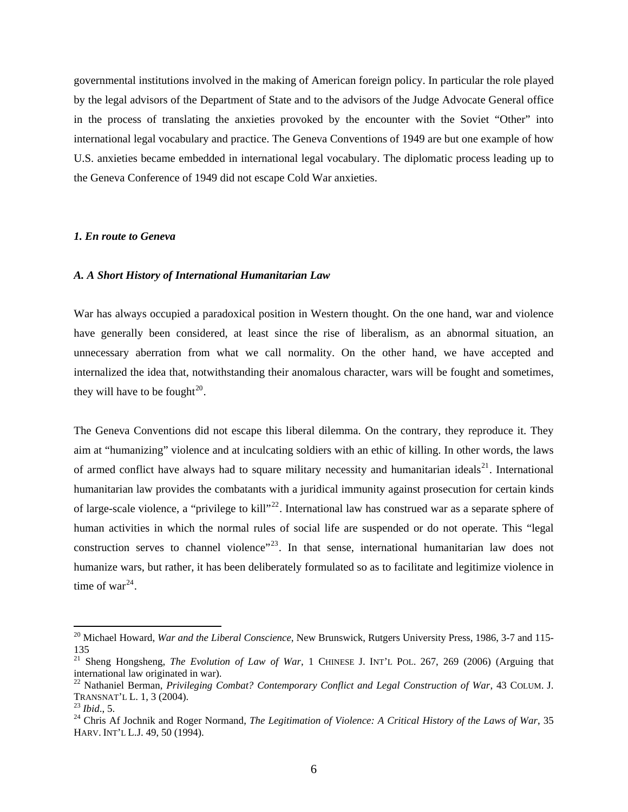governmental institutions involved in the making of American foreign policy. In particular the role played by the legal advisors of the Department of State and to the advisors of the Judge Advocate General office in the process of translating the anxieties provoked by the encounter with the Soviet "Other" into international legal vocabulary and practice. The Geneva Conventions of 1949 are but one example of how U.S. anxieties became embedded in international legal vocabulary. The diplomatic process leading up to the Geneva Conference of 1949 did not escape Cold War anxieties.

#### *1. En route to Geneva*

#### *A. A Short History of International Humanitarian Law*

War has always occupied a paradoxical position in Western thought. On the one hand, war and violence have generally been considered, at least since the rise of liberalism, as an abnormal situation, an unnecessary aberration from what we call normality. On the other hand, we have accepted and internalized the idea that, notwithstanding their anomalous character, wars will be fought and sometimes, they will have to be fought $^{20}$  $^{20}$  $^{20}$ .

The Geneva Conventions did not escape this liberal dilemma. On the contrary, they reproduce it. They aim at "humanizing" violence and at inculcating soldiers with an ethic of killing. In other words, the laws of armed conflict have always had to square military necessity and humanitarian ideals<sup>[21](#page-8-1)</sup>. International humanitarian law provides the combatants with a juridical immunity against prosecution for certain kinds of large-scale violence, a "privilege to kill"[22](#page-8-2). International law has construed war as a separate sphere of human activities in which the normal rules of social life are suspended or do not operate. This "legal construction serves to channel violence"<sup>[23](#page-8-3)</sup>. In that sense, international humanitarian law does not humanize wars, but rather, it has been deliberately formulated so as to facilitate and legitimize violence in time of war $^{24}$  $^{24}$  $^{24}$ .

<span id="page-8-0"></span><sup>20</sup> Michael Howard, *War and the Liberal Conscience*, New Brunswick, Rutgers University Press, 1986, 3-7 and 115- 135

<span id="page-8-1"></span><sup>&</sup>lt;sup>21</sup> Sheng Hongsheng, *The Evolution of Law of War*, 1 CHINESE J. INT'L POL. 267, 269 (2006) (Arguing that international law originated in war).

<span id="page-8-2"></span><sup>22</sup> Nathaniel Berman, *Privileging Combat? Contemporary Conflict and Legal Construction of War*, 43 COLUM. J. TRANSNAT'L L. 1, 3 (2004).<br><sup>23</sup> *Ibid.*, 5.<br><sup>24</sup> Chris Af Jochnik and Roger Normand, *The Legitimation of Violence: A Critical History of the Laws of War*, 35

<span id="page-8-3"></span>

<span id="page-8-4"></span>HARV. INT'L L.J. 49, 50 (1994).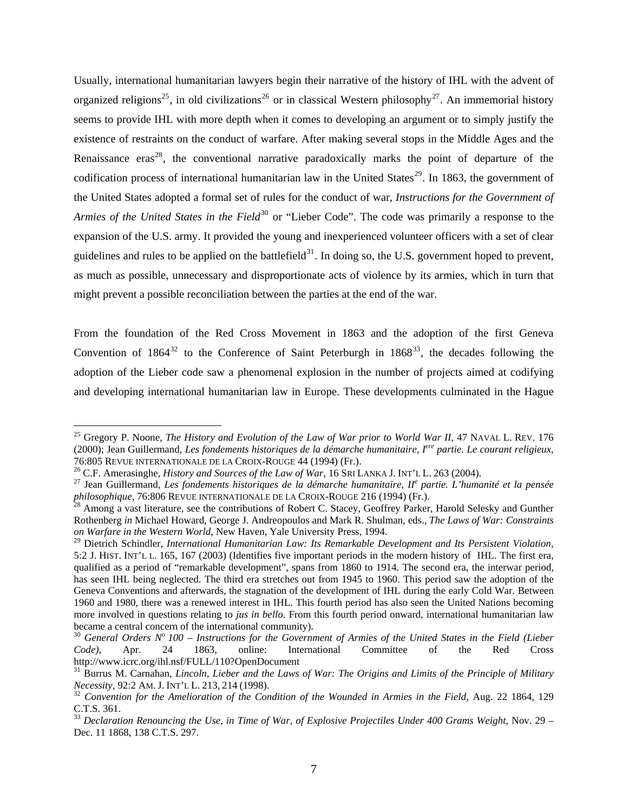Usually, international humanitarian lawyers begin their narrative of the history of IHL with the advent of organized religions<sup>[25](#page-9-0)</sup>, in old civilizations<sup>[26](#page-9-1)</sup> or in classical Western philosophy<sup>[27](#page-9-2)</sup>. An immemorial history seems to provide IHL with more depth when it comes to developing an argument or to simply justify the existence of restraints on the conduct of warfare. After making several stops in the Middle Ages and the Renaissance  $eras^{28}$  $eras^{28}$  $eras^{28}$ , the conventional narrative paradoxically marks the point of departure of the codification process of international humanitarian law in the United States<sup>[29](#page-9-4)</sup>. In 1863, the government of the United States adopted a formal set of rules for the conduct of war, *Instructions for the Government of Armies of the United States in the Field*<sup>[30](#page-9-5)</sup> or "Lieber Code". The code was primarily a response to the expansion of the U.S. army. It provided the young and inexperienced volunteer officers with a set of clear guidelines and rules to be applied on the battlefield $31$ . In doing so, the U.S. government hoped to prevent, as much as possible, unnecessary and disproportionate acts of violence by its armies, which in turn that might prevent a possible reconciliation between the parties at the end of the war.

From the foundation of the Red Cross Movement in 1863 and the adoption of the first Geneva Convention of  $1864^{32}$  $1864^{32}$  $1864^{32}$  to the Conference of Saint Peterburgh in  $1868^{33}$  $1868^{33}$  $1868^{33}$ , the decades following the adoption of the Lieber code saw a phenomenal explosion in the number of projects aimed at codifying and developing international humanitarian law in Europe. These developments culminated in the Hague

<span id="page-9-0"></span><sup>&</sup>lt;sup>25</sup> Gregory P. Noone, *The History and Evolution of the Law of War prior to World War II*, 47 NAVAL L. REV. 176 (2000); Jean Guillermand, *Les fondements historiques de la démarche humanitaire, Iere partie. Le courant religieux*, 76:805 REVUE INTERNATIONALE DE LA CROIX-ROUGE 44 (1994) (Fr.).<br><sup>26</sup> C.F. Amerasinghe, *History and Sources of the Law of War*, 16 SRI LANKA J. INT'L L. 263 (2004).<br><sup>27</sup> Jean Guillermand, *Les fondements historiques de la d* 

<span id="page-9-1"></span>

<span id="page-9-2"></span>*philosophique*, 76:806 REVUE INTERNATIONALE DE LA CROIX-ROUGE 216 (1994) (Fr.).<br><sup>28</sup> Among a vast literature, see the contributions of Robert C. Stacey, Geoffrey Parker, Harold Selesky and Gunther

<span id="page-9-3"></span>Rothenberg *in* Michael Howard, George J. Andreopoulos and Mark R. Shulman, eds., *The Laws of War: Constraints on Warfare in the Western World*, New Haven, Yale University Press, 1994.

<span id="page-9-4"></span><sup>29</sup> Dietrich Schindler, *International Humanitarian Law: Its Remarkable Development and Its Persistent Violation*, 5:2 J. HIST. INT'L L. 165, 167 (2003) (Identifies five important periods in the modern history of IHL. The first era, qualified as a period of "remarkable development", spans from 1860 to 1914. The second era, the interwar period, has seen IHL being neglected. The third era stretches out from 1945 to 1960. This period saw the adoption of the Geneva Conventions and afterwards, the stagnation of the development of IHL during the early Cold War. Between 1960 and 1980, there was a renewed interest in IHL. This fourth period has also seen the United Nations becoming more involved in questions relating to *jus in bello*. From this fourth period onward, international humanitarian law became a central concern of the international community).<br><sup>30</sup> *General Orders N° 100 – Instructions for the Government of Armies of the United States in the Field (Lieber* 

<span id="page-9-5"></span>*Code)*, Apr. 24 1863, online: International Committee of the Red Cross http://www.icrc.org/ihl.nsf/FULL/110?OpenDocument

<span id="page-9-6"></span><sup>&</sup>lt;sup>31</sup> Burrus M. Carnahan, *Lincoln, Lieber and the Laws of War: The Origins and Limits of the Principle of Military Necessity, 92:2 AM. J. INT'L L. 213, 214 (1998).* 

<span id="page-9-7"></span><sup>&</sup>lt;sup>32</sup> Convention for the Amelioration of the Condition of the Wounded in Armies in the Field, Aug. 22 1864, 129 C.T.S. 361.

<span id="page-9-8"></span><sup>&</sup>lt;sup>33</sup> Declaration Renouncing the Use, in Time of War, of Explosive Projectiles Under 400 Grams Weight, Nov. 29 – Dec. 11 1868, 138 C.T.S. 297.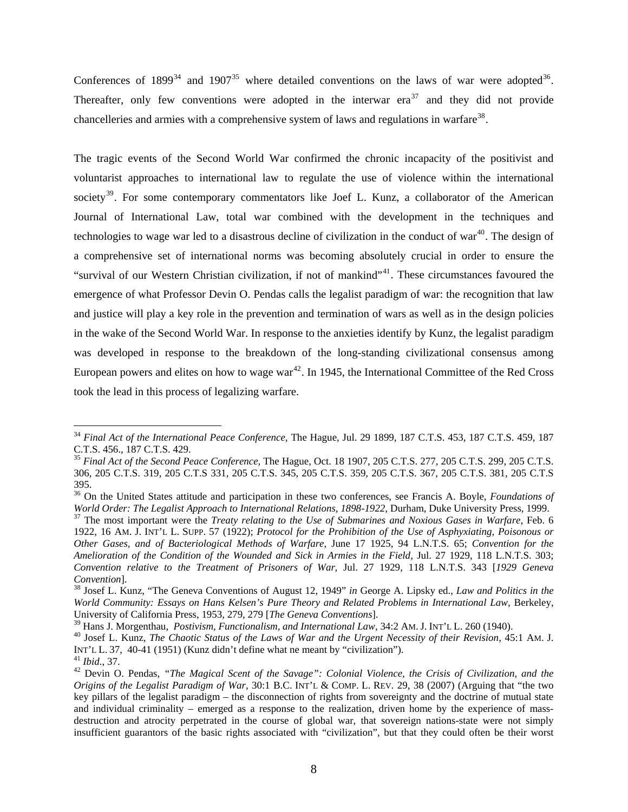Conferences of  $1899^{34}$  $1899^{34}$  $1899^{34}$  and  $1907^{35}$  $1907^{35}$  $1907^{35}$  where detailed conventions on the laws of war were adopted<sup>[36](#page-10-2)</sup>. Thereafter, only few conventions were adopted in the interwar  $era^{37}$  $era^{37}$  $era^{37}$  and they did not provide chancelleries and armies with a comprehensive system of laws and regulations in warfare<sup>[38](#page-10-4)</sup>.

The tragic events of the Second World War confirmed the chronic incapacity of the positivist and voluntarist approaches to international law to regulate the use of violence within the international society<sup>[39](#page-10-5)</sup>. For some contemporary commentators like Joef L. Kunz, a collaborator of the American Journal of International Law, total war combined with the development in the techniques and technologies to wage war led to a disastrous decline of civilization in the conduct of war<sup>[40](#page-10-6)</sup>. The design of a comprehensive set of international norms was becoming absolutely crucial in order to ensure the "survival of our Western Christian civilization, if not of mankind"<sup>[41](#page-10-7)</sup>. These circumstances favoured the emergence of what Professor Devin O. Pendas calls the legalist paradigm of war: the recognition that law and justice will play a key role in the prevention and termination of wars as well as in the design policies in the wake of the Second World War. In response to the anxieties identify by Kunz, the legalist paradigm was developed in response to the breakdown of the long-standing civilizational consensus among European powers and elites on how to wage war<sup>[42](#page-10-8)</sup>. In 1945, the International Committee of the Red Cross took the lead in this process of legalizing warfare.

<span id="page-10-0"></span><sup>34</sup> *Final Act of the International Peace Conference*, The Hague, Jul. 29 1899, 187 C.T.S. 453, 187 C.T.S. 459, 187 C.T.S. 456., 187 C.T.S. 429.

<span id="page-10-1"></span><sup>35</sup> *Final Act of the Second Peace Conference*, The Hague, Oct. 18 1907, 205 C.T.S. 277, 205 C.T.S. 299, 205 C.T.S. 306, 205 C.T.S. 319, 205 C.T.S 331, 205 C.T.S. 345, 205 C.T.S. 359, 205 C.T.S. 367, 205 C.T.S. 381, 205 C.T.S 395.

<span id="page-10-2"></span><sup>36</sup> On the United States attitude and participation in these two conferences, see Francis A. Boyle, *Foundations of*  World Order: The Legalist Approach to International Relations, 1898-1922, Durham, Duke University Press, 1999.<br><sup>37</sup> The most important were the *Treaty relating to the Use of Submarines and Noxious Gases in Warfare*, Feb.

<span id="page-10-3"></span><sup>1922, 16</sup> AM. J. INT'L L. SUPP. 57 (1922); *Protocol for the Prohibition of the Use of Asphyxiating, Poisonous or Other Gases, and of Bacteriological Methods of Warfare*, June 17 1925, 94 L.N.T.S. 65; *Convention for the Amelioration of the Condition of the Wounded and Sick in Armies in the Field*, Jul. 27 1929, 118 L.N.T.S. 303; *Convention relative to the Treatment of Prisoners of War*, Jul. 27 1929, 118 L.N.T.S. 343 [*1929 Geneva Convention*]. 38 Josef L. Kunz, "The Geneva Conventions of August 12, 1949" *in* George A. Lipsky ed., *Law and Politics in the* 

<span id="page-10-4"></span>*World Community: Essays on Hans Kelsen's Pure Theory and Related Problems in International Law*, Berkeley, University of California Press, 1953, 279, 279 [*The Geneva Conventions*].

<span id="page-10-6"></span><span id="page-10-5"></span><sup>&</sup>lt;sup>40</sup> Josef L. Kunz, The Chaotic Status of the Laws of War and the Urgent Necessity of their Revision, 45:1 AM. J. INT'L L. 37, 40-41 (1951) (Kunz didn't define what ne meant by "civilization").<br><sup>41</sup> *Ibid.*, 37.<br><sup>42</sup> Devin O. Pendas, *"The Magical Scent of the Savage": Colonial Violence, the Crisis of Civilization, and the* 

<span id="page-10-7"></span>

<span id="page-10-8"></span>*Origins of the Legalist Paradigm of War*, 30:1 B.C. INT'L & COMP. L. REV. 29, 38 (2007) (Arguing that "the two key pillars of the legalist paradigm – the disconnection of rights from sovereignty and the doctrine of mutual state and individual criminality – emerged as a response to the realization, driven home by the experience of massdestruction and atrocity perpetrated in the course of global war, that sovereign nations-state were not simply insufficient guarantors of the basic rights associated with "civilization", but that they could often be their worst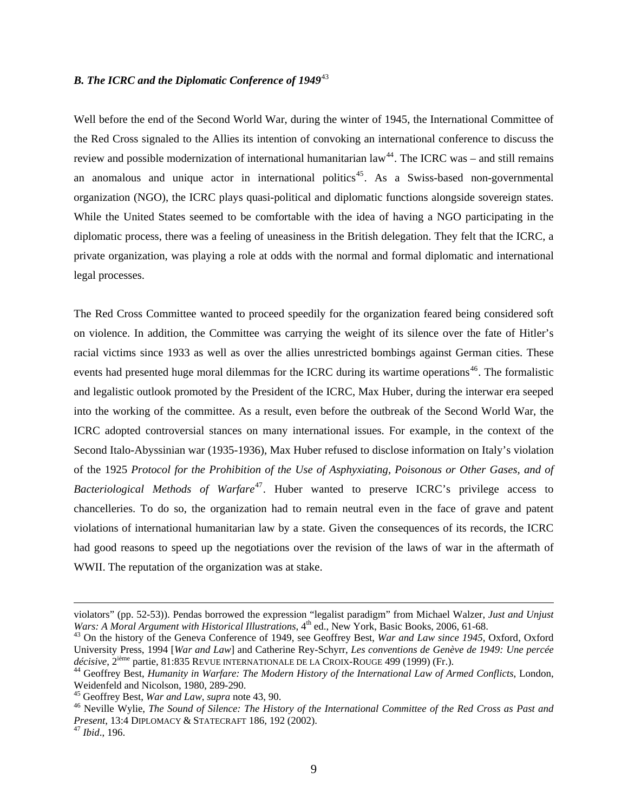## *B. The ICRC and the Diplomatic Conference of 1949*[43](#page-11-0)

Well before the end of the Second World War, during the winter of 1945, the International Committee of the Red Cross signaled to the Allies its intention of convoking an international conference to discuss the review and possible modernization of international humanitarian  $law<sup>44</sup>$  $law<sup>44</sup>$  $law<sup>44</sup>$ . The ICRC was – and still remains an anomalous and unique actor in international politics<sup>[45](#page-11-2)</sup>. As a Swiss-based non-governmental organization (NGO), the ICRC plays quasi-political and diplomatic functions alongside sovereign states. While the United States seemed to be comfortable with the idea of having a NGO participating in the diplomatic process, there was a feeling of uneasiness in the British delegation. They felt that the ICRC, a private organization, was playing a role at odds with the normal and formal diplomatic and international legal processes.

The Red Cross Committee wanted to proceed speedily for the organization feared being considered soft on violence. In addition, the Committee was carrying the weight of its silence over the fate of Hitler's racial victims since 1933 as well as over the allies unrestricted bombings against German cities. These events had presented huge moral dilemmas for the ICRC during its wartime operations<sup>[46](#page-11-3)</sup>. The formalistic and legalistic outlook promoted by the President of the ICRC, Max Huber, during the interwar era seeped into the working of the committee. As a result, even before the outbreak of the Second World War, the ICRC adopted controversial stances on many international issues. For example, in the context of the Second Italo-Abyssinian war (1935-1936), Max Huber refused to disclose information on Italy's violation of the 1925 *Protocol for the Prohibition of the Use of Asphyxiating, Poisonous or Other Gases, and of Bacteriological Methods of Warfare*<sup>[47](#page-11-4)</sup>. Huber wanted to preserve ICRC's privilege access to chancelleries. To do so, the organization had to remain neutral even in the face of grave and patent violations of international humanitarian law by a state. Given the consequences of its records, the ICRC had good reasons to speed up the negotiations over the revision of the laws of war in the aftermath of WWII. The reputation of the organization was at stake.

violators" (pp. 52-53)). Pendas borrowed the expression "legalist paradigm" from Michael Walzer, *Just and Unjust* 

<span id="page-11-0"></span><sup>&</sup>lt;sup>43</sup> On the history of the Geneva Conference of 1949, see Geoffrey Best, *War and Law since 1945*, Oxford, Oxford University Press, 1994 [*War and Law*] and Catherine Rey-Schyrr, *Les conventions de Genève de 1949: Une percée* 

<span id="page-11-1"></span><sup>&</sup>lt;sup>44</sup> Geoffrey Best, *Humanity in Warfare: The Modern History of the International Law of Armed Conflicts, London,* Weidenfeld and Nicolson, 1980, 289-290.<br><sup>45</sup> Geoffrey Best, *War and Law, supra* note 43, 90.

<span id="page-11-3"></span><span id="page-11-2"></span><sup>&</sup>lt;sup>46</sup> Neville Wylie, *The Sound of Silence: The History of the International Committee of the Red Cross as Past and Present*, 13:4 DIPLOMACY & STATECRAFT 186, 192 (2002).<br><sup>47</sup> *Ibid.*, 196.

<span id="page-11-4"></span>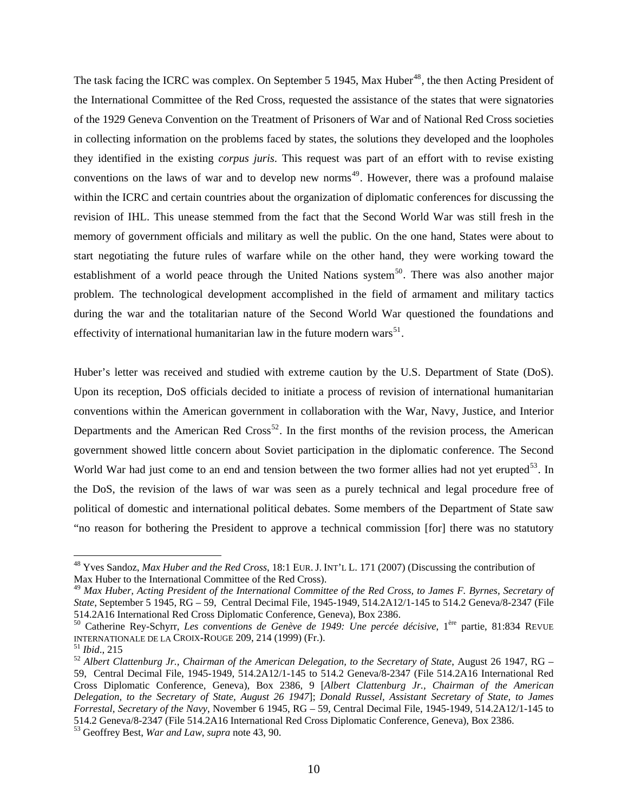The task facing the ICRC was complex. On September 5 1945, Max Huber<sup>[48](#page-12-0)</sup>, the then Acting President of the International Committee of the Red Cross, requested the assistance of the states that were signatories of the 1929 Geneva Convention on the Treatment of Prisoners of War and of National Red Cross societies in collecting information on the problems faced by states, the solutions they developed and the loopholes they identified in the existing *corpus juris*. This request was part of an effort with to revise existing conventions on the laws of war and to develop new norms<sup>[49](#page-12-1)</sup>. However, there was a profound malaise within the ICRC and certain countries about the organization of diplomatic conferences for discussing the revision of IHL. This unease stemmed from the fact that the Second World War was still fresh in the memory of government officials and military as well the public. On the one hand, States were about to start negotiating the future rules of warfare while on the other hand, they were working toward the establishment of a world peace through the United Nations system<sup>[50](#page-12-2)</sup>. There was also another major problem. The technological development accomplished in the field of armament and military tactics during the war and the totalitarian nature of the Second World War questioned the foundations and effectivity of international humanitarian law in the future modern wars<sup>[51](#page-12-3)</sup>.

Huber's letter was received and studied with extreme caution by the U.S. Department of State (DoS). Upon its reception, DoS officials decided to initiate a process of revision of international humanitarian conventions within the American government in collaboration with the War, Navy, Justice, and Interior Departments and the American Red  $Cross^{52}$  $Cross^{52}$  $Cross^{52}$ . In the first months of the revision process, the American government showed little concern about Soviet participation in the diplomatic conference. The Second World War had just come to an end and tension between the two former allies had not yet erupted<sup>[53](#page-12-5)</sup>. In the DoS, the revision of the laws of war was seen as a purely technical and legal procedure free of political of domestic and international political debates. Some members of the Department of State saw "no reason for bothering the President to approve a technical commission [for] there was no statutory

<span id="page-12-0"></span><sup>48</sup> Yves Sandoz, *Max Huber and the Red Cross*, 18:1 EUR. J. INT'L L. 171 (2007) (Discussing the contribution of Max Huber to the International Committee of the Red Cross).

<span id="page-12-1"></span><sup>49</sup> *Max Huber, Acting President of the International Committee of the Red Cross, to James F. Byrnes, Secretary of State*, September 5 1945, RG – 59, Central Decimal File, 1945-1949, 514.2A12/1-145 to 514.2 Geneva/8-2347 (File 514.2A16 International Red Cross Diplomatic Conference, Geneva), Box 2386.

<span id="page-12-2"></span><sup>&</sup>lt;sup>50</sup> Catherine Rey-Schyrr, *Les conventions de Genève de 1949: Une percée décisive*, 1<sup>ère</sup> partie, 81:834 REVUE INTERNATIONALE DE LA CROIX-ROUGE 209, 214 (1999) (Fr.).

<span id="page-12-4"></span><span id="page-12-3"></span><sup>&</sup>lt;sup>51</sup> Ibid., 215<br><sup>52</sup> Albert Clattenburg Jr., Chairman of the American Delegation, to the Secretary of State, August 26 1947, RG – 59, Central Decimal File, 1945-1949, 514.2A12/1-145 to 514.2 Geneva/8-2347 (File 514.2A16 International Red Cross Diplomatic Conference, Geneva), Box 2386, 9 [*Albert Clattenburg Jr., Chairman of the American Delegation, to the Secretary of State, August 26 1947*]; *Donald Russel, Assistant Secretary of State, to James Forrestal, Secretary of the Navy*, November 6 1945, RG – 59, Central Decimal File, 1945-1949, 514.2A12/1-145 to 514.2 Geneva/8-2347 (File 514.2A16 International Red Cross Diplomatic Conference, Geneva), Box 2386.

<span id="page-12-5"></span><sup>53</sup> Geoffrey Best, *War and Law*, *supra* note 43, 90.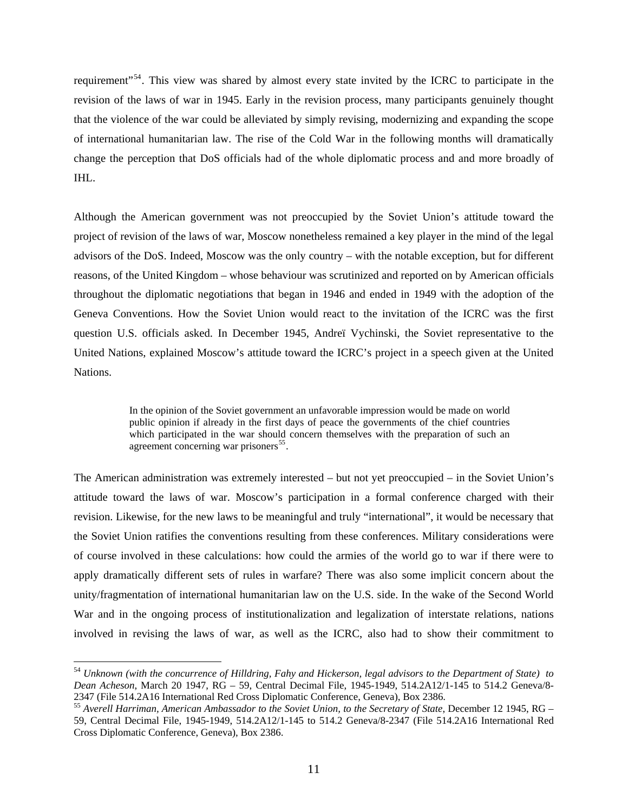requirement"[54](#page-13-0). This view was shared by almost every state invited by the ICRC to participate in the revision of the laws of war in 1945. Early in the revision process, many participants genuinely thought that the violence of the war could be alleviated by simply revising, modernizing and expanding the scope of international humanitarian law. The rise of the Cold War in the following months will dramatically change the perception that DoS officials had of the whole diplomatic process and and more broadly of IHL.

Although the American government was not preoccupied by the Soviet Union's attitude toward the project of revision of the laws of war, Moscow nonetheless remained a key player in the mind of the legal advisors of the DoS. Indeed, Moscow was the only country – with the notable exception, but for different reasons, of the United Kingdom – whose behaviour was scrutinized and reported on by American officials throughout the diplomatic negotiations that began in 1946 and ended in 1949 with the adoption of the Geneva Conventions. How the Soviet Union would react to the invitation of the ICRC was the first question U.S. officials asked. In December 1945, Andreï Vychinski, the Soviet representative to the United Nations, explained Moscow's attitude toward the ICRC's project in a speech given at the United Nations.

> In the opinion of the Soviet government an unfavorable impression would be made on world public opinion if already in the first days of peace the governments of the chief countries which participated in the war should concern themselves with the preparation of such an agreement concerning war prisoners $^{55}$  $^{55}$  $^{55}$ .

The American administration was extremely interested – but not yet preoccupied – in the Soviet Union's attitude toward the laws of war. Moscow's participation in a formal conference charged with their revision. Likewise, for the new laws to be meaningful and truly "international", it would be necessary that the Soviet Union ratifies the conventions resulting from these conferences. Military considerations were of course involved in these calculations: how could the armies of the world go to war if there were to apply dramatically different sets of rules in warfare? There was also some implicit concern about the unity/fragmentation of international humanitarian law on the U.S. side. In the wake of the Second World War and in the ongoing process of institutionalization and legalization of interstate relations, nations involved in revising the laws of war, as well as the ICRC, also had to show their commitment to

<span id="page-13-0"></span><sup>54</sup> *Unknown (with the concurrence of Hilldring, Fahy and Hickerson, legal advisors to the Department of State) to Dean Acheson*, March 20 1947, RG – 59, Central Decimal File, 1945-1949, 514.2A12/1-145 to 514.2 Geneva/8- 2347 (File 514.2A16 International Red Cross Diplomatic Conference, Geneva), Box 2386.

<span id="page-13-1"></span><sup>55</sup> *Averell Harriman, American Ambassador to the Soviet Union, to the Secretary of State*, December 12 1945, RG – 59, Central Decimal File, 1945-1949, 514.2A12/1-145 to 514.2 Geneva/8-2347 (File 514.2A16 International Red Cross Diplomatic Conference, Geneva), Box 2386.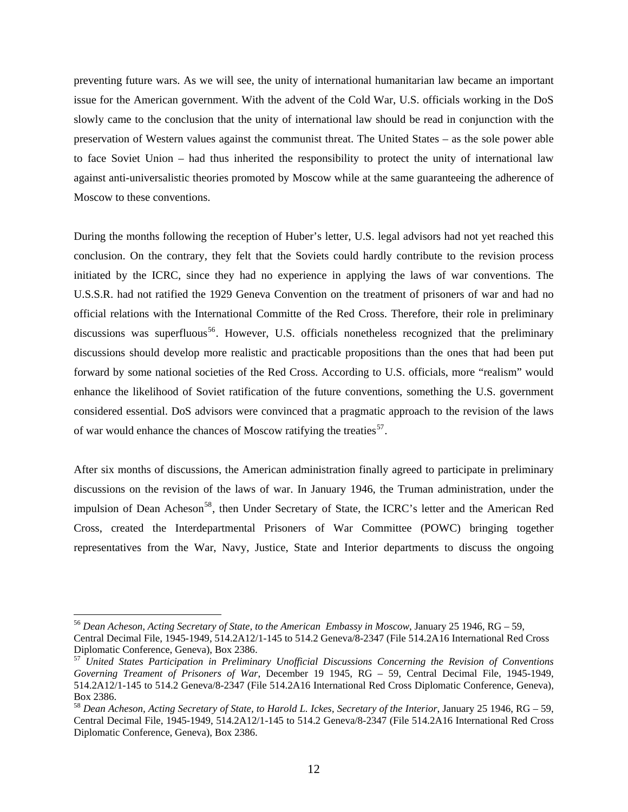preventing future wars. As we will see, the unity of international humanitarian law became an important issue for the American government. With the advent of the Cold War, U.S. officials working in the DoS slowly came to the conclusion that the unity of international law should be read in conjunction with the preservation of Western values against the communist threat. The United States – as the sole power able to face Soviet Union – had thus inherited the responsibility to protect the unity of international law against anti-universalistic theories promoted by Moscow while at the same guaranteeing the adherence of Moscow to these conventions.

During the months following the reception of Huber's letter, U.S. legal advisors had not yet reached this conclusion. On the contrary, they felt that the Soviets could hardly contribute to the revision process initiated by the ICRC, since they had no experience in applying the laws of war conventions. The U.S.S.R. had not ratified the 1929 Geneva Convention on the treatment of prisoners of war and had no official relations with the International Committe of the Red Cross. Therefore, their role in preliminary discussions was superfluous<sup>[56](#page-14-0)</sup>. However, U.S. officials nonetheless recognized that the preliminary discussions should develop more realistic and practicable propositions than the ones that had been put forward by some national societies of the Red Cross. According to U.S. officials, more "realism" would enhance the likelihood of Soviet ratification of the future conventions, something the U.S. government considered essential. DoS advisors were convinced that a pragmatic approach to the revision of the laws of war would enhance the chances of Moscow ratifying the treaties<sup>[57](#page-14-1)</sup>.

After six months of discussions, the American administration finally agreed to participate in preliminary discussions on the revision of the laws of war. In January 1946, the Truman administration, under the impulsion of Dean Acheson<sup>[58](#page-14-2)</sup>, then Under Secretary of State, the ICRC's letter and the American Red Cross, created the Interdepartmental Prisoners of War Committee (POWC) bringing together representatives from the War, Navy, Justice, State and Interior departments to discuss the ongoing

<span id="page-14-0"></span><sup>56</sup> *Dean Acheson, Acting Secretary of State, to the American Embassy in Moscow*, January 25 1946, RG – 59, Central Decimal File, 1945-1949, 514.2A12/1-145 to 514.2 Geneva/8-2347 (File 514.2A16 International Red Cross Diplomatic Conference, Geneva), Box 2386.

<span id="page-14-1"></span><sup>57</sup> *United States Participation in Preliminary Unofficial Discussions Concerning the Revision of Conventions Governing Treament of Prisoners of War*, December 19 1945, RG – 59, Central Decimal File, 1945-1949, 514.2A12/1-145 to 514.2 Geneva/8-2347 (File 514.2A16 International Red Cross Diplomatic Conference, Geneva), Box 2386.

<span id="page-14-2"></span><sup>58</sup> *Dean Acheson, Acting Secretary of State, to Harold L. Ickes, Secretary of the Interior*, January 25 1946, RG – 59, Central Decimal File, 1945-1949, 514.2A12/1-145 to 514.2 Geneva/8-2347 (File 514.2A16 International Red Cross Diplomatic Conference, Geneva), Box 2386.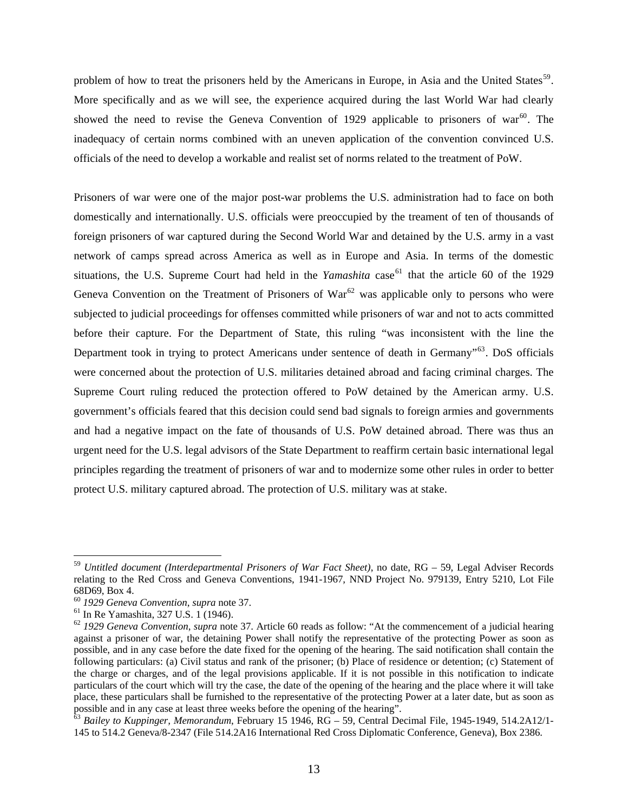problem of how to treat the prisoners held by the Americans in Europe, in Asia and the United States<sup>[59](#page-15-0)</sup>. More specifically and as we will see, the experience acquired during the last World War had clearly showed the need to revise the Geneva Convention of 1929 applicable to prisoners of war<sup>[60](#page-15-1)</sup>. The inadequacy of certain norms combined with an uneven application of the convention convinced U.S. officials of the need to develop a workable and realist set of norms related to the treatment of PoW.

Prisoners of war were one of the major post-war problems the U.S. administration had to face on both domestically and internationally. U.S. officials were preoccupied by the treament of ten of thousands of foreign prisoners of war captured during the Second World War and detained by the U.S. army in a vast network of camps spread across America as well as in Europe and Asia. In terms of the domestic situations, the U.S. Supreme Court had held in the *Yamashita* case<sup>[61](#page-15-2)</sup> that the article 60 of the 1929 Geneva Convention on the Treatment of Prisoners of  $\text{War}^{62}$  $\text{War}^{62}$  $\text{War}^{62}$  was applicable only to persons who were subjected to judicial proceedings for offenses committed while prisoners of war and not to acts committed before their capture. For the Department of State, this ruling "was inconsistent with the line the Department took in trying to protect Americans under sentence of death in Germany<sup>5[63](#page-15-4)</sup>. DoS officials were concerned about the protection of U.S. militaries detained abroad and facing criminal charges. The Supreme Court ruling reduced the protection offered to PoW detained by the American army. U.S. government's officials feared that this decision could send bad signals to foreign armies and governments and had a negative impact on the fate of thousands of U.S. PoW detained abroad. There was thus an urgent need for the U.S. legal advisors of the State Department to reaffirm certain basic international legal principles regarding the treatment of prisoners of war and to modernize some other rules in order to better protect U.S. military captured abroad. The protection of U.S. military was at stake.

<span id="page-15-0"></span><sup>59</sup> *Untitled document (Interdepartmental Prisoners of War Fact Sheet)*, no date, RG – 59, Legal Adviser Records relating to the Red Cross and Geneva Conventions, 1941-1967*,* NND Project No. 979139, Entry 5210, Lot File 68D69, Box 4.

<span id="page-15-1"></span><sup>60</sup> *1929 Geneva Convention*, *supra* note 37. 61 In Re Yamashita, 327 U.S. 1 (1946).

<span id="page-15-3"></span><span id="page-15-2"></span><sup>62</sup> *1929 Geneva Convention*, *supra* note 37. Article 60 reads as follow: "At the commencement of a judicial hearing against a prisoner of war, the detaining Power shall notify the representative of the protecting Power as soon as possible, and in any case before the date fixed for the opening of the hearing. The said notification shall contain the following particulars: (a) Civil status and rank of the prisoner; (b) Place of residence or detention; (c) Statement of the charge or charges, and of the legal provisions applicable. If it is not possible in this notification to indicate particulars of the court which will try the case, the date of the opening of the hearing and the place where it will take place, these particulars shall be furnished to the representative of the protecting Power at a later date, but as soon as possible and in any case at least three weeks before the opening of the hearing".<br><sup>63</sup> *Bailey to Kuppinger, Memorandum*, February 15 1946, RG – 59, Central Decimal File, 1945-1949, 514.2A12/1-

<span id="page-15-4"></span><sup>145</sup> to 514.2 Geneva/8-2347 (File 514.2A16 International Red Cross Diplomatic Conference, Geneva), Box 2386.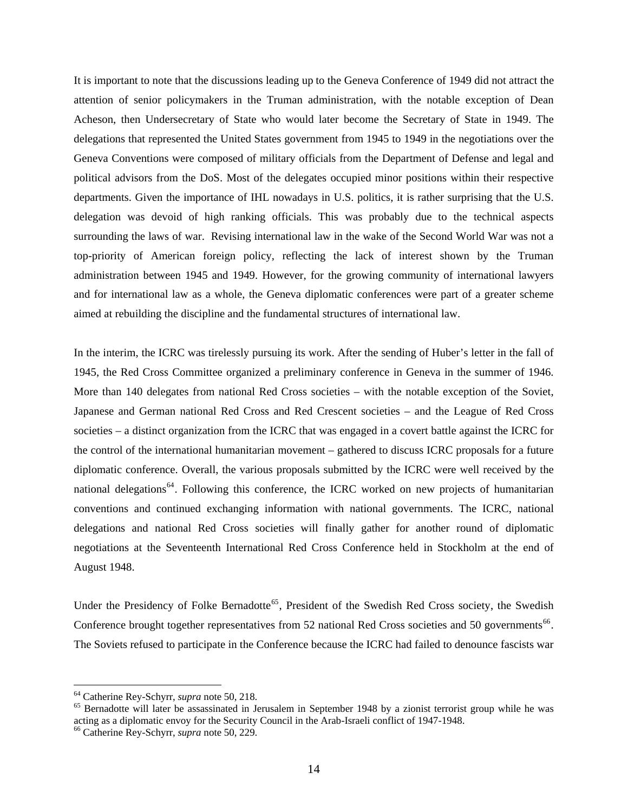It is important to note that the discussions leading up to the Geneva Conference of 1949 did not attract the attention of senior policymakers in the Truman administration, with the notable exception of Dean Acheson, then Undersecretary of State who would later become the Secretary of State in 1949. The delegations that represented the United States government from 1945 to 1949 in the negotiations over the Geneva Conventions were composed of military officials from the Department of Defense and legal and political advisors from the DoS. Most of the delegates occupied minor positions within their respective departments. Given the importance of IHL nowadays in U.S. politics, it is rather surprising that the U.S. delegation was devoid of high ranking officials. This was probably due to the technical aspects surrounding the laws of war. Revising international law in the wake of the Second World War was not a top-priority of American foreign policy, reflecting the lack of interest shown by the Truman administration between 1945 and 1949. However, for the growing community of international lawyers and for international law as a whole, the Geneva diplomatic conferences were part of a greater scheme aimed at rebuilding the discipline and the fundamental structures of international law.

In the interim, the ICRC was tirelessly pursuing its work. After the sending of Huber's letter in the fall of 1945, the Red Cross Committee organized a preliminary conference in Geneva in the summer of 1946. More than 140 delegates from national Red Cross societies – with the notable exception of the Soviet, Japanese and German national Red Cross and Red Crescent societies – and the League of Red Cross societies – a distinct organization from the ICRC that was engaged in a covert battle against the ICRC for the control of the international humanitarian movement – gathered to discuss ICRC proposals for a future diplomatic conference. Overall, the various proposals submitted by the ICRC were well received by the national delegations<sup>[64](#page-16-0)</sup>. Following this conference, the ICRC worked on new projects of humanitarian conventions and continued exchanging information with national governments. The ICRC, national delegations and national Red Cross societies will finally gather for another round of diplomatic negotiations at the Seventeenth International Red Cross Conference held in Stockholm at the end of August 1948.

Under the Presidency of Folke Bernadotte<sup>[65](#page-16-1)</sup>, President of the Swedish Red Cross society, the Swedish Conference brought together representatives from 52 national Red Cross societies and 50 governments<sup>[66](#page-16-2)</sup>. The Soviets refused to participate in the Conference because the ICRC had failed to denounce fascists war

<span id="page-16-1"></span><span id="page-16-0"></span><sup>&</sup>lt;sup>64</sup> Catherine Rey-Schyrr, *supra* note 50, 218.<br><sup>65</sup> Bernadotte will later be assassinated in Jerusalem in September 1948 by a zionist terrorist group while he was acting as a diplomatic envoy for the Security Council in the Arab-Israeli conflict of 1947-1948. 66 Catherine Rey-Schyrr, *supra* note 50, 229.

<span id="page-16-2"></span>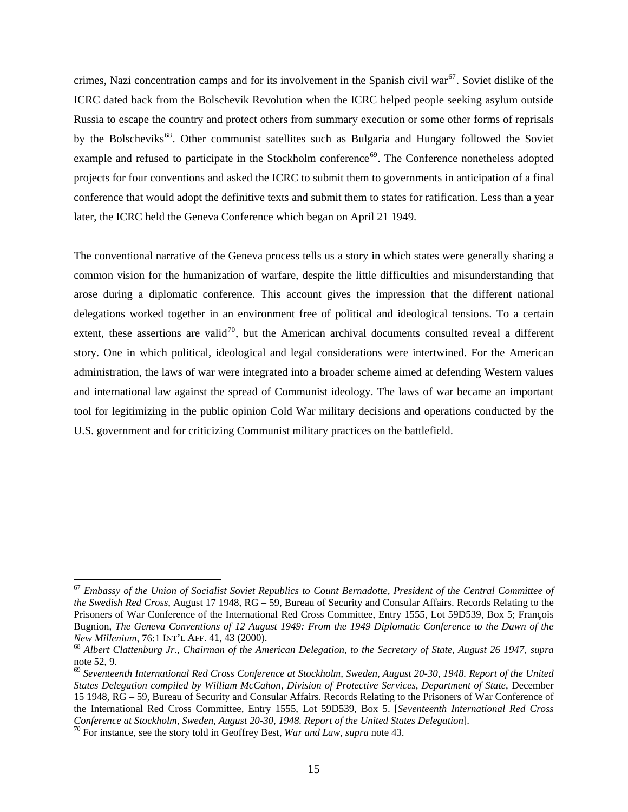crimes, Nazi concentration camps and for its involvement in the Spanish civil war<sup>[67](#page-17-0)</sup>. Soviet dislike of the ICRC dated back from the Bolschevik Revolution when the ICRC helped people seeking asylum outside Russia to escape the country and protect others from summary execution or some other forms of reprisals by the Bolscheviks<sup>[68](#page-17-1)</sup>. Other communist satellites such as Bulgaria and Hungary followed the Soviet example and refused to participate in the Stockholm conference<sup>[69](#page-17-2)</sup>. The Conference nonetheless adopted projects for four conventions and asked the ICRC to submit them to governments in anticipation of a final conference that would adopt the definitive texts and submit them to states for ratification. Less than a year later, the ICRC held the Geneva Conference which began on April 21 1949.

The conventional narrative of the Geneva process tells us a story in which states were generally sharing a common vision for the humanization of warfare, despite the little difficulties and misunderstanding that arose during a diplomatic conference. This account gives the impression that the different national delegations worked together in an environment free of political and ideological tensions. To a certain extent, these assertions are valid<sup>[70](#page-17-3)</sup>, but the American archival documents consulted reveal a different story. One in which political, ideological and legal considerations were intertwined. For the American administration, the laws of war were integrated into a broader scheme aimed at defending Western values and international law against the spread of Communist ideology. The laws of war became an important tool for legitimizing in the public opinion Cold War military decisions and operations conducted by the U.S. government and for criticizing Communist military practices on the battlefield.

<span id="page-17-0"></span><sup>67</sup> *Embassy of the Union of Socialist Soviet Republics to Count Bernadotte, President of the Central Committee of the Swedish Red Cross*, August 17 1948, RG – 59, Bureau of Security and Consular Affairs. Records Relating to the Prisoners of War Conference of the International Red Cross Committee, Entry 1555, Lot 59D539, Box 5; François Bugnion, *The Geneva Conventions of 12 August 1949: From the 1949 Diplomatic Conference to the Dawn of the New Millenium, 76:1 INT'L AFF. 41, 43 (2000).*<br><sup>68</sup> *Albert Clattenburg Jr., Chairman of the American Delegation, to the Secretary of State, August 26 1947, supra* 

<span id="page-17-1"></span>note 52, 9.

<span id="page-17-2"></span><sup>69</sup> *Seventeenth International Red Cross Conference at Stockholm, Sweden, August 20-30, 1948. Report of the United States Delegation compiled by William McCahon, Division of Protective Services, Department of State*, December 15 1948, RG – 59, Bureau of Security and Consular Affairs. Records Relating to the Prisoners of War Conference of the International Red Cross Committee, Entry 1555, Lot 59D539, Box 5. [*Seventeenth International Red Cross Conference at Stockholm, Sweden, August 20-30, 1948. Report of the United States Delegation*]. 70 For instance, see the story told in Geoffrey Best, *War and Law*, *supra* note 43.

<span id="page-17-3"></span>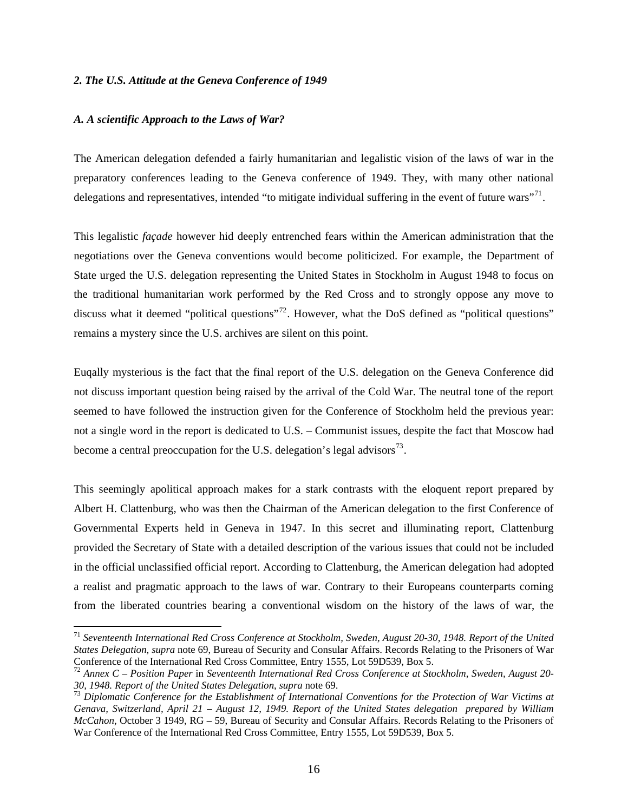#### *2. The U.S. Attitude at the Geneva Conference of 1949*

#### *A. A scientific Approach to the Laws of War?*

 $\overline{a}$ 

The American delegation defended a fairly humanitarian and legalistic vision of the laws of war in the preparatory conferences leading to the Geneva conference of 1949. They, with many other national delegations and representatives, intended "to mitigate individual suffering in the event of future wars"<sup>[71](#page-18-0)</sup>.

This legalistic *façade* however hid deeply entrenched fears within the American administration that the negotiations over the Geneva conventions would become politicized. For example, the Department of State urged the U.S. delegation representing the United States in Stockholm in August 1948 to focus on the traditional humanitarian work performed by the Red Cross and to strongly oppose any move to discuss what it deemed "political questions"<sup>[72](#page-18-1)</sup>. However, what the DoS defined as "political questions" remains a mystery since the U.S. archives are silent on this point.

Euqally mysterious is the fact that the final report of the U.S. delegation on the Geneva Conference did not discuss important question being raised by the arrival of the Cold War. The neutral tone of the report seemed to have followed the instruction given for the Conference of Stockholm held the previous year: not a single word in the report is dedicated to U.S. – Communist issues, despite the fact that Moscow had become a central preoccupation for the U.S. delegation's legal advisors  $\frac{73}{3}$  $\frac{73}{3}$  $\frac{73}{3}$ .

This seemingly apolitical approach makes for a stark contrasts with the eloquent report prepared by Albert H. Clattenburg, who was then the Chairman of the American delegation to the first Conference of Governmental Experts held in Geneva in 1947. In this secret and illuminating report, Clattenburg provided the Secretary of State with a detailed description of the various issues that could not be included in the official unclassified official report. According to Clattenburg, the American delegation had adopted a realist and pragmatic approach to the laws of war. Contrary to their Europeans counterparts coming from the liberated countries bearing a conventional wisdom on the history of the laws of war, the

<span id="page-18-0"></span><sup>71</sup> *Seventeenth International Red Cross Conference at Stockholm, Sweden, August 20-30, 1948. Report of the United States Delegation*, *supra* note 69, Bureau of Security and Consular Affairs. Records Relating to the Prisoners of War Conference of the International Red Cross Committee, Entry 1555, Lot 59D539, Box 5.

<span id="page-18-1"></span><sup>72</sup> *Annex C – Position Paper* in *Seventeenth International Red Cross Conference at Stockholm, Sweden, August 20-*

<span id="page-18-2"></span>*<sup>30, 1948.</sup> Report of the United States Delegation*, *supra* note 69. 73 *Diplomatic Conference for the Establishment of International Conventions for the Protection of War Victims at Genava, Switzerland, April 21 – August 12, 1949. Report of the United States delegation prepared by William McCahon*, October 3 1949, RG – 59, Bureau of Security and Consular Affairs. Records Relating to the Prisoners of War Conference of the International Red Cross Committee, Entry 1555, Lot 59D539, Box 5.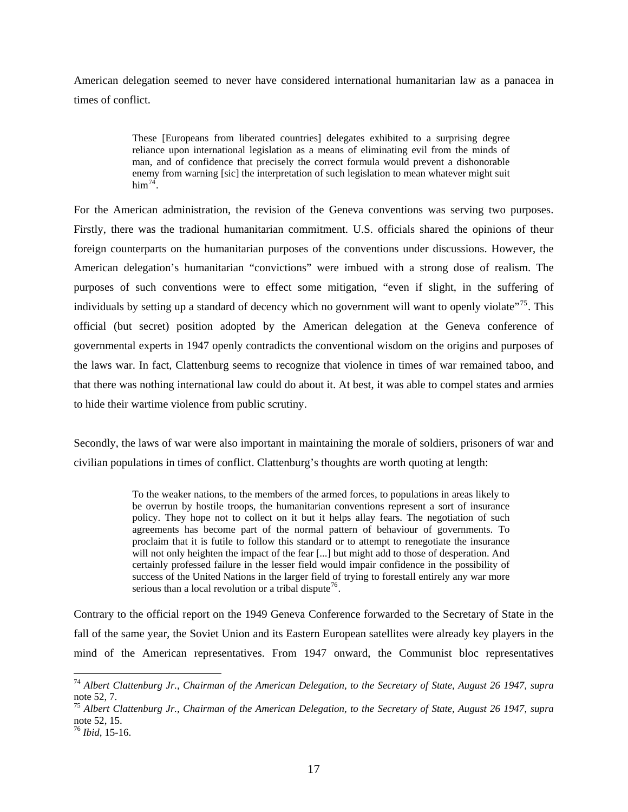American delegation seemed to never have considered international humanitarian law as a panacea in times of conflict.

> These [Europeans from liberated countries] delegates exhibited to a surprising degree reliance upon international legislation as a means of eliminating evil from the minds of man, and of confidence that precisely the correct formula would prevent a dishonorable enemy from warning [sic] the interpretation of such legislation to mean whatever might suit  $him<sup>74</sup>$  $him<sup>74</sup>$  $him<sup>74</sup>$ .

For the American administration, the revision of the Geneva conventions was serving two purposes. Firstly, there was the tradional humanitarian commitment. U.S. officials shared the opinions of theur foreign counterparts on the humanitarian purposes of the conventions under discussions. However, the American delegation's humanitarian "convictions" were imbued with a strong dose of realism. The purposes of such conventions were to effect some mitigation, "even if slight, in the suffering of individuals by setting up a standard of decency which no government will want to openly violate"<sup>[75](#page-19-1)</sup>. This official (but secret) position adopted by the American delegation at the Geneva conference of governmental experts in 1947 openly contradicts the conventional wisdom on the origins and purposes of the laws war. In fact, Clattenburg seems to recognize that violence in times of war remained taboo, and that there was nothing international law could do about it. At best, it was able to compel states and armies to hide their wartime violence from public scrutiny.

Secondly, the laws of war were also important in maintaining the morale of soldiers, prisoners of war and civilian populations in times of conflict. Clattenburg's thoughts are worth quoting at length:

> To the weaker nations, to the members of the armed forces, to populations in areas likely to be overrun by hostile troops, the humanitarian conventions represent a sort of insurance policy. They hope not to collect on it but it helps allay fears. The negotiation of such agreements has become part of the normal pattern of behaviour of governments. To proclaim that it is futile to follow this standard or to attempt to renegotiate the insurance will not only heighten the impact of the fear [...] but might add to those of desperation. And certainly professed failure in the lesser field would impair confidence in the possibility of success of the United Nations in the larger field of trying to forestall entirely any war more serious than a local revolution or a tribal dispute<sup>[76](#page-19-2)</sup>.

Contrary to the official report on the 1949 Geneva Conference forwarded to the Secretary of State in the fall of the same year, the Soviet Union and its Eastern European satellites were already key players in the mind of the American representatives. From 1947 onward, the Communist bloc representatives

<span id="page-19-0"></span><sup>74</sup> *Albert Clattenburg Jr., Chairman of the American Delegation, to the Secretary of State, August 26 1947*, *supra*  note 52, 7.

<span id="page-19-1"></span><sup>75</sup> *Albert Clattenburg Jr., Chairman of the American Delegation, to the Secretary of State, August 26 1947*, *supra*  note 52, 15.

<span id="page-19-2"></span><sup>76</sup> *Ibid*, 15-16.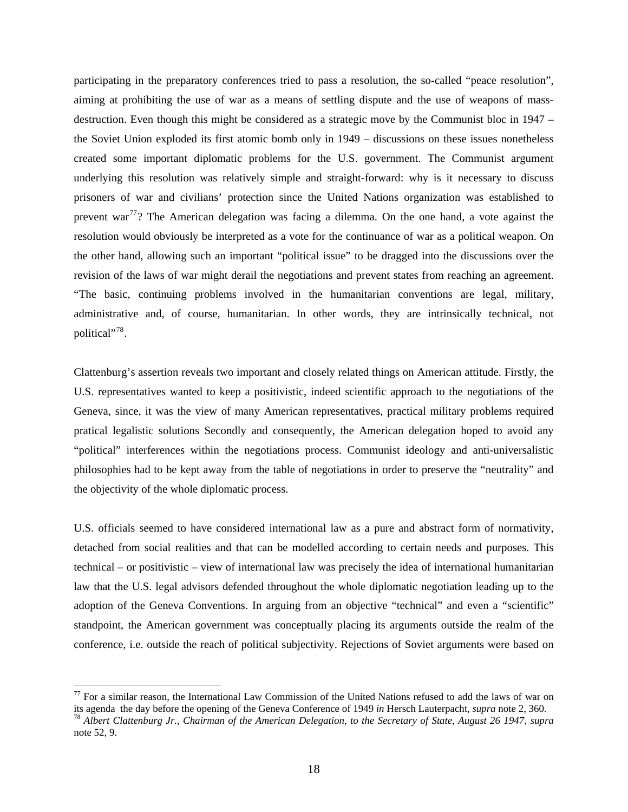participating in the preparatory conferences tried to pass a resolution, the so-called "peace resolution", aiming at prohibiting the use of war as a means of settling dispute and the use of weapons of massdestruction. Even though this might be considered as a strategic move by the Communist bloc in 1947 – the Soviet Union exploded its first atomic bomb only in 1949 – discussions on these issues nonetheless created some important diplomatic problems for the U.S. government. The Communist argument underlying this resolution was relatively simple and straight-forward: why is it necessary to discuss prisoners of war and civilians' protection since the United Nations organization was established to prevent war<sup>[77](#page-20-0)</sup>? The American delegation was facing a dilemma. On the one hand, a vote against the resolution would obviously be interpreted as a vote for the continuance of war as a political weapon. On the other hand, allowing such an important "political issue" to be dragged into the discussions over the revision of the laws of war might derail the negotiations and prevent states from reaching an agreement. "The basic, continuing problems involved in the humanitarian conventions are legal, military, administrative and, of course, humanitarian. In other words, they are intrinsically technical, not political"<sup>[78](#page-20-1)</sup>.

Clattenburg's assertion reveals two important and closely related things on American attitude. Firstly, the U.S. representatives wanted to keep a positivistic, indeed scientific approach to the negotiations of the Geneva, since, it was the view of many American representatives, practical military problems required pratical legalistic solutions Secondly and consequently, the American delegation hoped to avoid any "political" interferences within the negotiations process. Communist ideology and anti-universalistic philosophies had to be kept away from the table of negotiations in order to preserve the "neutrality" and the objectivity of the whole diplomatic process.

U.S. officials seemed to have considered international law as a pure and abstract form of normativity, detached from social realities and that can be modelled according to certain needs and purposes. This technical – or positivistic – view of international law was precisely the idea of international humanitarian law that the U.S. legal advisors defended throughout the whole diplomatic negotiation leading up to the adoption of the Geneva Conventions. In arguing from an objective "technical" and even a "scientific" standpoint, the American government was conceptually placing its arguments outside the realm of the conference, i.e. outside the reach of political subjectivity. Rejections of Soviet arguments were based on

<span id="page-20-0"></span><sup>&</sup>lt;sup>77</sup> For a similar reason, the International Law Commission of the United Nations refused to add the laws of war on its agenda the day before the opening of the Geneva Conference of 1949 *in* Hersch Lauterpacht, *supra* n

<span id="page-20-1"></span> $^{78}$  Albert Clattenburg Jr., Chairman of the American Delegation, to the Secretary of State, August 26 1947, supra note 52, 9.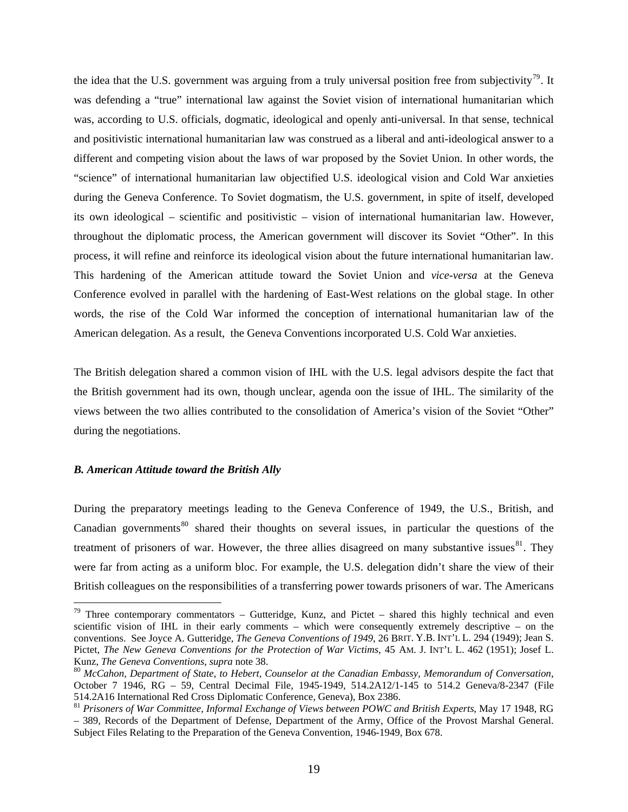the idea that the U.S. government was arguing from a truly universal position free from subjectivity<sup>[79](#page-21-0)</sup>. It was defending a "true" international law against the Soviet vision of international humanitarian which was, according to U.S. officials, dogmatic, ideological and openly anti-universal. In that sense, technical and positivistic international humanitarian law was construed as a liberal and anti-ideological answer to a different and competing vision about the laws of war proposed by the Soviet Union. In other words, the "science" of international humanitarian law objectified U.S. ideological vision and Cold War anxieties during the Geneva Conference. To Soviet dogmatism, the U.S. government, in spite of itself, developed its own ideological – scientific and positivistic – vision of international humanitarian law. However, throughout the diplomatic process, the American government will discover its Soviet "Other". In this process, it will refine and reinforce its ideological vision about the future international humanitarian law. This hardening of the American attitude toward the Soviet Union and *vice-versa* at the Geneva Conference evolved in parallel with the hardening of East-West relations on the global stage. In other words, the rise of the Cold War informed the conception of international humanitarian law of the American delegation. As a result, the Geneva Conventions incorporated U.S. Cold War anxieties.

The British delegation shared a common vision of IHL with the U.S. legal advisors despite the fact that the British government had its own, though unclear, agenda oon the issue of IHL. The similarity of the views between the two allies contributed to the consolidation of America's vision of the Soviet "Other" during the negotiations.

#### *B. American Attitude toward the British Ally*

 $\overline{a}$ 

During the preparatory meetings leading to the Geneva Conference of 1949, the U.S., British, and Canadian governments<sup>[80](#page-21-1)</sup> shared their thoughts on several issues, in particular the questions of the treatment of prisoners of war. However, the three allies disagreed on many substantive issues $81$ . They were far from acting as a uniform bloc. For example, the U.S. delegation didn't share the view of their British colleagues on the responsibilities of a transferring power towards prisoners of war. The Americans

<span id="page-21-0"></span> $79$  Three contemporary commentators – Gutteridge, Kunz, and Pictet – shared this highly technical and even scientific vision of IHL in their early comments – which were consequently extremely descriptive – on the conventions. See Joyce A. Gutteridge, *The Geneva Conventions of 1949*, 26 BRIT. Y.B. INT'L L. 294 (1949); Jean S. Pictet, *The New Geneva Conventions for the Protection of War Victims*, 45 AM. J. INT'L L. 462 (1951); Josef L. Kunz, *The Geneva Conventions, supra* note 38.<br><sup>80</sup> *McCahon, Department of State, to Hebert, Counselor at the Canadian Embassy, Memorandum of Conversation,* 

<span id="page-21-1"></span>October 7 1946, RG – 59, Central Decimal File, 1945-1949, 514.2A12/1-145 to 514.2 Geneva/8-2347 (File 514.2A16 International Red Cross Diplomatic Conference, Geneva), Box 2386.

<span id="page-21-2"></span><sup>81</sup> *Prisoners of War Committee, Informal Exchange of Views between POWC and British Experts*, May 17 1948, RG – 389, Records of the Department of Defense, Department of the Army, Office of the Provost Marshal General. Subject Files Relating to the Preparation of the Geneva Convention, 1946-1949, Box 678.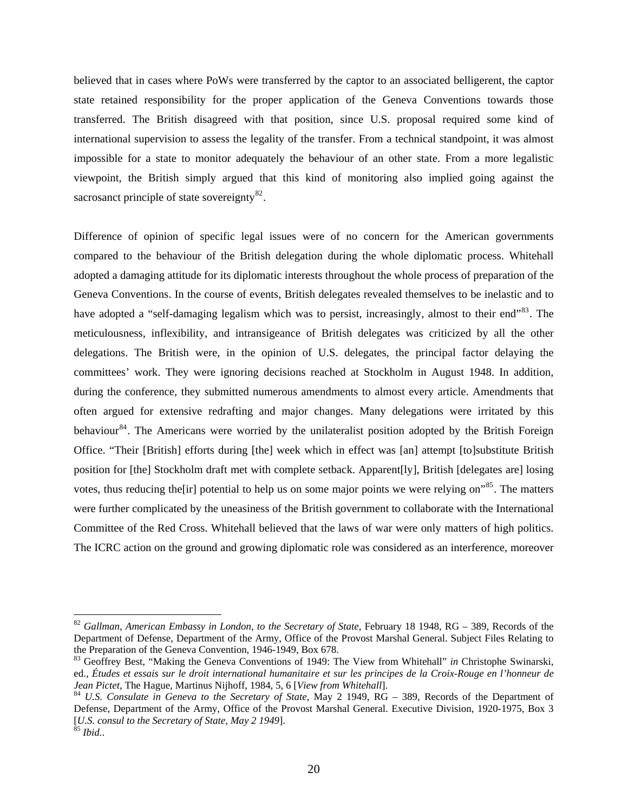believed that in cases where PoWs were transferred by the captor to an associated belligerent, the captor state retained responsibility for the proper application of the Geneva Conventions towards those transferred. The British disagreed with that position, since U.S. proposal required some kind of international supervision to assess the legality of the transfer. From a technical standpoint, it was almost impossible for a state to monitor adequately the behaviour of an other state. From a more legalistic viewpoint, the British simply argued that this kind of monitoring also implied going against the sacrosanct principle of state sovereignty $82$ .

Difference of opinion of specific legal issues were of no concern for the American governments compared to the behaviour of the British delegation during the whole diplomatic process. Whitehall adopted a damaging attitude for its diplomatic interests throughout the whole process of preparation of the Geneva Conventions. In the course of events, British delegates revealed themselves to be inelastic and to have adopted a "self-damaging legalism which was to persist, increasingly, almost to their end"<sup>[83](#page-22-1)</sup>. The meticulousness, inflexibility, and intransigeance of British delegates was criticized by all the other delegations. The British were, in the opinion of U.S. delegates, the principal factor delaying the committees' work. They were ignoring decisions reached at Stockholm in August 1948. In addition, during the conference, they submitted numerous amendments to almost every article. Amendments that often argued for extensive redrafting and major changes. Many delegations were irritated by this behaviour<sup>[84](#page-22-2)</sup>. The Americans were worried by the unilateralist position adopted by the British Foreign Office. "Their [British] efforts during [the] week which in effect was [an] attempt [to]substitute British position for [the] Stockholm draft met with complete setback. Apparent[ly], British [delegates are] losing votes, thus reducing the [ir] potential to help us on some major points we were relying on<sup>35</sup>. The matters were further complicated by the uneasiness of the British government to collaborate with the International Committee of the Red Cross. Whitehall believed that the laws of war were only matters of high politics. The ICRC action on the ground and growing diplomatic role was considered as an interference, moreover

<span id="page-22-0"></span><sup>82</sup> *Gallman, American Embassy in London, to the Secretary of State*, February 18 1948, RG – 389, Records of the Department of Defense, Department of the Army, Office of the Provost Marshal General. Subject Files Relating to the Preparation of the Geneva Convention, 1946-1949, Box 678.

<span id="page-22-1"></span><sup>83</sup> Geoffrey Best, "Making the Geneva Conventions of 1949: The View from Whitehall" *in* Christophe Swinarski, ed., *Études et essais sur le droit international humanitaire et sur les principes de la Croix-Rouge en l'honneur de Jean Pictet*, The Hague, Martinus Nijhoff, 1984, 5, 6 [*View from Whitehall*].<br><sup>84</sup> *U.S. Consulate in Geneva to the Secretary of State*, May 2 1949, RG – 389, Records of the Department of

<span id="page-22-2"></span>Defense, Department of the Army, Office of the Provost Marshal General. Executive Division, 1920-1975, Box 3 [*U.S. consul to the Secretary of State, May 2 1949*]. 85 *Ibid.*.

<span id="page-22-3"></span>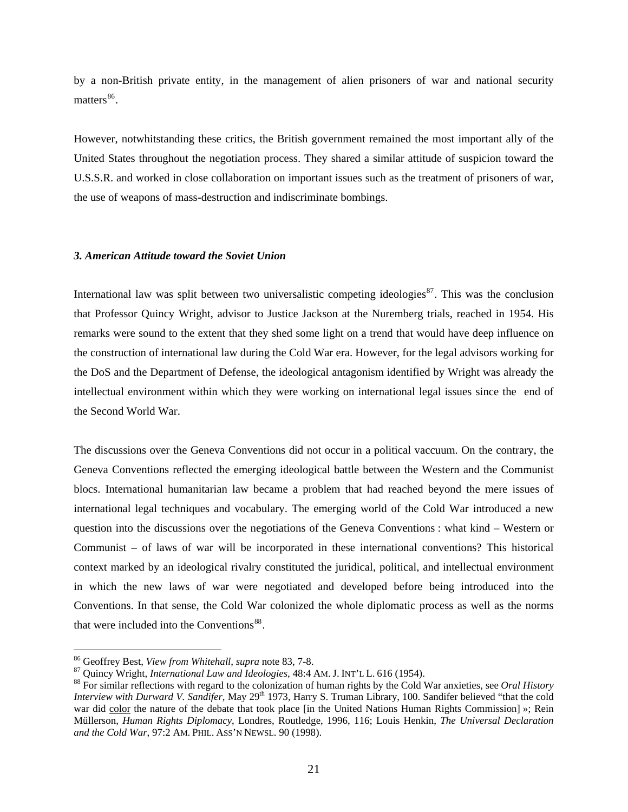by a non-British private entity, in the management of alien prisoners of war and national security matters $^{86}$  $^{86}$  $^{86}$ .

However, notwhitstanding these critics, the British government remained the most important ally of the United States throughout the negotiation process. They shared a similar attitude of suspicion toward the U.S.S.R. and worked in close collaboration on important issues such as the treatment of prisoners of war, the use of weapons of mass-destruction and indiscriminate bombings.

## *3. American Attitude toward the Soviet Union*

International law was split between two universalistic competing ideologies $^{87}$  $^{87}$  $^{87}$ . This was the conclusion that Professor Quincy Wright, advisor to Justice Jackson at the Nuremberg trials, reached in 1954. His remarks were sound to the extent that they shed some light on a trend that would have deep influence on the construction of international law during the Cold War era. However, for the legal advisors working for the DoS and the Department of Defense, the ideological antagonism identified by Wright was already the intellectual environment within which they were working on international legal issues since the end of the Second World War.

The discussions over the Geneva Conventions did not occur in a political vaccuum. On the contrary, the Geneva Conventions reflected the emerging ideological battle between the Western and the Communist blocs. International humanitarian law became a problem that had reached beyond the mere issues of international legal techniques and vocabulary. The emerging world of the Cold War introduced a new question into the discussions over the negotiations of the Geneva Conventions : what kind – Western or Communist – of laws of war will be incorporated in these international conventions? This historical context marked by an ideological rivalry constituted the juridical, political, and intellectual environment in which the new laws of war were negotiated and developed before being introduced into the Conventions. In that sense, the Cold War colonized the whole diplomatic process as well as the norms that were included into the Conventions<sup>[88](#page-23-2)</sup>.

<span id="page-23-2"></span><span id="page-23-1"></span>

<span id="page-23-0"></span><sup>&</sup>lt;sup>86</sup> Geoffrey Best, *View from Whitehall*, *supra* note 83, 7-8.<br><sup>87</sup> Quincy Wright, *International Law and Ideologies*, 48:4 AM. J. INT'L L. 616 (1954).<br><sup>88</sup> For similar reflections with regard to the colonization of hum *Interview with Durward V. Sandifer*, May 29<sup>th</sup> 1973, Harry S. Truman Library, 100. Sandifer believed "that the cold war did color the nature of the debate that took place [in the United Nations Human Rights Commission] »; Rein Müllerson, *Human Rights Diplomacy*, Londres, Routledge, 1996, 116; Louis Henkin, *The Universal Declaration and the Cold War*, 97:2 AM. PHIL. ASS'N NEWSL. 90 (1998).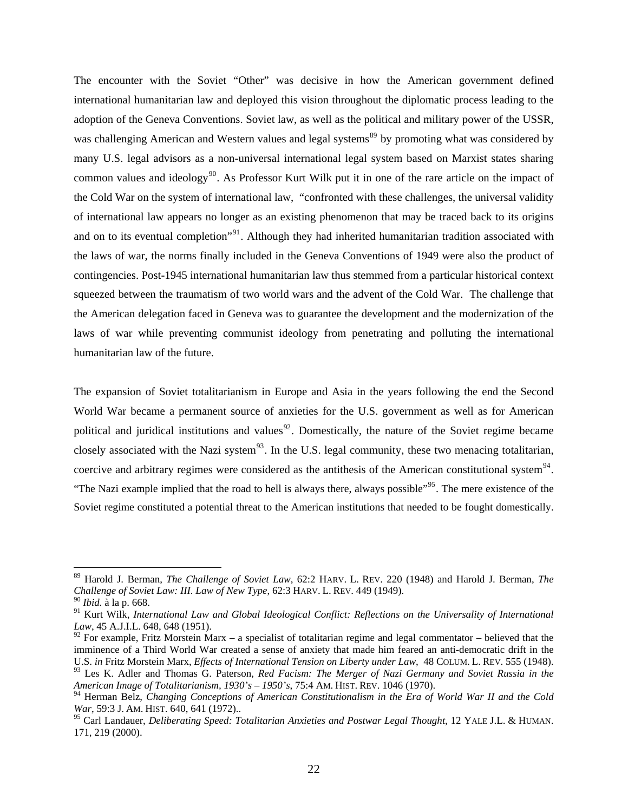The encounter with the Soviet "Other" was decisive in how the American government defined international humanitarian law and deployed this vision throughout the diplomatic process leading to the adoption of the Geneva Conventions. Soviet law, as well as the political and military power of the USSR, was challenging American and Western values and legal systems<sup>[89](#page-24-0)</sup> by promoting what was considered by many U.S. legal advisors as a non-universal international legal system based on Marxist states sharing common values and ideology<sup>[90](#page-24-1)</sup>. As Professor Kurt Wilk put it in one of the rare article on the impact of the Cold War on the system of international law, "confronted with these challenges, the universal validity of international law appears no longer as an existing phenomenon that may be traced back to its origins and on to its eventual completion"<sup>[91](#page-24-2)</sup>. Although they had inherited humanitarian tradition associated with the laws of war, the norms finally included in the Geneva Conventions of 1949 were also the product of contingencies. Post-1945 international humanitarian law thus stemmed from a particular historical context squeezed between the traumatism of two world wars and the advent of the Cold War. The challenge that the American delegation faced in Geneva was to guarantee the development and the modernization of the laws of war while preventing communist ideology from penetrating and polluting the international humanitarian law of the future.

The expansion of Soviet totalitarianism in Europe and Asia in the years following the end the Second World War became a permanent source of anxieties for the U.S. government as well as for American political and juridical institutions and values<sup>[92](#page-24-3)</sup>. Domestically, the nature of the Soviet regime became closely associated with the Nazi system<sup>[93](#page-24-4)</sup>. In the U.S. legal community, these two menacing totalitarian, coercive and arbitrary regimes were considered as the antithesis of the American constitutional system<sup>[94](#page-24-5)</sup>. "The Nazi example implied that the road to hell is always there, always possible"<sup>[95](#page-24-6)</sup>. The mere existence of the Soviet regime constituted a potential threat to the American institutions that needed to be fought domestically.

<span id="page-24-0"></span><sup>89</sup> Harold J. Berman, *The Challenge of Soviet Law*, 62:2 HARV. L. REV. 220 (1948) and Harold J. Berman, *The Challenge of Soviet Law: III. Law of New Type*, 62:3 HARV. L. REV. 449 (1949).

<span id="page-24-1"></span><sup>90</sup> *Ibid.* à la p. 668.

<span id="page-24-2"></span><sup>91</sup> Kurt Wilk, *International Law and Global Ideological Conflict: Reflections on the Universality of International Law*, 45 A.J.I.L. 648, 648 (1951).

<span id="page-24-3"></span> $92$  For example, Fritz Morstein Marx – a specialist of totalitarian regime and legal commentator – believed that the imminence of a Third World War created a sense of anxiety that made him feared an anti-democratic drift in the U.S. *in* Fritz Morstein Marx, *Effects of International Tension on Liberty under Law*, 48 COLUM. L. REV. 555 (1948). 93 Les K. Adler and Thomas G. Paterson, *Red Facism: The Merger of Nazi Germany and Soviet Russia in the American Image of Totalitarianism, 1930's – 1950's*, 75:4 AM. HIST. REV. 1046 (1970).

<span id="page-24-5"></span><span id="page-24-4"></span><sup>94</sup> Herman Belz, *Changing Conceptions of American Constitutionalism in the Era of World War II and the Cold War*, 59:3 J. AM. HIST. 640, 641 (1972)..

<span id="page-24-6"></span><sup>95</sup> Carl Landauer, *Deliberating Speed: Totalitarian Anxieties and Postwar Legal Thought*, 12 YALE J.L. & HUMAN. 171, 219 (2000).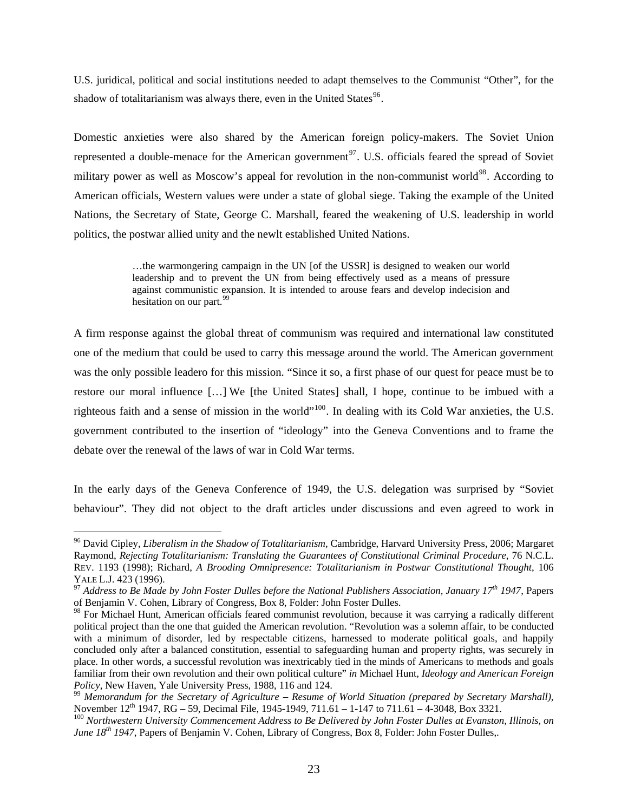U.S. juridical, political and social institutions needed to adapt themselves to the Communist "Other", for the shadow of totalitarianism was always there, even in the United States<sup>[96](#page-25-0)</sup>.

Domestic anxieties were also shared by the American foreign policy-makers. The Soviet Union represented a double-menace for the American government<sup>[97](#page-25-1)</sup>. U.S. officials feared the spread of Soviet military power as well as Moscow's appeal for revolution in the non-communist world<sup>[98](#page-25-2)</sup>. According to American officials, Western values were under a state of global siege. Taking the example of the United Nations, the Secretary of State, George C. Marshall, feared the weakening of U.S. leadership in world politics, the postwar allied unity and the newlt established United Nations.

> …the warmongering campaign in the UN [of the USSR] is designed to weaken our world leadership and to prevent the UN from being effectively used as a means of pressure against communistic expansion. It is intended to arouse fears and develop indecision and hesitation on our part.<sup>[99](#page-25-3)</sup>

A firm response against the global threat of communism was required and international law constituted one of the medium that could be used to carry this message around the world. The American government was the only possible leadero for this mission. "Since it so, a first phase of our quest for peace must be to restore our moral influence […] We [the United States] shall, I hope, continue to be imbued with a righteous faith and a sense of mission in the world"[100](#page-25-4). In dealing with its Cold War anxieties, the U.S. government contributed to the insertion of "ideology" into the Geneva Conventions and to frame the debate over the renewal of the laws of war in Cold War terms.

In the early days of the Geneva Conference of 1949, the U.S. delegation was surprised by "Soviet behaviour". They did not object to the draft articles under discussions and even agreed to work in

<span id="page-25-0"></span><sup>96</sup> David Cipley, *Liberalism in the Shadow of Totalitarianism*, Cambridge, Harvard University Press, 2006; Margaret Raymond, *Rejecting Totalitarianism: Translating the Guarantees of Constitutional Criminal Procedure*, 76 N.C.L. REV. 1193 (1998); Richard, *A Brooding Omnipresence: Totalitarianism in Postwar Constitutional Thought*, 106

<span id="page-25-1"></span>YALE L.J. 423 (1996).<br><sup>97</sup> Address to Be Made by John Foster Dulles before the National Publishers Association, January 17<sup>th</sup> 1947, Papers of Benjamin V. Cohen, Library of Congress, Box 8, Folder: John Foster Dulles.

<span id="page-25-2"></span><sup>&</sup>lt;sup>98</sup> For Michael Hunt, American officials feared communist revolution, because it was carrying a radically different political project than the one that guided the American revolution. "Revolution was a solemn affair, to be conducted with a minimum of disorder, led by respectable citizens, harnessed to moderate political goals, and happily concluded only after a balanced constitution, essential to safeguarding human and property rights, was securely in place. In other words, a successful revolution was inextricably tied in the minds of Americans to methods and goals familiar from their own revolution and their own political culture" *in* Michael Hunt, *Ideology and American Foreign* 

<span id="page-25-3"></span>*Policy*, New Haven, Yale University Press, 1988, 116 and 124.<br><sup>99</sup> *Memorandum for the Secretary of Agriculture – Resume of World Situation (prepared by Secretary Marshall)*,<br>November 12<sup>th</sup> 1947, RG – 59, Decimal File, 1

<span id="page-25-4"></span><sup>&</sup>lt;sup>100</sup> Northwestern University Commencement Address to Be Delivered by John Foster Dulles at Evanston, Illinois, on *June 18th 1947*, Papers of Benjamin V. Cohen, Library of Congress, Box 8, Folder: John Foster Dulles,.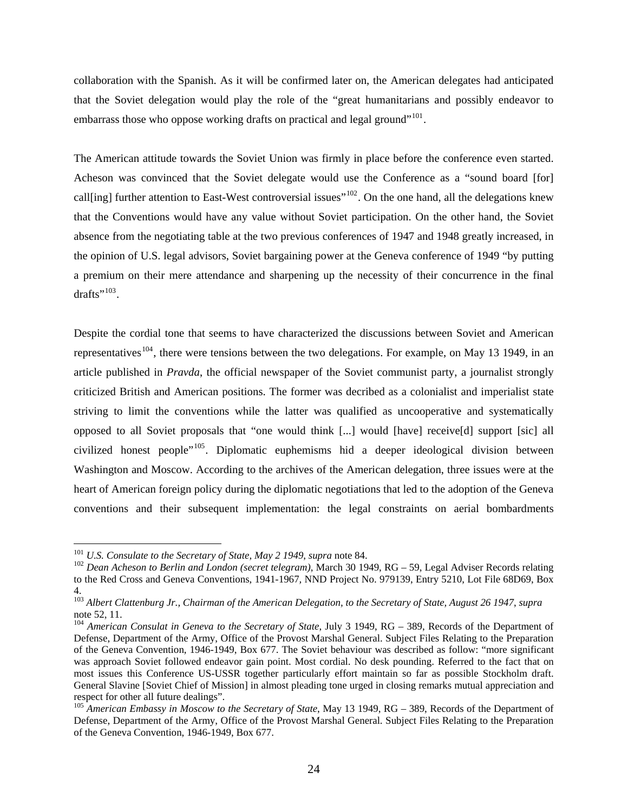collaboration with the Spanish. As it will be confirmed later on, the American delegates had anticipated that the Soviet delegation would play the role of the "great humanitarians and possibly endeavor to embarrass those who oppose working drafts on practical and legal ground"<sup>[101](#page-26-0)</sup>.

The American attitude towards the Soviet Union was firmly in place before the conference even started. Acheson was convinced that the Soviet delegate would use the Conference as a "sound board [for] call[ing] further attention to East-West controversial issues"<sup>[102](#page-26-1)</sup>. On the one hand, all the delegations knew that the Conventions would have any value without Soviet participation. On the other hand, the Soviet absence from the negotiating table at the two previous conferences of 1947 and 1948 greatly increased, in the opinion of U.S. legal advisors, Soviet bargaining power at the Geneva conference of 1949 "by putting a premium on their mere attendance and sharpening up the necessity of their concurrence in the final drafts".<sup>[103](#page-26-2)</sup>.

Despite the cordial tone that seems to have characterized the discussions between Soviet and American representatives<sup>[104](#page-26-3)</sup>, there were tensions between the two delegations. For example, on May 13 1949, in an article published in *Pravda*, the official newspaper of the Soviet communist party, a journalist strongly criticized British and American positions. The former was decribed as a colonialist and imperialist state striving to limit the conventions while the latter was qualified as uncooperative and systematically opposed to all Soviet proposals that "one would think [...] would [have] receive[d] support [sic] all civilized honest people"<sup>[105](#page-26-4)</sup>. Diplomatic euphemisms hid a deeper ideological division between Washington and Moscow. According to the archives of the American delegation, three issues were at the heart of American foreign policy during the diplomatic negotiations that led to the adoption of the Geneva conventions and their subsequent implementation: the legal constraints on aerial bombardments

<span id="page-26-1"></span><span id="page-26-0"></span><sup>&</sup>lt;sup>101</sup> *U.S. Consulate to the Secretary of State, May 2 1949, supra* note 84.<br><sup>102</sup> *Dean Acheson to Berlin and London (secret telegram)*, March 30 1949, RG – 59, Legal Adviser Records relating to the Red Cross and Geneva Conventions, 1941-1967*,* NND Project No. 979139, Entry 5210, Lot File 68D69, Box 4.

<span id="page-26-2"></span><sup>103</sup> *Albert Clattenburg Jr., Chairman of the American Delegation, to the Secretary of State, August 26 1947*, *supra*  note 52, 11.

<span id="page-26-3"></span><sup>104</sup> *American Consulat in Geneva to the Secretary of State*, July 3 1949, RG – 389, Records of the Department of Defense, Department of the Army, Office of the Provost Marshal General. Subject Files Relating to the Preparation of the Geneva Convention, 1946-1949, Box 677. The Soviet behaviour was described as follow: "more significant was approach Soviet followed endeavor gain point. Most cordial. No desk pounding. Referred to the fact that on most issues this Conference US-USSR together particularly effort maintain so far as possible Stockholm draft. General Slavine [Soviet Chief of Mission] in almost pleading tone urged in closing remarks mutual appreciation and respect for other all future dealings".

<span id="page-26-4"></span><sup>105</sup> *American Embassy in Moscow to the Secretary of State*, May 13 1949, RG – 389, Records of the Department of Defense, Department of the Army, Office of the Provost Marshal General. Subject Files Relating to the Preparation of the Geneva Convention, 1946-1949, Box 677.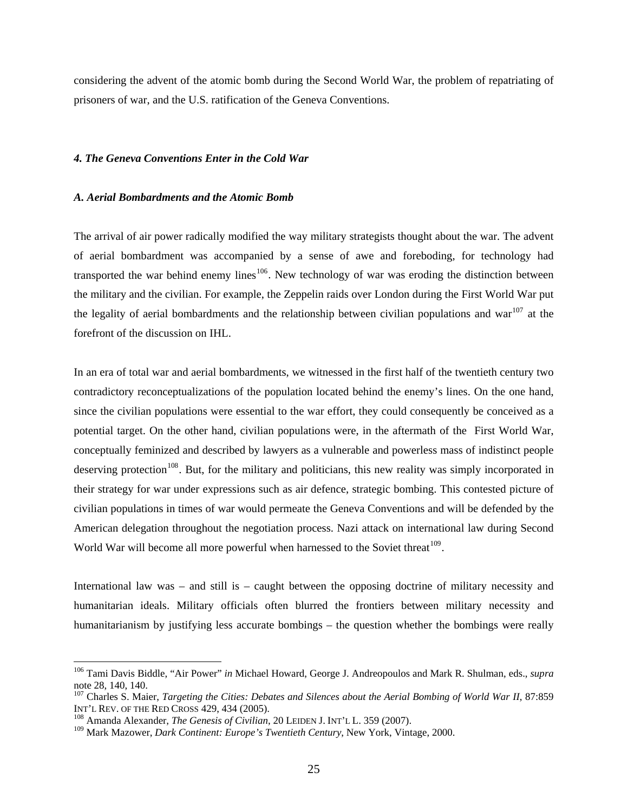considering the advent of the atomic bomb during the Second World War, the problem of repatriating of prisoners of war, and the U.S. ratification of the Geneva Conventions.

## *4. The Geneva Conventions Enter in the Cold War*

#### *A. Aerial Bombardments and the Atomic Bomb*

The arrival of air power radically modified the way military strategists thought about the war. The advent of aerial bombardment was accompanied by a sense of awe and foreboding, for technology had transported the war behind enemy lines<sup>[106](#page-27-0)</sup>. New technology of war was eroding the distinction between the military and the civilian. For example, the Zeppelin raids over London during the First World War put the legality of aerial bombardments and the relationship between civilian populations and war<sup>[107](#page-27-1)</sup> at the forefront of the discussion on IHL.

In an era of total war and aerial bombardments, we witnessed in the first half of the twentieth century two contradictory reconceptualizations of the population located behind the enemy's lines. On the one hand, since the civilian populations were essential to the war effort, they could consequently be conceived as a potential target. On the other hand, civilian populations were, in the aftermath of the First World War, conceptually feminized and described by lawyers as a vulnerable and powerless mass of indistinct people deserving protection<sup>[108](#page-27-2)</sup>. But, for the military and politicians, this new reality was simply incorporated in their strategy for war under expressions such as air defence, strategic bombing. This contested picture of civilian populations in times of war would permeate the Geneva Conventions and will be defended by the American delegation throughout the negotiation process. Nazi attack on international law during Second World War will become all more powerful when harnessed to the Soviet threat<sup>[109](#page-27-3)</sup>.

International law was – and still is – caught between the opposing doctrine of military necessity and humanitarian ideals. Military officials often blurred the frontiers between military necessity and humanitarianism by justifying less accurate bombings – the question whether the bombings were really

<span id="page-27-0"></span><sup>106</sup> Tami Davis Biddle, "Air Power" *in* Michael Howard, George J. Andreopoulos and Mark R. Shulman, eds., *supra*  note 28, 140, 140.

<span id="page-27-1"></span><sup>&</sup>lt;sup>107</sup> Charles S. Maier, *Targeting the Cities: Debates and Silences about the Aerial Bombing of World War II*, 87:859 INT'L REV. OF THE RED CROSS 429, 434 (2005).

<span id="page-27-2"></span><sup>&</sup>lt;sup>108</sup> Amanda Alexander, *The Genesis of Civilian*, 20 LEIDEN J. INT'L L. 359 (2007).

<span id="page-27-3"></span><sup>109</sup> Mark Mazower, *Dark Continent: Europe's Twentieth Century*, New York, Vintage, 2000.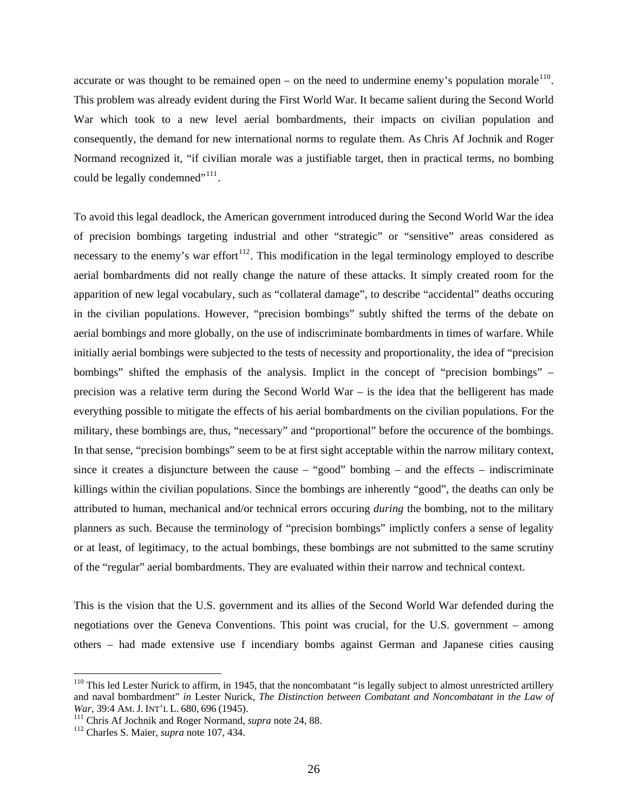accurate or was thought to be remained open – on the need to undermine enemy's population morale<sup>[110](#page-28-0)</sup>. This problem was already evident during the First World War. It became salient during the Second World War which took to a new level aerial bombardments, their impacts on civilian population and consequently, the demand for new international norms to regulate them. As Chris Af Jochnik and Roger Normand recognized it, "if civilian morale was a justifiable target, then in practical terms, no bombing could be legally condemned"<sup>[111](#page-28-1)</sup>.

To avoid this legal deadlock, the American government introduced during the Second World War the idea of precision bombings targeting industrial and other "strategic" or "sensitive" areas considered as necessary to the enemy's war effort<sup> $112$ </sup>. This modification in the legal terminology employed to describe aerial bombardments did not really change the nature of these attacks. It simply created room for the apparition of new legal vocabulary, such as "collateral damage", to describe "accidental" deaths occuring in the civilian populations. However, "precision bombings" subtly shifted the terms of the debate on aerial bombings and more globally, on the use of indiscriminate bombardments in times of warfare. While initially aerial bombings were subjected to the tests of necessity and proportionality, the idea of "precision bombings" shifted the emphasis of the analysis. Implict in the concept of "precision bombings" – precision was a relative term during the Second World War – is the idea that the belligerent has made everything possible to mitigate the effects of his aerial bombardments on the civilian populations. For the military, these bombings are, thus, "necessary" and "proportional" before the occurence of the bombings. In that sense, "precision bombings" seem to be at first sight acceptable within the narrow military context, since it creates a disjuncture between the cause – "good" bombing – and the effects – indiscriminate killings within the civilian populations. Since the bombings are inherently "good", the deaths can only be attributed to human, mechanical and/or technical errors occuring *during* the bombing, not to the military planners as such. Because the terminology of "precision bombings" implictly confers a sense of legality or at least, of legitimacy, to the actual bombings, these bombings are not submitted to the same scrutiny of the "regular" aerial bombardments. They are evaluated within their narrow and technical context.

This is the vision that the U.S. government and its allies of the Second World War defended during the negotiations over the Geneva Conventions. This point was crucial, for the U.S. government – among others – had made extensive use f incendiary bombs against German and Japanese cities causing

<span id="page-28-0"></span> $110$  This led Lester Nurick to affirm, in 1945, that the noncombatant "is legally subject to almost unrestricted artillery and naval bombardment" *in* Lester Nurick, *The Distinction between Combatant and Noncombatant in the Law of War*, 39:4 AM. J. INT'L L. 680, 696 (1945).<br><sup>111</sup> Chris Af Jochnik and Roger Normand, *supra* note 24, 88. <sup>112</sup> Charles S. Maier, *supra* note 107, 434.

<span id="page-28-2"></span><span id="page-28-1"></span>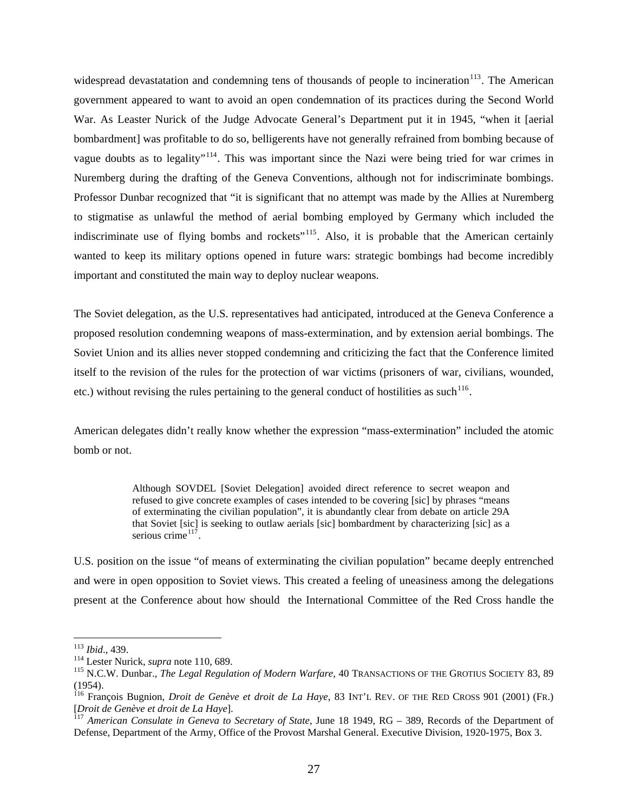widespread devastatation and condemning tens of thousands of people to incineration<sup>[113](#page-29-0)</sup>. The American government appeared to want to avoid an open condemnation of its practices during the Second World War. As Leaster Nurick of the Judge Advocate General's Department put it in 1945, "when it [aerial bombardment] was profitable to do so, belligerents have not generally refrained from bombing because of vague doubts as to legality"<sup>[114](#page-29-1)</sup>. This was important since the Nazi were being tried for war crimes in Nuremberg during the drafting of the Geneva Conventions, although not for indiscriminate bombings. Professor Dunbar recognized that "it is significant that no attempt was made by the Allies at Nuremberg to stigmatise as unlawful the method of aerial bombing employed by Germany which included the indiscriminate use of flying bombs and rockets"<sup>[115](#page-29-2)</sup>. Also, it is probable that the American certainly wanted to keep its military options opened in future wars: strategic bombings had become incredibly important and constituted the main way to deploy nuclear weapons.

The Soviet delegation, as the U.S. representatives had anticipated, introduced at the Geneva Conference a proposed resolution condemning weapons of mass-extermination, and by extension aerial bombings. The Soviet Union and its allies never stopped condemning and criticizing the fact that the Conference limited itself to the revision of the rules for the protection of war victims (prisoners of war, civilians, wounded, etc.) without revising the rules pertaining to the general conduct of hostilities as such  $^{116}$  $^{116}$  $^{116}$ .

American delegates didn't really know whether the expression "mass-extermination" included the atomic bomb or not.

> Although SOVDEL [Soviet Delegation] avoided direct reference to secret weapon and refused to give concrete examples of cases intended to be covering [sic] by phrases "means of exterminating the civilian population", it is abundantly clear from debate on article 29A that Soviet [sic] is seeking to outlaw aerials [sic] bombardment by characterizing [sic] as a serious crime $117$

U.S. position on the issue "of means of exterminating the civilian population" became deeply entrenched and were in open opposition to Soviet views. This created a feeling of uneasiness among the delegations present at the Conference about how should the International Committee of the Red Cross handle the

<span id="page-29-0"></span><sup>&</sup>lt;sup>113</sup> Ibid., 439.

<span id="page-29-2"></span><span id="page-29-1"></span><sup>114</sup> Lester Nurick, *supra* note 110, 689.<br><sup>115</sup> N.C.W. Dunbar., *The Legal Regulation of Modern Warfare*, 40 TRANSACTIONS OF THE GROTIUS SOCIETY 83, 89 (1954).

<span id="page-29-3"></span><sup>116</sup> François Bugnion, *Droit de Genève et droit de La Haye*, 83 INT'L REV. OF THE RED CROSS 901 (2001) (FR.)

<span id="page-29-4"></span><sup>[</sup>*Droit de Genève et droit de La Haye*]. 117 *American Consulate in Geneva to Secretary of State*, June 18 1949, RG – 389, Records of the Department of Defense, Department of the Army, Office of the Provost Marshal General. Executive Division, 1920-1975, Box 3.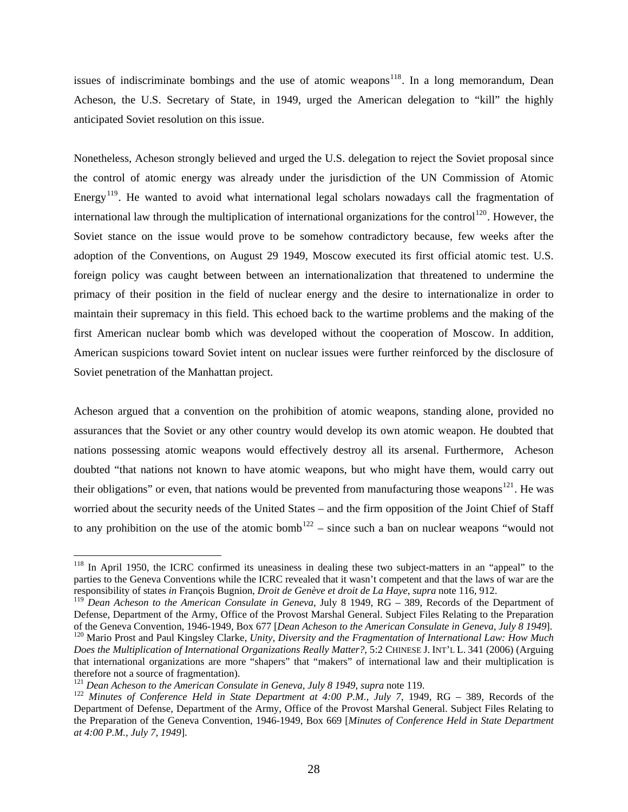issues of indiscriminate bombings and the use of atomic weapons<sup>[118](#page-30-0)</sup>. In a long memorandum, Dean Acheson, the U.S. Secretary of State, in 1949, urged the American delegation to "kill" the highly anticipated Soviet resolution on this issue.

Nonetheless, Acheson strongly believed and urged the U.S. delegation to reject the Soviet proposal since the control of atomic energy was already under the jurisdiction of the UN Commission of Atomic Energy<sup>[119](#page-30-1)</sup>. He wanted to avoid what international legal scholars nowadays call the fragmentation of international law through the multiplication of international organizations for the control<sup>[120](#page-30-2)</sup>. However, the Soviet stance on the issue would prove to be somehow contradictory because, few weeks after the adoption of the Conventions, on August 29 1949, Moscow executed its first official atomic test. U.S. foreign policy was caught between between an internationalization that threatened to undermine the primacy of their position in the field of nuclear energy and the desire to internationalize in order to maintain their supremacy in this field. This echoed back to the wartime problems and the making of the first American nuclear bomb which was developed without the cooperation of Moscow. In addition, American suspicions toward Soviet intent on nuclear issues were further reinforced by the disclosure of Soviet penetration of the Manhattan project.

Acheson argued that a convention on the prohibition of atomic weapons, standing alone, provided no assurances that the Soviet or any other country would develop its own atomic weapon. He doubted that nations possessing atomic weapons would effectively destroy all its arsenal. Furthermore, Acheson doubted "that nations not known to have atomic weapons, but who might have them, would carry out their obligations" or even, that nations would be prevented from manufacturing those weapons<sup>[121](#page-30-3)</sup>. He was worried about the security needs of the United States – and the firm opposition of the Joint Chief of Staff to any prohibition on the use of the atomic bomb<sup>[122](#page-30-4)</sup> – since such a ban on nuclear weapons "would not

<span id="page-30-0"></span><sup>&</sup>lt;sup>118</sup> In April 1950, the ICRC confirmed its uneasiness in dealing these two subject-matters in an "appeal" to the parties to the Geneva Conventions while the ICRC revealed that it wasn't competent and that the laws of war are the responsibility of states *in* François Bugnion, *Droit de Genève et droit de La Haye*, *supra* note 116, 912.

<span id="page-30-1"></span><sup>119</sup> *Dean Acheson to the American Consulate in Geneva*, July 8 1949, RG – 389, Records of the Department of Defense, Department of the Army, Office of the Provost Marshal General. Subject Files Relating to the Preparation of the Geneva Convention, 1946-1949, Box 677 [Dean Acheson to the American Consulate in Geneva, July 8 1949]

<span id="page-30-2"></span><sup>&</sup>lt;sup>120</sup> Mario Prost and Paul Kingsley Clarke, Unity, Diversity and the Fragmentation of International Law: How Much *Does the Multiplication of International Organizations Really Matter?*, 5:2 CHINESE J. INT'L L. 341 (2006) (Arguing that international organizations are more "shapers" that "makers" of international law and their multiplication is therefore not a source of fragmentation).<br><sup>121</sup> Dean Acheson to the American Consulate in Geneva, July 8 1949, supra note 119.

<span id="page-30-3"></span>

<span id="page-30-4"></span><sup>&</sup>lt;sup>122</sup> Minutes of Conference Held in State Department at 4:00 P.M., July 7, 1949, RG – 389, Records of the Department of Defense, Department of the Army, Office of the Provost Marshal General. Subject Files Relating to the Preparation of the Geneva Convention, 1946-1949, Box 669 [*Minutes of Conference Held in State Department at 4:00 P.M., July 7, 1949*].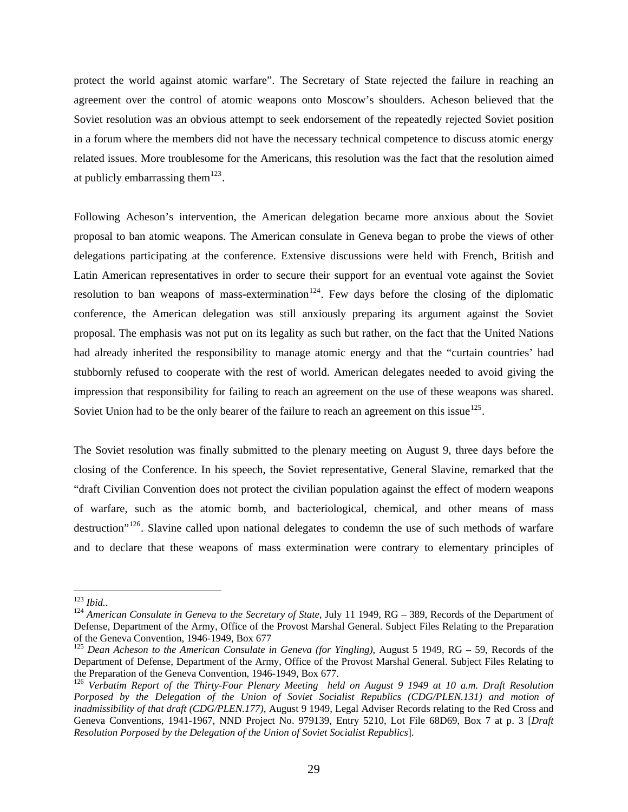protect the world against atomic warfare". The Secretary of State rejected the failure in reaching an agreement over the control of atomic weapons onto Moscow's shoulders. Acheson believed that the Soviet resolution was an obvious attempt to seek endorsement of the repeatedly rejected Soviet position in a forum where the members did not have the necessary technical competence to discuss atomic energy related issues. More troublesome for the Americans, this resolution was the fact that the resolution aimed at publicly embarrassing them<sup>[123](#page-31-0)</sup>.

Following Acheson's intervention, the American delegation became more anxious about the Soviet proposal to ban atomic weapons. The American consulate in Geneva began to probe the views of other delegations participating at the conference. Extensive discussions were held with French, British and Latin American representatives in order to secure their support for an eventual vote against the Soviet resolution to ban weapons of mass-extermination<sup>[124](#page-31-1)</sup>. Few days before the closing of the diplomatic conference, the American delegation was still anxiously preparing its argument against the Soviet proposal. The emphasis was not put on its legality as such but rather, on the fact that the United Nations had already inherited the responsibility to manage atomic energy and that the "curtain countries' had stubbornly refused to cooperate with the rest of world. American delegates needed to avoid giving the impression that responsibility for failing to reach an agreement on the use of these weapons was shared. Soviet Union had to be the only bearer of the failure to reach an agreement on this issue<sup>[125](#page-31-2)</sup>.

The Soviet resolution was finally submitted to the plenary meeting on August 9, three days before the closing of the Conference. In his speech, the Soviet representative, General Slavine, remarked that the "draft Civilian Convention does not protect the civilian population against the effect of modern weapons of warfare, such as the atomic bomb, and bacteriological, chemical, and other means of mass destruction<sup>"[126](#page-31-3)</sup>. Slavine called upon national delegates to condemn the use of such methods of warfare and to declare that these weapons of mass extermination were contrary to elementary principles of

<span id="page-31-0"></span> $123$  Ibid..

<span id="page-31-1"></span><sup>&</sup>lt;sup>124</sup> American Consulate in Geneva to the Secretary of State, July 11 1949, RG – 389, Records of the Department of Defense, Department of the Army, Office of the Provost Marshal General. Subject Files Relating to the Preparation of the Geneva Convention, 1946-1949, Box 677

<span id="page-31-2"></span><sup>125</sup> *Dean Acheson to the American Consulate in Geneva (for Yingling)*, August 5 1949, RG – 59, Records of the Department of Defense, Department of the Army, Office of the Provost Marshal General. Subject Files Relating to the Preparation of the Geneva Convention, 1946-1949, Box 677.

<span id="page-31-3"></span><sup>126</sup> *Verbatim Report of the Thirty-Four Plenary Meeting held on August 9 1949 at 10 a.m. Draft Resolution*  Porposed by the Delegation of the Union of Soviet Socialist Republics (CDG/PLEN.131) and motion of *inadmissibility of that draft (CDG/PLEN.177)*, August 9 1949, Legal Adviser Records relating to the Red Cross and Geneva Conventions, 1941-1967*,* NND Project No. 979139, Entry 5210, Lot File 68D69, Box 7 at p. 3 [*Draft Resolution Porposed by the Delegation of the Union of Soviet Socialist Republics*].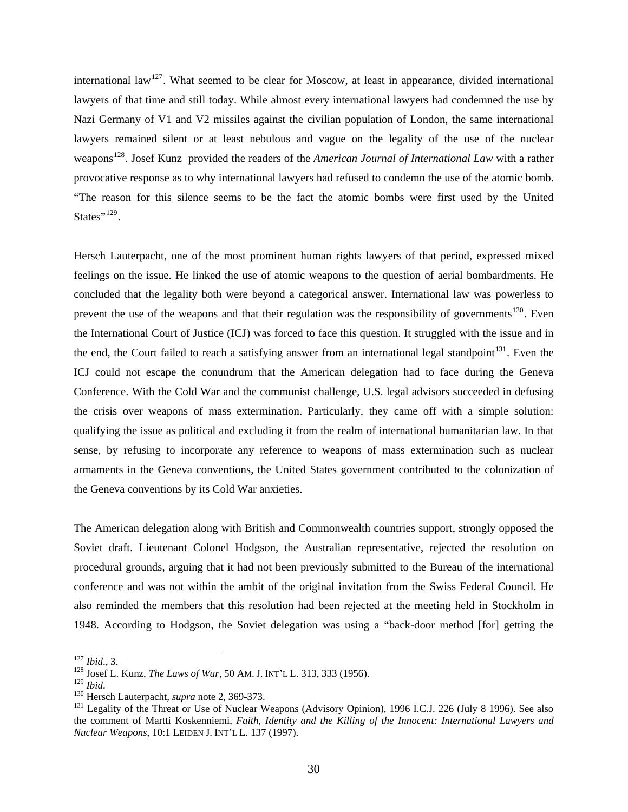international law<sup>[127](#page-32-0)</sup>. What seemed to be clear for Moscow, at least in appearance, divided international lawyers of that time and still today. While almost every international lawyers had condemned the use by Nazi Germany of V1 and V2 missiles against the civilian population of London, the same international lawyers remained silent or at least nebulous and vague on the legality of the use of the nuclear weapons<sup>[128](#page-32-1)</sup>. Josef Kunz provided the readers of the *American Journal of International Law* with a rather provocative response as to why international lawyers had refused to condemn the use of the atomic bomb. "The reason for this silence seems to be the fact the atomic bombs were first used by the United States"<sup>[129](#page-32-2)</sup>.

Hersch Lauterpacht, one of the most prominent human rights lawyers of that period, expressed mixed feelings on the issue. He linked the use of atomic weapons to the question of aerial bombardments. He concluded that the legality both were beyond a categorical answer. International law was powerless to prevent the use of the weapons and that their regulation was the responsibility of governments<sup>[130](#page-32-3)</sup>. Even the International Court of Justice (ICJ) was forced to face this question. It struggled with the issue and in the end, the Court failed to reach a satisfying answer from an international legal standpoint<sup>[131](#page-32-4)</sup>. Even the ICJ could not escape the conundrum that the American delegation had to face during the Geneva Conference. With the Cold War and the communist challenge, U.S. legal advisors succeeded in defusing the crisis over weapons of mass extermination. Particularly, they came off with a simple solution: qualifying the issue as political and excluding it from the realm of international humanitarian law. In that sense, by refusing to incorporate any reference to weapons of mass extermination such as nuclear armaments in the Geneva conventions, the United States government contributed to the colonization of the Geneva conventions by its Cold War anxieties.

The American delegation along with British and Commonwealth countries support, strongly opposed the Soviet draft. Lieutenant Colonel Hodgson, the Australian representative, rejected the resolution on procedural grounds, arguing that it had not been previously submitted to the Bureau of the international conference and was not within the ambit of the original invitation from the Swiss Federal Council. He also reminded the members that this resolution had been rejected at the meeting held in Stockholm in 1948. According to Hodgson, the Soviet delegation was using a "back-door method [for] getting the

<span id="page-32-0"></span> $127$  *Ibid.*, 3.

<span id="page-32-1"></span><sup>&</sup>lt;sup>128</sup> Josef L. Kunz, *The Laws of War*, 50 AM. J. INT'L L. 313, 333 (1956).<br><sup>129</sup> *Ibid.* 

<span id="page-32-2"></span>

<span id="page-32-4"></span><span id="page-32-3"></span><sup>&</sup>lt;sup>130</sup> Hersch Lauterpacht, *supra* note 2, 369-373.<br><sup>131</sup> Legality of the Threat or Use of Nuclear Weapons (Advisory Opinion), 1996 I.C.J. 226 (July 8 1996). See also the comment of Martti Koskenniemi, *Faith, Identity and the Killing of the Innocent: International Lawyers and Nuclear Weapons*, 10:1 LEIDEN J. INT'L L. 137 (1997).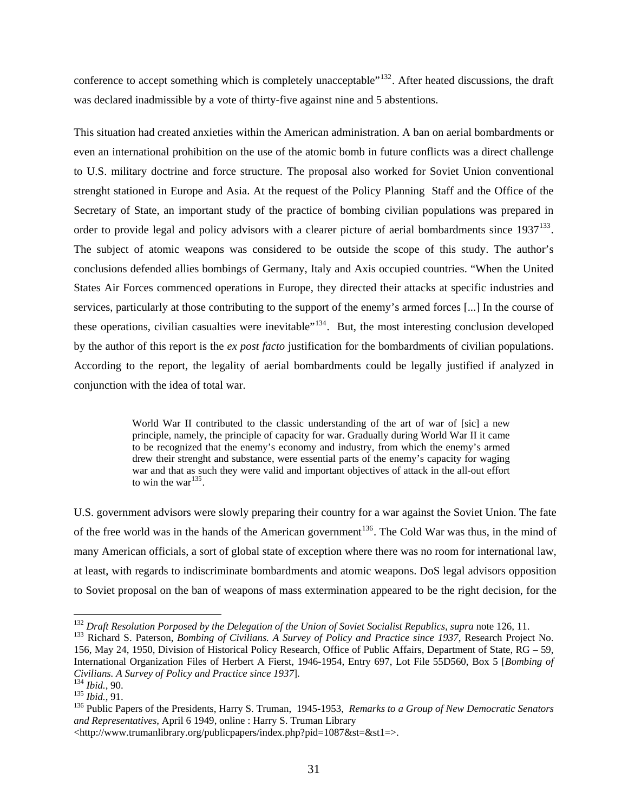conference to accept something which is completely unacceptable"<sup>[132](#page-33-0)</sup>. After heated discussions, the draft was declared inadmissible by a vote of thirty-five against nine and 5 abstentions.

This situation had created anxieties within the American administration. A ban on aerial bombardments or even an international prohibition on the use of the atomic bomb in future conflicts was a direct challenge to U.S. military doctrine and force structure. The proposal also worked for Soviet Union conventional strenght stationed in Europe and Asia. At the request of the Policy Planning Staff and the Office of the Secretary of State, an important study of the practice of bombing civilian populations was prepared in order to provide legal and policy advisors with a clearer picture of aerial bombardments since 1937<sup>[133](#page-33-1)</sup>. The subject of atomic weapons was considered to be outside the scope of this study. The author's conclusions defended allies bombings of Germany, Italy and Axis occupied countries. "When the United States Air Forces commenced operations in Europe, they directed their attacks at specific industries and services, particularly at those contributing to the support of the enemy's armed forces [...] In the course of these operations, civilian casualties were inevitable"<sup>[134](#page-33-2)</sup>. But, the most interesting conclusion developed by the author of this report is the *ex post facto* justification for the bombardments of civilian populations. According to the report, the legality of aerial bombardments could be legally justified if analyzed in conjunction with the idea of total war.

> World War II contributed to the classic understanding of the art of war of [sic] a new principle, namely, the principle of capacity for war. Gradually during World War II it came to be recognized that the enemy's economy and industry, from which the enemy's armed drew their strenght and substance, were essential parts of the enemy's capacity for waging war and that as such they were valid and important objectives of attack in the all-out effort to win the war $^{135}$  $^{135}$  $^{135}$ .

U.S. government advisors were slowly preparing their country for a war against the Soviet Union. The fate of the free world was in the hands of the American government<sup>[136](#page-33-4)</sup>. The Cold War was thus, in the mind of many American officials, a sort of global state of exception where there was no room for international law, at least, with regards to indiscriminate bombardments and atomic weapons. DoS legal advisors opposition to Soviet proposal on the ban of weapons of mass extermination appeared to be the right decision, for the

<span id="page-33-0"></span> $^{132}$  Draft Resolution Porposed by the Delegation of the Union of Soviet Socialist Republics, supra note 126, 11.

<span id="page-33-1"></span><sup>&</sup>lt;sup>133</sup> Richard S. Paterson, *Bombing of Civilians. A Survey of Policy and Practice since 1937*, Research Project No. 156, May 24, 1950, Division of Historical Policy Research, Office of Public Affairs, Department of State, RG – 59, International Organization Files of Herbert A Fierst, 1946-1954, Entry 697, Lot File 55D560, Box 5 [*Bombing of* 

<span id="page-33-4"></span><span id="page-33-3"></span>

<span id="page-33-2"></span>Civilians. A Survey of Policy and Practice since 1937].<br><sup>134</sup> Ibid., 90.<br><sup>135</sup> Ibid., 91.<br><sup>136</sup> Public Papers of the Presidents, Harry S. Truman, 1945-1953, Remarks to a Group of New Democratic Senators *and Representatives*, April 6 1949, online : Harry S. Truman Library

<sup>&</sup>lt;http://www.trumanlibrary.org/publicpapers/index.php?pid=1087&st=&st1=>.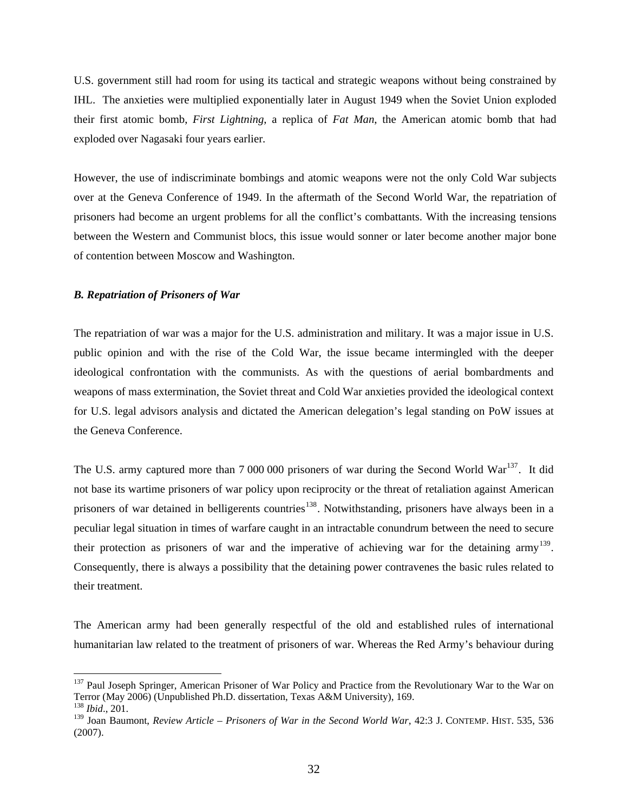U.S. government still had room for using its tactical and strategic weapons without being constrained by IHL. The anxieties were multiplied exponentially later in August 1949 when the Soviet Union exploded their first atomic bomb, *First Lightning*, a replica of *Fat Man*, the American atomic bomb that had exploded over Nagasaki four years earlier.

However, the use of indiscriminate bombings and atomic weapons were not the only Cold War subjects over at the Geneva Conference of 1949. In the aftermath of the Second World War, the repatriation of prisoners had become an urgent problems for all the conflict's combattants. With the increasing tensions between the Western and Communist blocs, this issue would sonner or later become another major bone of contention between Moscow and Washington.

#### *B. Repatriation of Prisoners of War*

 $\overline{a}$ 

The repatriation of war was a major for the U.S. administration and military. It was a major issue in U.S. public opinion and with the rise of the Cold War, the issue became intermingled with the deeper ideological confrontation with the communists. As with the questions of aerial bombardments and weapons of mass extermination, the Soviet threat and Cold War anxieties provided the ideological context for U.S. legal advisors analysis and dictated the American delegation's legal standing on PoW issues at the Geneva Conference.

The U.S. army captured more than 7 000 000 prisoners of war during the Second World War<sup>[137](#page-34-0)</sup>. It did not base its wartime prisoners of war policy upon reciprocity or the threat of retaliation against American prisoners of war detained in belligerents countries<sup>[138](#page-34-1)</sup>. Notwithstanding, prisoners have always been in a peculiar legal situation in times of warfare caught in an intractable conundrum between the need to secure their protection as prisoners of war and the imperative of achieving war for the detaining army<sup>[139](#page-34-2)</sup>. Consequently, there is always a possibility that the detaining power contravenes the basic rules related to their treatment.

The American army had been generally respectful of the old and established rules of international humanitarian law related to the treatment of prisoners of war. Whereas the Red Army's behaviour during

<span id="page-34-0"></span><sup>&</sup>lt;sup>137</sup> Paul Joseph Springer, American Prisoner of War Policy and Practice from the Revolutionary War to the War on Terror (May 2006) (Unpublished Ph.D. dissertation, Texas A&M University), 169. <sup>138</sup> *Ibid*., 201.

<span id="page-34-2"></span><span id="page-34-1"></span><sup>139</sup> Joan Baumont, *Review Article – Prisoners of War in the Second World War*, 42:3 J. CONTEMP. HIST. 535, 536 (2007).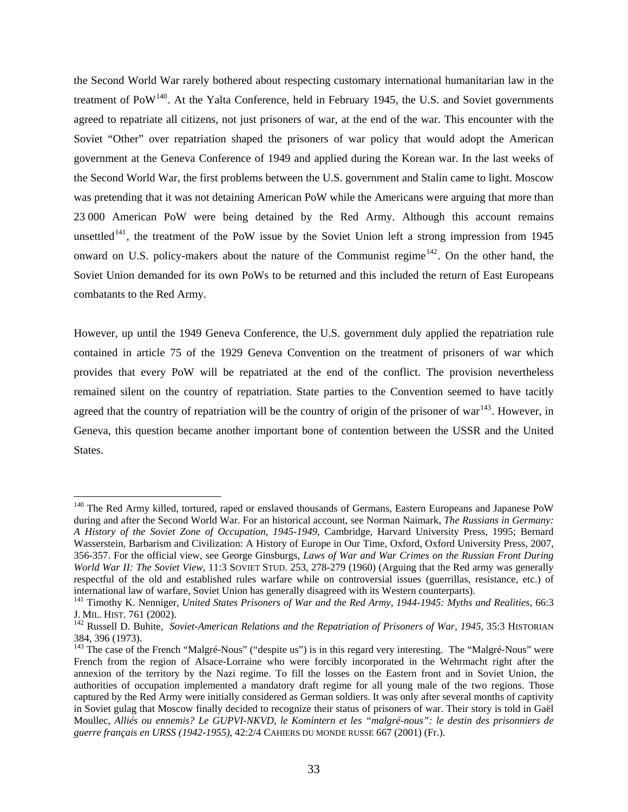the Second World War rarely bothered about respecting customary international humanitarian law in the treatment of  $PoW<sup>140</sup>$  $PoW<sup>140</sup>$  $PoW<sup>140</sup>$ . At the Yalta Conference, held in February 1945, the U.S. and Soviet governments agreed to repatriate all citizens, not just prisoners of war, at the end of the war. This encounter with the Soviet "Other" over repatriation shaped the prisoners of war policy that would adopt the American government at the Geneva Conference of 1949 and applied during the Korean war. In the last weeks of the Second World War, the first problems between the U.S. government and Stalin came to light. Moscow was pretending that it was not detaining American PoW while the Americans were arguing that more than 23 000 American PoW were being detained by the Red Army. Although this account remains unsettled<sup>[141](#page-35-1)</sup>, the treatment of the PoW issue by the Soviet Union left a strong impression from 1945 onward on U.S. policy-makers about the nature of the Communist regime<sup> $142$ </sup>. On the other hand, the Soviet Union demanded for its own PoWs to be returned and this included the return of East Europeans combatants to the Red Army.

However, up until the 1949 Geneva Conference, the U.S. government duly applied the repatriation rule contained in article 75 of the 1929 Geneva Convention on the treatment of prisoners of war which provides that every PoW will be repatriated at the end of the conflict. The provision nevertheless remained silent on the country of repatriation. State parties to the Convention seemed to have tacitly agreed that the country of repatriation will be the country of origin of the prisoner of war $143$ . However, in Geneva, this question became another important bone of contention between the USSR and the United States.

<span id="page-35-0"></span><sup>&</sup>lt;sup>140</sup> The Red Army killed, tortured, raped or enslaved thousands of Germans, Eastern Europeans and Japanese PoW during and after the Second World War. For an historical account, see Norman Naimark, *The Russians in Germany: A History of the Soviet Zone of Occupation, 1945-1949*, Cambridge, Harvard University Press, 1995; Bernard Wasserstein, Barbarism and Civilization: A History of Europe in Our Time, Oxford, Oxford University Press, 2007, 356-357. For the official view, see George Ginsburgs, *Laws of War and War Crimes on the Russian Front During World War II: The Soviet View*, 11:3 SOVIET STUD. 253, 278-279 (1960) (Arguing that the Red army was generally respectful of the old and established rules warfare while on controversial issues (guerrillas, resistance, etc.) of international law of warfare, Soviet Union has generally disagreed with its Western counterparts). 141 Timothy K. Nenniger, *United States Prisoners of War and the Red Army, 1944-1945: Myths and Realities*, 66:3

<span id="page-35-1"></span>J. MIL. HIST. 761 (2002). 142 Russell D. Buhite*, Soviet-American Relations and the Repatriation of Prisoners of War, 1945,* 35:3 HISTORIAN

<span id="page-35-2"></span><sup>384, 396 (1973).</sup>

<span id="page-35-3"></span><sup>&</sup>lt;sup>143</sup> The case of the French "Malgré-Nous" ("despite us") is in this regard very interesting. The "Malgré-Nous" were French from the region of Alsace-Lorraine who were forcibly incorporated in the Wehrmacht right after the annexion of the territory by the Nazi regime. To fill the losses on the Eastern front and in Soviet Union, the authorities of occupation implemented a mandatory draft regime for all young male of the two regions. Those captured by the Red Army were initially considered as German soldiers. It was only after several months of captivity in Soviet gulag that Moscow finally decided to recognize their status of prisoners of war. Their story is told in Gaël Moullec, *Alliés ou ennemis? Le GUPVI-NKVD, le Komintern et les "malgré-nous": le destin des prisonniers de guerre français en URSS (1942-1955)*, 42:2/4 CAHIERS DU MONDE RUSSE 667 (2001) (Fr.).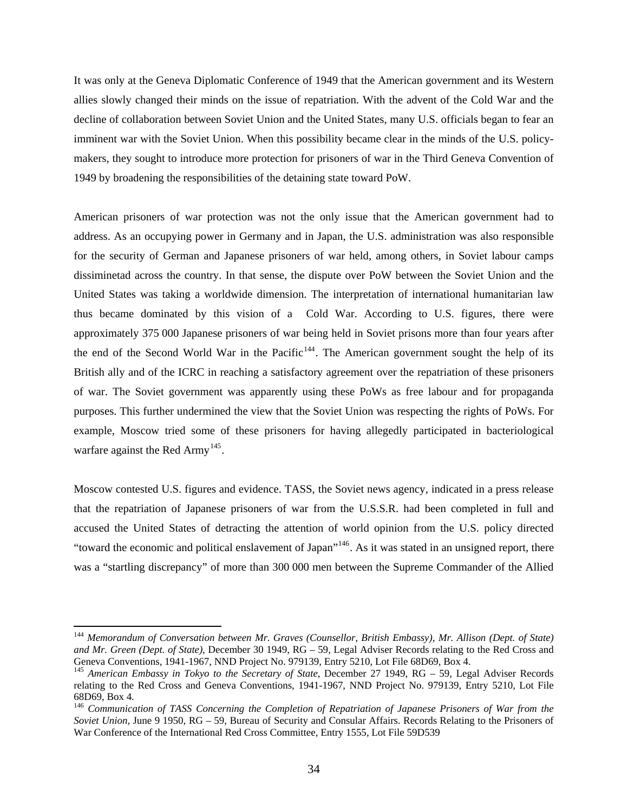It was only at the Geneva Diplomatic Conference of 1949 that the American government and its Western allies slowly changed their minds on the issue of repatriation. With the advent of the Cold War and the decline of collaboration between Soviet Union and the United States, many U.S. officials began to fear an imminent war with the Soviet Union. When this possibility became clear in the minds of the U.S. policymakers, they sought to introduce more protection for prisoners of war in the Third Geneva Convention of 1949 by broadening the responsibilities of the detaining state toward PoW.

American prisoners of war protection was not the only issue that the American government had to address. As an occupying power in Germany and in Japan, the U.S. administration was also responsible for the security of German and Japanese prisoners of war held, among others, in Soviet labour camps dissiminetad across the country. In that sense, the dispute over PoW between the Soviet Union and the United States was taking a worldwide dimension. The interpretation of international humanitarian law thus became dominated by this vision of a Cold War. According to U.S. figures, there were approximately 375 000 Japanese prisoners of war being held in Soviet prisons more than four years after the end of the Second World War in the Pacific<sup>[144](#page-36-0)</sup>. The American government sought the help of its British ally and of the ICRC in reaching a satisfactory agreement over the repatriation of these prisoners of war. The Soviet government was apparently using these PoWs as free labour and for propaganda purposes. This further undermined the view that the Soviet Union was respecting the rights of PoWs. For example, Moscow tried some of these prisoners for having allegedly participated in bacteriological warfare against the Red Army<sup>[145](#page-36-1)</sup>.

Moscow contested U.S. figures and evidence. TASS, the Soviet news agency, indicated in a press release that the repatriation of Japanese prisoners of war from the U.S.S.R. had been completed in full and accused the United States of detracting the attention of world opinion from the U.S. policy directed "toward the economic and political enslavement of Japan"[146](#page-36-2). As it was stated in an unsigned report, there was a "startling discrepancy" of more than 300 000 men between the Supreme Commander of the Allied

<span id="page-36-0"></span><sup>144</sup> *Memorandum of Conversation between Mr. Graves (Counsellor, British Embassy), Mr. Allison (Dept. of State) and Mr. Green (Dept. of State)*, December 30 1949, RG – 59, Legal Adviser Records relating to the Red Cross and

<span id="page-36-1"></span><sup>&</sup>lt;sup>145</sup> American Embassy in Tokyo to the Secretary of State, December 27 1949, RG – 59, Legal Adviser Records relating to the Red Cross and Geneva Conventions, 1941-1967*,* NND Project No. 979139, Entry 5210, Lot File 68D69, Box 4.

<span id="page-36-2"></span><sup>146</sup> *Communication of TASS Concerning the Completion of Repatriation of Japanese Prisoners of War from the Soviet Union*, June 9 1950, RG – 59, Bureau of Security and Consular Affairs. Records Relating to the Prisoners of War Conference of the International Red Cross Committee, Entry 1555, Lot File 59D539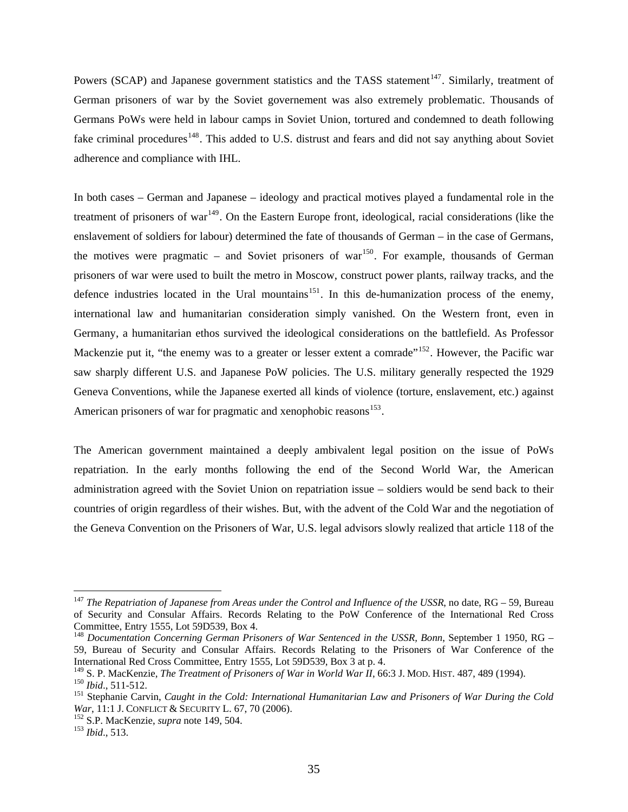Powers (SCAP) and Japanese government statistics and the TASS statement<sup>[147](#page-37-0)</sup>. Similarly, treatment of German prisoners of war by the Soviet governement was also extremely problematic. Thousands of Germans PoWs were held in labour camps in Soviet Union, tortured and condemned to death following fake criminal procedures<sup>[148](#page-37-1)</sup>. This added to U.S. distrust and fears and did not say anything about Soviet adherence and compliance with IHL.

In both cases – German and Japanese – ideology and practical motives played a fundamental role in the treatment of prisoners of war<sup>[149](#page-37-2)</sup>. On the Eastern Europe front, ideological, racial considerations (like the enslavement of soldiers for labour) determined the fate of thousands of German – in the case of Germans, the motives were pragmatic – and Soviet prisoners of war<sup>[150](#page-37-3)</sup>. For example, thousands of German prisoners of war were used to built the metro in Moscow, construct power plants, railway tracks, and the defence industries located in the Ural mountains<sup>[151](#page-37-4)</sup>. In this de-humanization process of the enemy, international law and humanitarian consideration simply vanished. On the Western front, even in Germany, a humanitarian ethos survived the ideological considerations on the battlefield. As Professor Mackenzie put it, "the enemy was to a greater or lesser extent a comrade"<sup>[152](#page-37-5)</sup>. However, the Pacific war saw sharply different U.S. and Japanese PoW policies. The U.S. military generally respected the 1929 Geneva Conventions, while the Japanese exerted all kinds of violence (torture, enslavement, etc.) against American prisoners of war for pragmatic and xenophobic reasons<sup>[153](#page-37-6)</sup>.

The American government maintained a deeply ambivalent legal position on the issue of PoWs repatriation. In the early months following the end of the Second World War, the American administration agreed with the Soviet Union on repatriation issue – soldiers would be send back to their countries of origin regardless of their wishes. But, with the advent of the Cold War and the negotiation of the Geneva Convention on the Prisoners of War, U.S. legal advisors slowly realized that article 118 of the

<span id="page-37-0"></span><sup>147</sup> *The Repatriation of Japanese from Areas under the Control and Influence of the USSR*, no date, RG – 59, Bureau of Security and Consular Affairs. Records Relating to the PoW Conference of the International Red Cross Committee, Entry 1555, Lot 59D539, Box 4.

<span id="page-37-1"></span><sup>148</sup> *Documentation Concerning German Prisoners of War Sentenced in the USSR, Bonn*, September 1 1950, RG – 59, Bureau of Security and Consular Affairs. Records Relating to the Prisoners of War Conference of the International Red Cross Committee, Entry 1555, Lot 59D539, Box 3 at p. 4.<br><sup>149</sup> S. P. MacKenzie, *The Treatment of Prisoners of War in World War II*, 66:3 J. MOD. HIST. 487, 489 (1994).

<span id="page-37-4"></span><span id="page-37-3"></span><span id="page-37-2"></span><sup>&</sup>lt;sup>150</sup> Ibid., 511-512.<br><sup>151</sup> Stephanie Carvin, *Caught in the Cold: International Humanitarian Law and Prisoners of War During the Cold War*, 11:1 J. CONFLICT & SECURITY L. 67, 70 (2006).<br><sup>152</sup> S.P. MacKenzie, *supra* note 149, 504.<br><sup>153</sup> *Ibid.*, 513.

<span id="page-37-5"></span>

<span id="page-37-6"></span>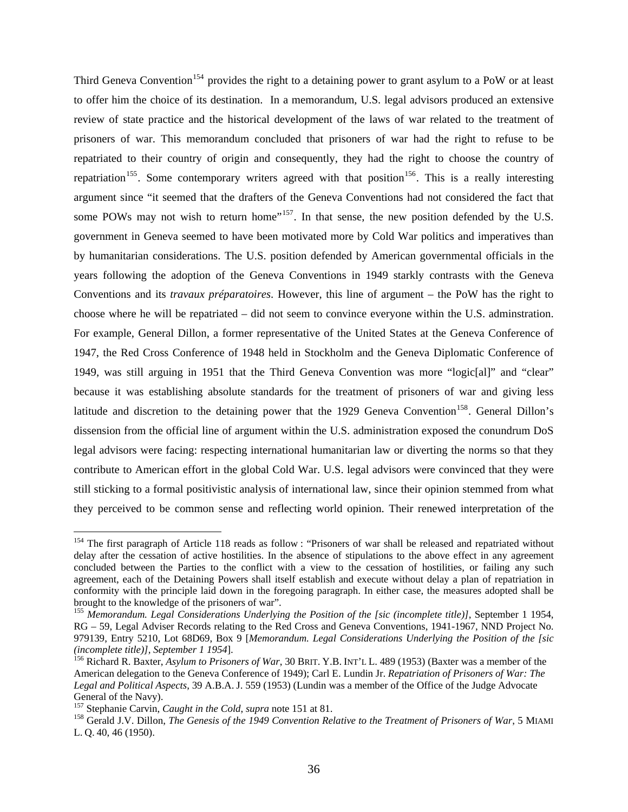Third Geneva Convention<sup>[154](#page-38-0)</sup> provides the right to a detaining power to grant asylum to a PoW or at least to offer him the choice of its destination. In a memorandum, U.S. legal advisors produced an extensive review of state practice and the historical development of the laws of war related to the treatment of prisoners of war. This memorandum concluded that prisoners of war had the right to refuse to be repatriated to their country of origin and consequently, they had the right to choose the country of repatriation<sup>[155](#page-38-1)</sup>. Some contemporary writers agreed with that position<sup>[156](#page-38-2)</sup>. This is a really interesting argument since "it seemed that the drafters of the Geneva Conventions had not considered the fact that some POWs may not wish to return home"<sup>[157](#page-38-3)</sup>. In that sense, the new position defended by the U.S. government in Geneva seemed to have been motivated more by Cold War politics and imperatives than by humanitarian considerations. The U.S. position defended by American governmental officials in the years following the adoption of the Geneva Conventions in 1949 starkly contrasts with the Geneva Conventions and its *travaux préparatoires*. However, this line of argument – the PoW has the right to choose where he will be repatriated – did not seem to convince everyone within the U.S. adminstration. For example, General Dillon, a former representative of the United States at the Geneva Conference of 1947, the Red Cross Conference of 1948 held in Stockholm and the Geneva Diplomatic Conference of 1949, was still arguing in 1951 that the Third Geneva Convention was more "logic[al]" and "clear" because it was establishing absolute standards for the treatment of prisoners of war and giving less latitude and discretion to the detaining power that the 1929 Geneva Convention<sup>[158](#page-38-4)</sup>. General Dillon's dissension from the official line of argument within the U.S. administration exposed the conundrum DoS legal advisors were facing: respecting international humanitarian law or diverting the norms so that they contribute to American effort in the global Cold War. U.S. legal advisors were convinced that they were still sticking to a formal positivistic analysis of international law, since their opinion stemmed from what they perceived to be common sense and reflecting world opinion. Their renewed interpretation of the

<span id="page-38-0"></span><sup>&</sup>lt;sup>154</sup> The first paragraph of Article 118 reads as follow : "Prisoners of war shall be released and repatriated without delay after the cessation of active hostilities. In the absence of stipulations to the above effect in any agreement concluded between the Parties to the conflict with a view to the cessation of hostilities, or failing any such agreement, each of the Detaining Powers shall itself establish and execute without delay a plan of repatriation in conformity with the principle laid down in the foregoing paragraph. In either case, the measures adopted shall be brought to the knowledge of the prisoners of war".

<span id="page-38-1"></span><sup>155</sup> *Memorandum. Legal Considerations Underlying the Position of the [sic (incomplete title)]*, September 1 1954, RG – 59, Legal Adviser Records relating to the Red Cross and Geneva Conventions, 1941-1967, NND Project No. 979139, Entry 5210, Lot 68D69, Box 9 [*Memorandum. Legal Considerations Underlying the Position of the [sic* 

<span id="page-38-2"></span><sup>&</sup>lt;sup>156</sup> Richard R. Baxter, *Asylum to Prisoners of War*, 30 BRIT. Y.B. INT'L L. 489 (1953) (Baxter was a member of the American delegation to the Geneva Conference of 1949); Carl E. Lundin Jr. *Repatriation of Prisoners of War: The Legal and Political Aspects*, 39 A.B.A. J. 559 (1953) (Lundin was a member of the Office of the Judge Advocate General of the Navy).<br><sup>157</sup> Stephanie Carvin, *Caught in the Cold*, *supra* note 151 at 81.

<span id="page-38-4"></span><span id="page-38-3"></span><sup>&</sup>lt;sup>158</sup> Gerald J.V. Dillon, *The Genesis of the 1949 Convention Relative to the Treatment of Prisoners of War*, 5 MIAMI L. Q. 40, 46 (1950).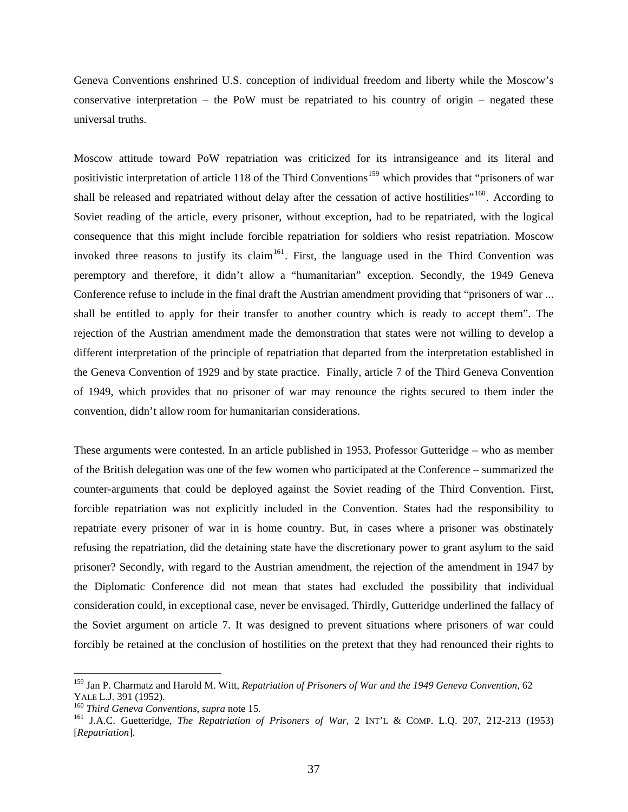Geneva Conventions enshrined U.S. conception of individual freedom and liberty while the Moscow's conservative interpretation – the PoW must be repatriated to his country of origin – negated these universal truths.

Moscow attitude toward PoW repatriation was criticized for its intransigeance and its literal and positivistic interpretation of article 118 of the Third Conventions<sup>[159](#page-39-0)</sup> which provides that "prisoners of war shall be released and repatriated without delay after the cessation of active hostilities"<sup>[160](#page-39-1)</sup>. According to Soviet reading of the article, every prisoner, without exception, had to be repatriated, with the logical consequence that this might include forcible repatriation for soldiers who resist repatriation. Moscow invoked three reasons to justify its claim<sup>[161](#page-39-2)</sup>. First, the language used in the Third Convention was peremptory and therefore, it didn't allow a "humanitarian" exception. Secondly, the 1949 Geneva Conference refuse to include in the final draft the Austrian amendment providing that "prisoners of war ... shall be entitled to apply for their transfer to another country which is ready to accept them". The rejection of the Austrian amendment made the demonstration that states were not willing to develop a different interpretation of the principle of repatriation that departed from the interpretation established in the Geneva Convention of 1929 and by state practice. Finally, article 7 of the Third Geneva Convention of 1949, which provides that no prisoner of war may renounce the rights secured to them inder the convention, didn't allow room for humanitarian considerations.

These arguments were contested. In an article published in 1953, Professor Gutteridge – who as member of the British delegation was one of the few women who participated at the Conference – summarized the counter-arguments that could be deployed against the Soviet reading of the Third Convention. First, forcible repatriation was not explicitly included in the Convention. States had the responsibility to repatriate every prisoner of war in is home country. But, in cases where a prisoner was obstinately refusing the repatriation, did the detaining state have the discretionary power to grant asylum to the said prisoner? Secondly, with regard to the Austrian amendment, the rejection of the amendment in 1947 by the Diplomatic Conference did not mean that states had excluded the possibility that individual consideration could, in exceptional case, never be envisaged. Thirdly, Gutteridge underlined the fallacy of the Soviet argument on article 7. It was designed to prevent situations where prisoners of war could forcibly be retained at the conclusion of hostilities on the pretext that they had renounced their rights to

<span id="page-39-0"></span><sup>&</sup>lt;sup>159</sup> Jan P. Charmatz and Harold M. Witt, *Repatriation of Prisoners of War and the 1949 Geneva Convention*, 62 YALE L.J. 391 (1952).

<span id="page-39-2"></span><span id="page-39-1"></span>

<sup>&</sup>lt;sup>160</sup> *Third Geneva Conventions, supra* note 15.<br><sup>161</sup> J.A.C. Guetteridge, *The Repatriation of Prisoners of War*, 2 INT'L & COMP. L.Q. 207, 212-213 (1953) [*Repatriation*].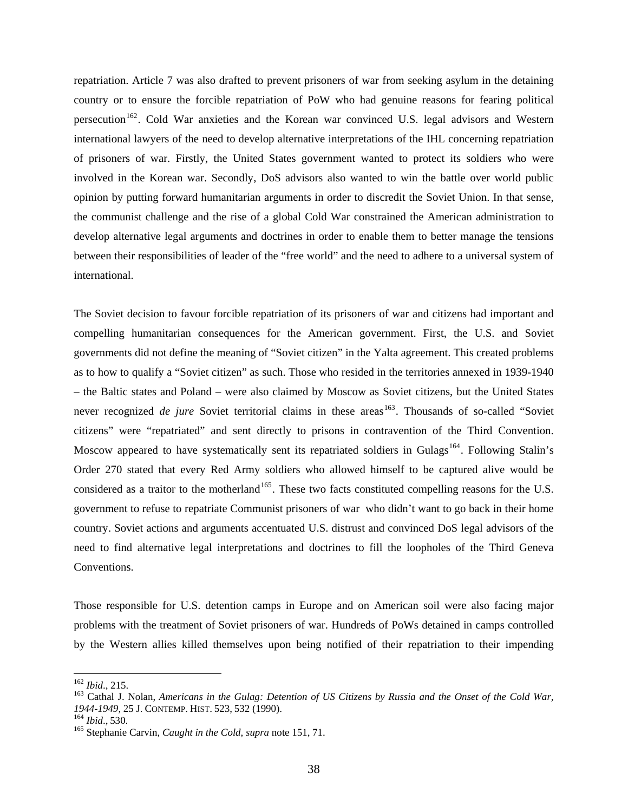repatriation. Article 7 was also drafted to prevent prisoners of war from seeking asylum in the detaining country or to ensure the forcible repatriation of PoW who had genuine reasons for fearing political persecution<sup>[162](#page-40-0)</sup>. Cold War anxieties and the Korean war convinced U.S. legal advisors and Western international lawyers of the need to develop alternative interpretations of the IHL concerning repatriation of prisoners of war. Firstly, the United States government wanted to protect its soldiers who were involved in the Korean war. Secondly, DoS advisors also wanted to win the battle over world public opinion by putting forward humanitarian arguments in order to discredit the Soviet Union. In that sense, the communist challenge and the rise of a global Cold War constrained the American administration to develop alternative legal arguments and doctrines in order to enable them to better manage the tensions between their responsibilities of leader of the "free world" and the need to adhere to a universal system of international.

The Soviet decision to favour forcible repatriation of its prisoners of war and citizens had important and compelling humanitarian consequences for the American government. First, the U.S. and Soviet governments did not define the meaning of "Soviet citizen" in the Yalta agreement. This created problems as to how to qualify a "Soviet citizen" as such. Those who resided in the territories annexed in 1939-1940 – the Baltic states and Poland – were also claimed by Moscow as Soviet citizens, but the United States never recognized *de jure* Soviet territorial claims in these areas<sup>[163](#page-40-1)</sup>. Thousands of so-called "Soviet citizens" were "repatriated" and sent directly to prisons in contravention of the Third Convention. Moscow appeared to have systematically sent its repatriated soldiers in Gulags<sup>[164](#page-40-2)</sup>. Following Stalin's Order 270 stated that every Red Army soldiers who allowed himself to be captured alive would be considered as a traitor to the motherland<sup>[165](#page-40-3)</sup>. These two facts constituted compelling reasons for the U.S. government to refuse to repatriate Communist prisoners of war who didn't want to go back in their home country. Soviet actions and arguments accentuated U.S. distrust and convinced DoS legal advisors of the need to find alternative legal interpretations and doctrines to fill the loopholes of the Third Geneva Conventions.

Those responsible for U.S. detention camps in Europe and on American soil were also facing major problems with the treatment of Soviet prisoners of war. Hundreds of PoWs detained in camps controlled by the Western allies killed themselves upon being notified of their repatriation to their impending

<span id="page-40-0"></span> $162$  Ibid., 215.

<span id="page-40-1"></span><sup>&</sup>lt;sup>163</sup> Cathal J. Nolan, *Americans in the Gulag: Detention of US Citizens by Russia and the Onset of the Cold War, 1944-1949*, 25 J. CONTEMP. HIST. 523, 532 (1990). 164 *Ibid*., 530. 165 Stephanie Carvin, *Caught in the Cold*, *supra* note 151, 71.

<span id="page-40-2"></span>

<span id="page-40-3"></span>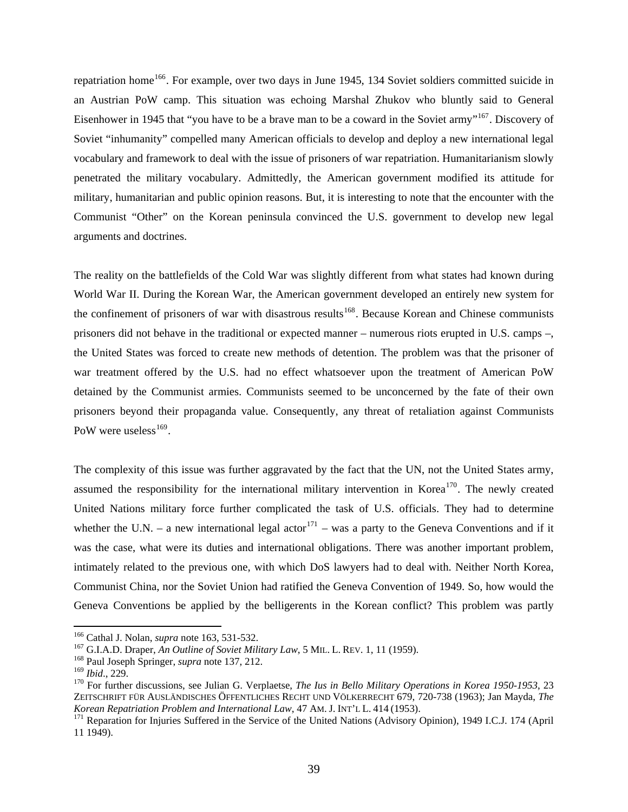repatriation home<sup>[166](#page-41-0)</sup>. For example, over two days in June 1945, 134 Soviet soldiers committed suicide in an Austrian PoW camp. This situation was echoing Marshal Zhukov who bluntly said to General Eisenhower in 1945 that "you have to be a brave man to be a coward in the Soviet army"<sup>[167](#page-41-1)</sup>. Discovery of Soviet "inhumanity" compelled many American officials to develop and deploy a new international legal vocabulary and framework to deal with the issue of prisoners of war repatriation. Humanitarianism slowly penetrated the military vocabulary. Admittedly, the American government modified its attitude for military, humanitarian and public opinion reasons. But, it is interesting to note that the encounter with the Communist "Other" on the Korean peninsula convinced the U.S. government to develop new legal arguments and doctrines.

The reality on the battlefields of the Cold War was slightly different from what states had known during World War II. During the Korean War, the American government developed an entirely new system for the confinement of prisoners of war with disastrous results<sup>[168](#page-41-2)</sup>. Because Korean and Chinese communists prisoners did not behave in the traditional or expected manner – numerous riots erupted in U.S. camps –, the United States was forced to create new methods of detention. The problem was that the prisoner of war treatment offered by the U.S. had no effect whatsoever upon the treatment of American PoW detained by the Communist armies. Communists seemed to be unconcerned by the fate of their own prisoners beyond their propaganda value. Consequently, any threat of retaliation against Communists PoW were useless $^{169}$  $^{169}$  $^{169}$ .

The complexity of this issue was further aggravated by the fact that the UN, not the United States army, assumed the responsibility for the international military intervention in Korea<sup>[170](#page-41-4)</sup>. The newly created United Nations military force further complicated the task of U.S. officials. They had to determine whether the U.N. – a new international legal actor<sup>[171](#page-41-5)</sup> – was a party to the Geneva Conventions and if it was the case, what were its duties and international obligations. There was another important problem, intimately related to the previous one, with which DoS lawyers had to deal with. Neither North Korea, Communist China, nor the Soviet Union had ratified the Geneva Convention of 1949. So, how would the Geneva Conventions be applied by the belligerents in the Korean conflict? This problem was partly

<span id="page-41-1"></span><span id="page-41-0"></span><sup>&</sup>lt;sup>166</sup> Cathal J. Nolan, *supra* note 163, 531-532.<br><sup>167</sup> G.I.A.D. Draper, *An Outline of Soviet Military Law*, 5 MIL. L. REV. 1, 11 (1959).<br><sup>168</sup> Paul Joseph Springer, *supra* note 137, 212.<br><sup>169</sup> Ibid., 229.

<span id="page-41-2"></span>

<span id="page-41-4"></span><span id="page-41-3"></span><sup>&</sup>lt;sup>170</sup> For further discussions, see Julian G. Verplaetse, *The Ius in Bello Military Operations in Korea 1950-1953*, 23 ZEITSCHRIFT FÜR AUSLÄNDISCHES ÖFFENTLICHES RECHT UND VÖLKERRECHT 679, 720-738 (1963); Jan Mayda, *The Korean Repatriation Problem and International Law*, 47 AM. J. INT'L L. 414 (1953).<br><sup>171</sup> Reparation for Injuries Suffered in the Service of the United Nations (Advisory Opinion), 1949 I.C.J. 174 (April

<span id="page-41-5"></span><sup>11 1949).</sup>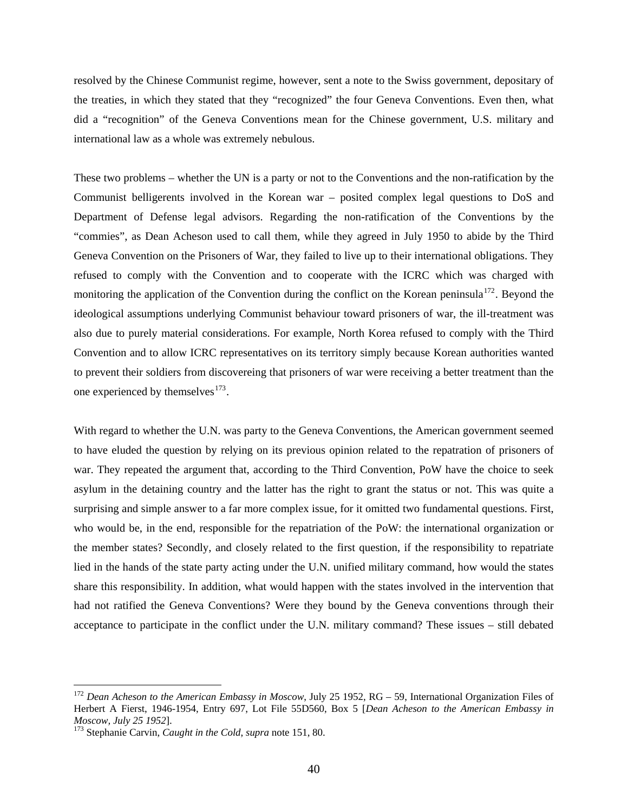resolved by the Chinese Communist regime, however, sent a note to the Swiss government, depositary of the treaties, in which they stated that they "recognized" the four Geneva Conventions. Even then, what did a "recognition" of the Geneva Conventions mean for the Chinese government, U.S. military and international law as a whole was extremely nebulous.

These two problems – whether the UN is a party or not to the Conventions and the non-ratification by the Communist belligerents involved in the Korean war – posited complex legal questions to DoS and Department of Defense legal advisors. Regarding the non-ratification of the Conventions by the "commies", as Dean Acheson used to call them, while they agreed in July 1950 to abide by the Third Geneva Convention on the Prisoners of War, they failed to live up to their international obligations. They refused to comply with the Convention and to cooperate with the ICRC which was charged with monitoring the application of the Convention during the conflict on the Korean peninsula<sup>[172](#page-42-0)</sup>. Beyond the ideological assumptions underlying Communist behaviour toward prisoners of war, the ill-treatment was also due to purely material considerations. For example, North Korea refused to comply with the Third Convention and to allow ICRC representatives on its territory simply because Korean authorities wanted to prevent their soldiers from discovereing that prisoners of war were receiving a better treatment than the one experienced by themselves $173$ .

With regard to whether the U.N. was party to the Geneva Conventions, the American government seemed to have eluded the question by relying on its previous opinion related to the repatration of prisoners of war. They repeated the argument that, according to the Third Convention, PoW have the choice to seek asylum in the detaining country and the latter has the right to grant the status or not. This was quite a surprising and simple answer to a far more complex issue, for it omitted two fundamental questions. First, who would be, in the end, responsible for the repatriation of the PoW: the international organization or the member states? Secondly, and closely related to the first question, if the responsibility to repatriate lied in the hands of the state party acting under the U.N. unified military command, how would the states share this responsibility. In addition, what would happen with the states involved in the intervention that had not ratified the Geneva Conventions? Were they bound by the Geneva conventions through their acceptance to participate in the conflict under the U.N. military command? These issues – still debated

<span id="page-42-0"></span><sup>172</sup> *Dean Acheson to the American Embassy in Moscow*, July 25 1952, RG – 59, International Organization Files of Herbert A Fierst, 1946-1954, Entry 697, Lot File 55D560, Box 5 [*Dean Acheson to the American Embassy in* 

<span id="page-42-1"></span><sup>&</sup>lt;sup>173</sup> Stephanie Carvin, *Caught in the Cold*, *supra* note 151, 80.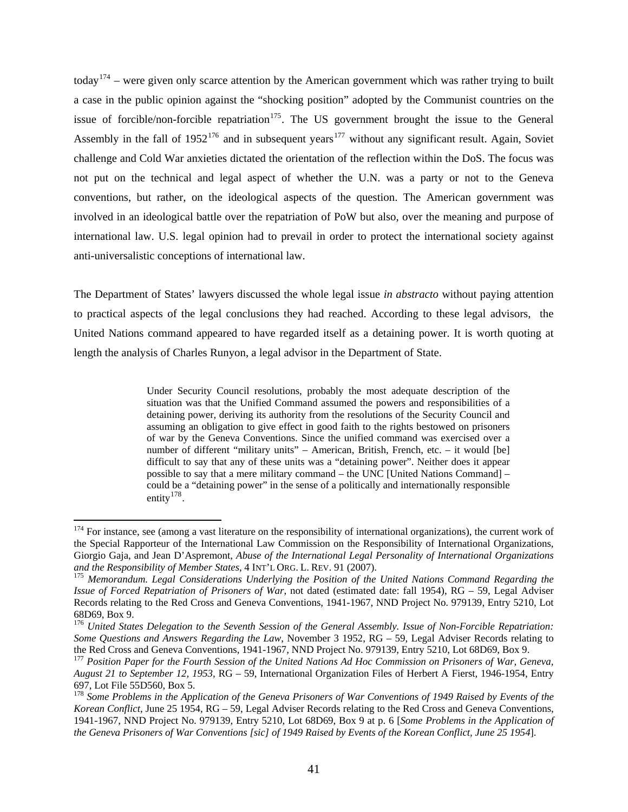today<sup>[174](#page-43-0)</sup> – were given only scarce attention by the American government which was rather trying to built a case in the public opinion against the "shocking position" adopted by the Communist countries on the issue of forcible/non-forcible repatriation<sup>[175](#page-43-1)</sup>. The US government brought the issue to the General Assembly in the fall of  $1952^{176}$  $1952^{176}$  $1952^{176}$  and in subsequent years<sup>[177](#page-43-3)</sup> without any significant result. Again, Soviet challenge and Cold War anxieties dictated the orientation of the reflection within the DoS. The focus was not put on the technical and legal aspect of whether the U.N. was a party or not to the Geneva conventions, but rather, on the ideological aspects of the question. The American government was involved in an ideological battle over the repatriation of PoW but also, over the meaning and purpose of international law. U.S. legal opinion had to prevail in order to protect the international society against anti-universalistic conceptions of international law.

The Department of States' lawyers discussed the whole legal issue *in abstracto* without paying attention to practical aspects of the legal conclusions they had reached. According to these legal advisors, the United Nations command appeared to have regarded itself as a detaining power. It is worth quoting at length the analysis of Charles Runyon, a legal advisor in the Department of State.

> Under Security Council resolutions, probably the most adequate description of the situation was that the Unified Command assumed the powers and responsibilities of a detaining power, deriving its authority from the resolutions of the Security Council and assuming an obligation to give effect in good faith to the rights bestowed on prisoners of war by the Geneva Conventions. Since the unified command was exercised over a number of different "military units" – American, British, French, etc. – it would [be] difficult to say that any of these units was a "detaining power". Neither does it appear possible to say that a mere military command – the UNC [United Nations Command] – could be a "detaining power" in the sense of a politically and internationally responsible entity $178$ .

<span id="page-43-0"></span> $174$  For instance, see (among a vast literature on the responsibility of international organizations), the current work of the Special Rapporteur of the International Law Commission on the Responsibility of International Organizations, Giorgio Gaja, and Jean D'Aspremont, *Abuse of the International Legal Personality of International Organizations and the Responsibility of Member States*, 4 INT'L ORG. L. REV. 91 (2007). 175 *Memorandum. Legal Considerations Underlying the Position of the United Nations Command Regarding the* 

<span id="page-43-1"></span>*Issue of Forced Repatriation of Prisoners of War*, not dated (estimated date: fall 1954), RG – 59, Legal Adviser Records relating to the Red Cross and Geneva Conventions, 1941-1967, NND Project No. 979139, Entry 5210, Lot 68D69, Box 9.

<span id="page-43-2"></span><sup>176</sup> *United States Delegation to the Seventh Session of the General Assembly. Issue of Non-Forcible Repatriation: Some Questions and Answers Regarding the Law*, November 3 1952, RG – 59, Legal Adviser Records relating to the Red Cross and Geneva Conventions, 1941-1967, NND Project No. 979139, Entry 5210, Lot 68D69, Box 9.

<span id="page-43-3"></span><sup>177</sup> *Position Paper for the Fourth Session of the United Nations Ad Hoc Commission on Prisoners of War, Geneva, August 21 to September 12, 1953*, RG – 59, International Organization Files of Herbert A Fierst, 1946-1954, Entry 697, Lot File 55D560, Box 5.

<span id="page-43-4"></span><sup>178</sup> *Some Problems in the Application of the Geneva Prisoners of War Conventions of 1949 Raised by Events of the Korean Conflict*, June 25 1954, RG – 59, Legal Adviser Records relating to the Red Cross and Geneva Conventions, 1941-1967, NND Project No. 979139, Entry 5210, Lot 68D69, Box 9 at p. 6 [*Some Problems in the Application of the Geneva Prisoners of War Conventions [sic] of 1949 Raised by Events of the Korean Conflict, June 25 1954*].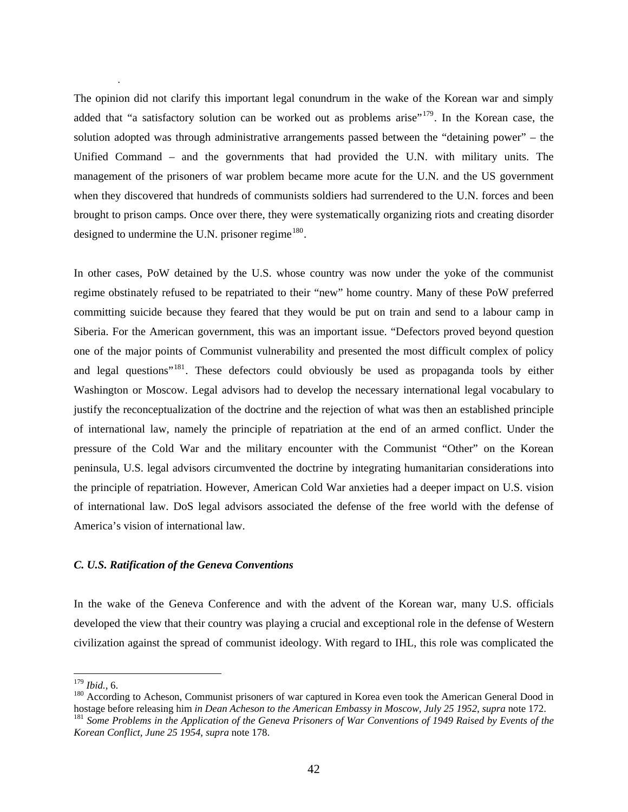The opinion did not clarify this important legal conundrum in the wake of the Korean war and simply added that "a satisfactory solution can be worked out as problems arise"<sup>[179](#page-44-0)</sup>. In the Korean case, the solution adopted was through administrative arrangements passed between the "detaining power" – the Unified Command – and the governments that had provided the U.N. with military units. The management of the prisoners of war problem became more acute for the U.N. and the US government when they discovered that hundreds of communists soldiers had surrendered to the U.N. forces and been brought to prison camps. Once over there, they were systematically organizing riots and creating disorder designed to undermine the U.N. prisoner regime $180$ .

In other cases, PoW detained by the U.S. whose country was now under the yoke of the communist regime obstinately refused to be repatriated to their "new" home country. Many of these PoW preferred committing suicide because they feared that they would be put on train and send to a labour camp in Siberia. For the American government, this was an important issue. "Defectors proved beyond question one of the major points of Communist vulnerability and presented the most difficult complex of policy and legal questions"<sup>[181](#page-44-2)</sup>. These defectors could obviously be used as propaganda tools by either Washington or Moscow. Legal advisors had to develop the necessary international legal vocabulary to justify the reconceptualization of the doctrine and the rejection of what was then an established principle of international law, namely the principle of repatriation at the end of an armed conflict. Under the pressure of the Cold War and the military encounter with the Communist "Other" on the Korean peninsula, U.S. legal advisors circumvented the doctrine by integrating humanitarian considerations into the principle of repatriation. However, American Cold War anxieties had a deeper impact on U.S. vision of international law. DoS legal advisors associated the defense of the free world with the defense of America's vision of international law.

#### *C. U.S. Ratification of the Geneva Conventions*

In the wake of the Geneva Conference and with the advent of the Korean war, many U.S. officials developed the view that their country was playing a crucial and exceptional role in the defense of Western civilization against the spread of communist ideology. With regard to IHL, this role was complicated the

.

<span id="page-44-0"></span> $179$  Ibid., 6.

<span id="page-44-2"></span><span id="page-44-1"></span><sup>&</sup>lt;sup>180</sup> According to Acheson, Communist prisoners of war captured in Korea even took the American General Dood in hostage before releasing him in Dean Acheson to the American Embassy in Moscow, July 25 1952, supra note 172.<br><sup>181</sup> Some Problems in the Application of the Geneva Prisoners of War Conventions of 1949 Raised by Events of th *Korean Conflict, June 25 1954*, *supra* note 178.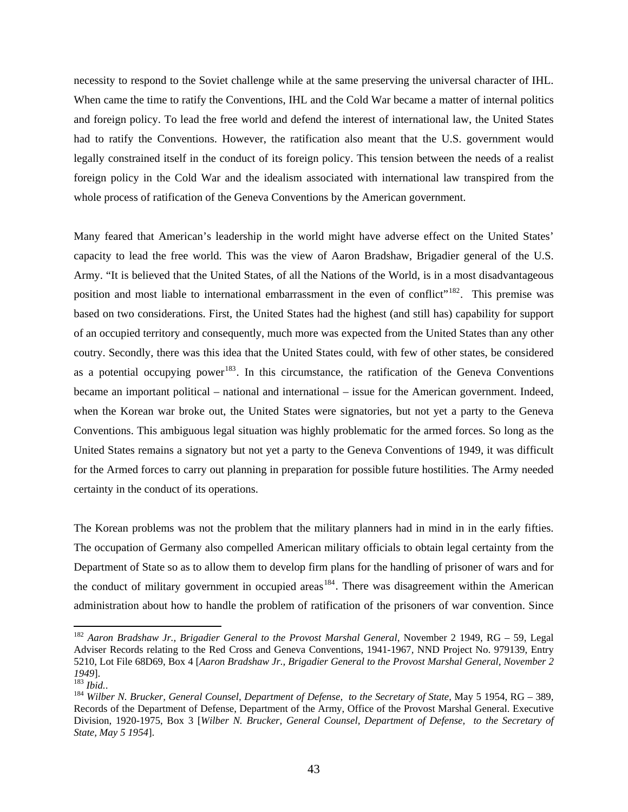necessity to respond to the Soviet challenge while at the same preserving the universal character of IHL. When came the time to ratify the Conventions, IHL and the Cold War became a matter of internal politics and foreign policy. To lead the free world and defend the interest of international law, the United States had to ratify the Conventions. However, the ratification also meant that the U.S. government would legally constrained itself in the conduct of its foreign policy. This tension between the needs of a realist foreign policy in the Cold War and the idealism associated with international law transpired from the whole process of ratification of the Geneva Conventions by the American government.

Many feared that American's leadership in the world might have adverse effect on the United States' capacity to lead the free world. This was the view of Aaron Bradshaw, Brigadier general of the U.S. Army. "It is believed that the United States, of all the Nations of the World, is in a most disadvantageous position and most liable to international embarrassment in the even of conflict"<sup>[182](#page-45-0)</sup>. This premise was based on two considerations. First, the United States had the highest (and still has) capability for support of an occupied territory and consequently, much more was expected from the United States than any other coutry. Secondly, there was this idea that the United States could, with few of other states, be considered as a potential occupying power<sup>[183](#page-45-1)</sup>. In this circumstance, the ratification of the Geneva Conventions became an important political – national and international – issue for the American government. Indeed, when the Korean war broke out, the United States were signatories, but not yet a party to the Geneva Conventions. This ambiguous legal situation was highly problematic for the armed forces. So long as the United States remains a signatory but not yet a party to the Geneva Conventions of 1949, it was difficult for the Armed forces to carry out planning in preparation for possible future hostilities. The Army needed certainty in the conduct of its operations.

The Korean problems was not the problem that the military planners had in mind in in the early fifties. The occupation of Germany also compelled American military officials to obtain legal certainty from the Department of State so as to allow them to develop firm plans for the handling of prisoner of wars and for the conduct of military government in occupied areas<sup>[184](#page-45-2)</sup>. There was disagreement within the American administration about how to handle the problem of ratification of the prisoners of war convention. Since

<span id="page-45-0"></span><sup>&</sup>lt;sup>182</sup> Aaron Bradshaw Jr., Brigadier General to the Provost Marshal General, November 2 1949, RG - 59, Legal Adviser Records relating to the Red Cross and Geneva Conventions, 1941-1967*,* NND Project No. 979139, Entry 5210, Lot File 68D69, Box 4 [*Aaron Bradshaw Jr., Brigadier General to the Provost Marshal General, November 2 <sup>1949</sup>*]. 183 *Ibid.*. 184 *Wilber N. Brucker, General Counsel, Department of Defense, to the Secretary of State*, May 5 1954, RG – 389,

<span id="page-45-1"></span>

<span id="page-45-2"></span>Records of the Department of Defense, Department of the Army, Office of the Provost Marshal General. Executive Division, 1920-1975, Box 3 [*Wilber N. Brucker, General Counsel, Department of Defense, to the Secretary of State, May 5 1954*].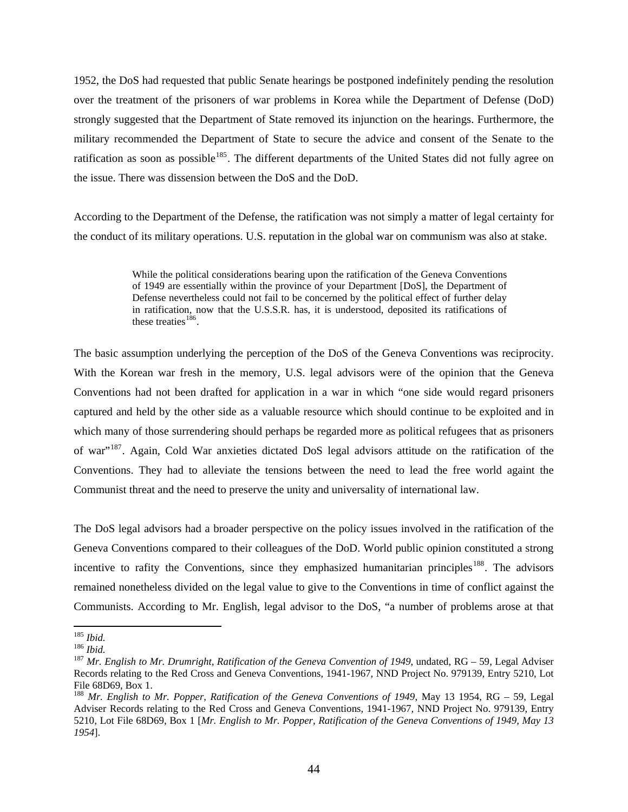1952, the DoS had requested that public Senate hearings be postponed indefinitely pending the resolution over the treatment of the prisoners of war problems in Korea while the Department of Defense (DoD) strongly suggested that the Department of State removed its injunction on the hearings. Furthermore, the military recommended the Department of State to secure the advice and consent of the Senate to the ratification as soon as possible<sup>[185](#page-46-0)</sup>. The different departments of the United States did not fully agree on the issue. There was dissension between the DoS and the DoD.

According to the Department of the Defense, the ratification was not simply a matter of legal certainty for the conduct of its military operations. U.S. reputation in the global war on communism was also at stake.

> While the political considerations bearing upon the ratification of the Geneva Conventions of 1949 are essentially within the province of your Department [DoS], the Department of Defense nevertheless could not fail to be concerned by the political effect of further delay in ratification, now that the U.S.S.R. has, it is understood, deposited its ratifications of these treaties $186$ .

The basic assumption underlying the perception of the DoS of the Geneva Conventions was reciprocity. With the Korean war fresh in the memory, U.S. legal advisors were of the opinion that the Geneva Conventions had not been drafted for application in a war in which "one side would regard prisoners captured and held by the other side as a valuable resource which should continue to be exploited and in which many of those surrendering should perhaps be regarded more as political refugees that as prisoners of war"[187](#page-46-2). Again, Cold War anxieties dictated DoS legal advisors attitude on the ratification of the Conventions. They had to alleviate the tensions between the need to lead the free world againt the Communist threat and the need to preserve the unity and universality of international law.

The DoS legal advisors had a broader perspective on the policy issues involved in the ratification of the Geneva Conventions compared to their colleagues of the DoD. World public opinion constituted a strong incentive to rafity the Conventions, since they emphasized humanitarian principles<sup>[188](#page-46-3)</sup>. The advisors remained nonetheless divided on the legal value to give to the Conventions in time of conflict against the Communists. According to Mr. English, legal advisor to the DoS, "a number of problems arose at that

<span id="page-46-0"></span> $^{185}$  Ibid.

<span id="page-46-2"></span><span id="page-46-1"></span><sup>185</sup> *Ibid.*<sup>186</sup> *Ibid.* <sup>187</sup> *Mr. English to Mr. Drumright, Ratification of the Geneva Convention of 1949*, undated, RG – 59, Legal Adviser Records relating to the Red Cross and Geneva Conventions, 1941-1967*,* NND Project No. 979139, Entry 5210, Lot File 68D69, Box 1.

<span id="page-46-3"></span><sup>188</sup> *Mr. English to Mr. Popper, Ratification of the Geneva Conventions of 1949*, May 13 1954, RG – 59, Legal Adviser Records relating to the Red Cross and Geneva Conventions, 1941-1967*,* NND Project No. 979139, Entry 5210, Lot File 68D69, Box 1 [*Mr. English to Mr. Popper, Ratification of the Geneva Conventions of 1949, May 13 1954*].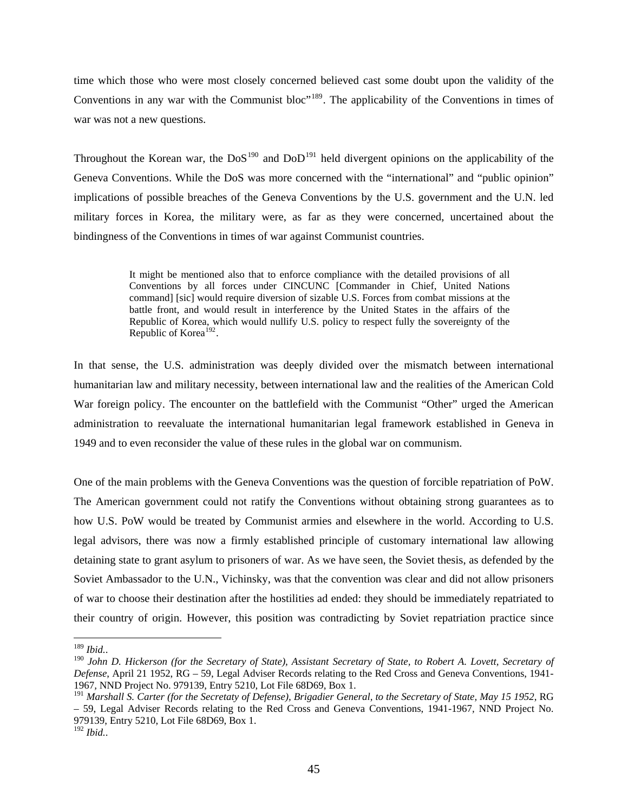time which those who were most closely concerned believed cast some doubt upon the validity of the Conventions in any war with the Communist bloc<sup>"[189](#page-47-0)</sup>. The applicability of the Conventions in times of war was not a new questions.

Throughout the Korean war, the  $DoS<sup>190</sup>$  $DoS<sup>190</sup>$  $DoS<sup>190</sup>$  and  $DoD<sup>191</sup>$  $DoD<sup>191</sup>$  $DoD<sup>191</sup>$  held divergent opinions on the applicability of the Geneva Conventions. While the DoS was more concerned with the "international" and "public opinion" implications of possible breaches of the Geneva Conventions by the U.S. government and the U.N. led military forces in Korea, the military were, as far as they were concerned, uncertained about the bindingness of the Conventions in times of war against Communist countries.

> It might be mentioned also that to enforce compliance with the detailed provisions of all Conventions by all forces under CINCUNC [Commander in Chief, United Nations command] [sic] would require diversion of sizable U.S. Forces from combat missions at the battle front, and would result in interference by the United States in the affairs of the Republic of Korea, which would nullify U.S. policy to respect fully the sovereignty of the Republic of Korea<sup>[192](#page-47-3)</sup>.

In that sense, the U.S. administration was deeply divided over the mismatch between international humanitarian law and military necessity, between international law and the realities of the American Cold War foreign policy. The encounter on the battlefield with the Communist "Other" urged the American administration to reevaluate the international humanitarian legal framework established in Geneva in 1949 and to even reconsider the value of these rules in the global war on communism.

One of the main problems with the Geneva Conventions was the question of forcible repatriation of PoW. The American government could not ratify the Conventions without obtaining strong guarantees as to how U.S. PoW would be treated by Communist armies and elsewhere in the world. According to U.S. legal advisors, there was now a firmly established principle of customary international law allowing detaining state to grant asylum to prisoners of war. As we have seen, the Soviet thesis, as defended by the Soviet Ambassador to the U.N., Vichinsky, was that the convention was clear and did not allow prisoners of war to choose their destination after the hostilities ad ended: they should be immediately repatriated to their country of origin. However, this position was contradicting by Soviet repatriation practice since

<span id="page-47-0"></span> $^{189}$  Ibid..

<span id="page-47-1"></span><sup>190</sup> *John D. Hickerson (for the Secretary of State), Assistant Secretary of State, to Robert A. Lovett, Secretary of Defense*, April 21 1952, RG – 59, Legal Adviser Records relating to the Red Cross and Geneva Conventions, 1941- 1967*,* NND Project No. 979139, Entry 5210, Lot File 68D69, Box 1.

<span id="page-47-2"></span><sup>191</sup> *Marshall S. Carter (for the Secretaty of Defense), Brigadier General, to the Secretary of State, May 15 1952*, RG – 59, Legal Adviser Records relating to the Red Cross and Geneva Conventions, 1941-1967*,* NND Project No. 979139, Entry 5210, Lot File 68D69, Box 1.

<span id="page-47-3"></span><sup>192</sup> *Ibid.*.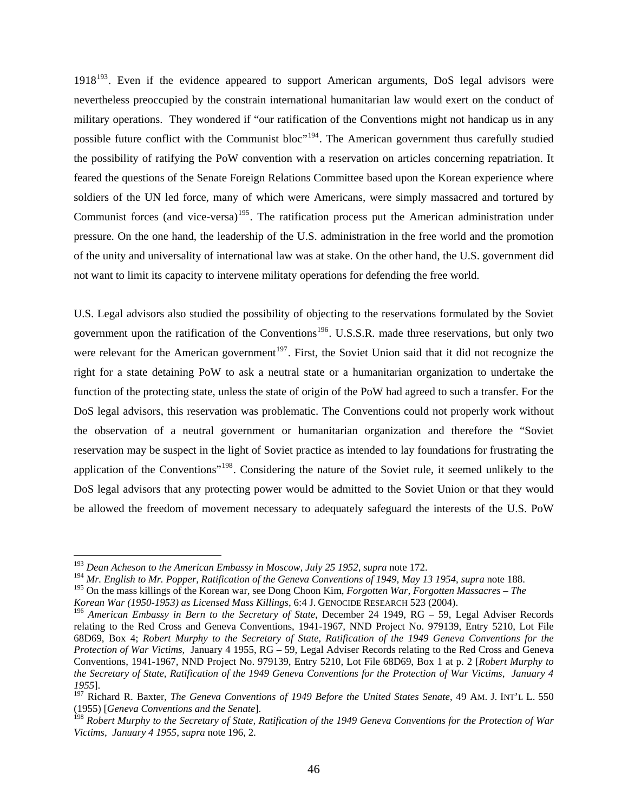$1918<sup>193</sup>$  $1918<sup>193</sup>$  $1918<sup>193</sup>$ . Even if the evidence appeared to support American arguments, DoS legal advisors were nevertheless preoccupied by the constrain international humanitarian law would exert on the conduct of military operations. They wondered if "our ratification of the Conventions might not handicap us in any possible future conflict with the Communist bloc"<sup>[194](#page-48-1)</sup>. The American government thus carefully studied the possibility of ratifying the PoW convention with a reservation on articles concerning repatriation. It feared the questions of the Senate Foreign Relations Committee based upon the Korean experience where soldiers of the UN led force, many of which were Americans, were simply massacred and tortured by Communist forces (and vice-versa)<sup>[195](#page-48-2)</sup>. The ratification process put the American administration under pressure. On the one hand, the leadership of the U.S. administration in the free world and the promotion of the unity and universality of international law was at stake. On the other hand, the U.S. government did not want to limit its capacity to intervene militaty operations for defending the free world.

U.S. Legal advisors also studied the possibility of objecting to the reservations formulated by the Soviet government upon the ratification of the Conventions<sup>[196](#page-48-3)</sup>. U.S.S.R. made three reservations, but only two were relevant for the American government<sup>[197](#page-48-4)</sup>. First, the Soviet Union said that it did not recognize the right for a state detaining PoW to ask a neutral state or a humanitarian organization to undertake the function of the protecting state, unless the state of origin of the PoW had agreed to such a transfer. For the DoS legal advisors, this reservation was problematic. The Conventions could not properly work without the observation of a neutral government or humanitarian organization and therefore the "Soviet reservation may be suspect in the light of Soviet practice as intended to lay foundations for frustrating the application of the Conventions"[198](#page-48-5). Considering the nature of the Soviet rule, it seemed unlikely to the DoS legal advisors that any protecting power would be admitted to the Soviet Union or that they would be allowed the freedom of movement necessary to adequately safeguard the interests of the U.S. PoW

<span id="page-48-0"></span><sup>193</sup> *Dean Acheson to the American Embassy in Moscow, July 25 1952*, *supra* note 172.

<span id="page-48-1"></span><sup>194</sup> *Mr. English to Mr. Popper, Ratification of the Geneva Conventions of 1949, May 13 1954*, *supra* note 188.

<span id="page-48-2"></span><sup>195</sup> On the mass killings of the Korean war, see Dong Choon Kim, *Forgotten War, Forgotten Massacres – The* 

*Korean War (1950-1953) as Licensed Mass Killings*, 6:4 J. GENOCIDE RESEARCH 523 (2004).

<span id="page-48-3"></span><sup>196</sup> *American Embassy in Bern to the Secretary of State*, December 24 1949, RG – 59, Legal Adviser Records relating to the Red Cross and Geneva Conventions, 1941-1967*,* NND Project No. 979139, Entry 5210, Lot File 68D69, Box 4; *Robert Murphy to the Secretary of State, Ratification of the 1949 Geneva Conventions for the Protection of War Victims*, January 4 1955, RG – 59, Legal Adviser Records relating to the Red Cross and Geneva Conventions, 1941-1967*,* NND Project No. 979139, Entry 5210, Lot File 68D69, Box 1 at p. 2 [*Robert Murphy to the Secretary of State, Ratification of the 1949 Geneva Conventions for the Protection of War Victims, January 4 1955*].

<span id="page-48-4"></span><sup>&</sup>lt;sup>197</sup> Richard R. Baxter, *The Geneva Conventions of 1949 Before the United States Senate*, 49 AM. J. INT'L L. 550 (1955) [*Geneva Conventions and the Senate*].

<span id="page-48-5"></span><sup>198</sup> *Robert Murphy to the Secretary of State, Ratification of the 1949 Geneva Conventions for the Protection of War Victims, January 4 1955*, *supra* note 196, 2.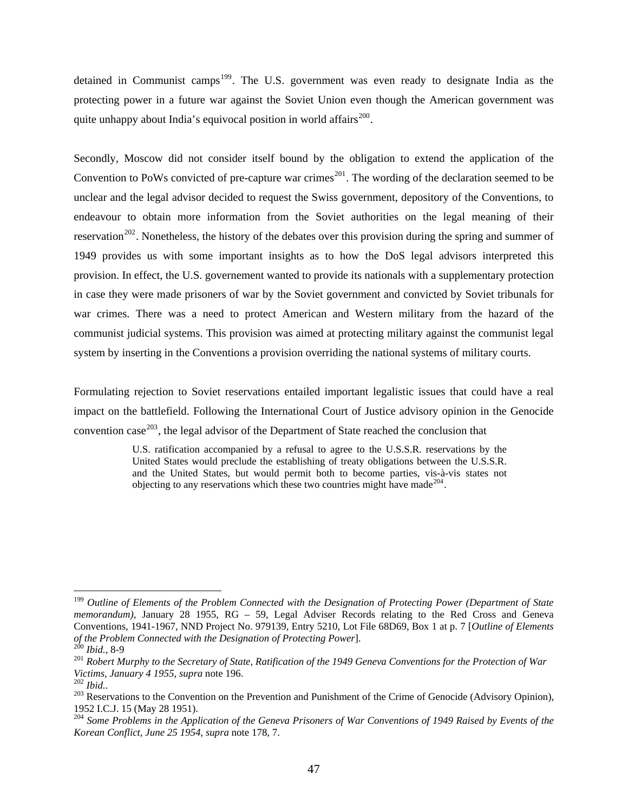detained in Communist camps<sup>[199](#page-49-0)</sup>. The U.S. government was even ready to designate India as the protecting power in a future war against the Soviet Union even though the American government was quite unhappy about India's equivocal position in world affairs $^{200}$  $^{200}$  $^{200}$ .

Secondly, Moscow did not consider itself bound by the obligation to extend the application of the Convention to PoWs convicted of pre-capture war crimes<sup>[201](#page-49-2)</sup>. The wording of the declaration seemed to be unclear and the legal advisor decided to request the Swiss government, depository of the Conventions, to endeavour to obtain more information from the Soviet authorities on the legal meaning of their reservation<sup>[202](#page-49-3)</sup>. Nonetheless, the history of the debates over this provision during the spring and summer of 1949 provides us with some important insights as to how the DoS legal advisors interpreted this provision. In effect, the U.S. governement wanted to provide its nationals with a supplementary protection in case they were made prisoners of war by the Soviet government and convicted by Soviet tribunals for war crimes. There was a need to protect American and Western military from the hazard of the communist judicial systems. This provision was aimed at protecting military against the communist legal system by inserting in the Conventions a provision overriding the national systems of military courts.

Formulating rejection to Soviet reservations entailed important legalistic issues that could have a real impact on the battlefield. Following the International Court of Justice advisory opinion in the Genocide convention case<sup>[203](#page-49-4)</sup>, the legal advisor of the Department of State reached the conclusion that

> U.S. ratification accompanied by a refusal to agree to the U.S.S.R. reservations by the United States would preclude the establishing of treaty obligations between the U.S.S.R. and the United States, but would permit both to become parties, vis-à-vis states not objecting to any reservations which these two countries might have made<sup>[204](#page-49-5)</sup>.

<span id="page-49-0"></span><sup>199</sup> *Outline of Elements of the Problem Connected with the Designation of Protecting Power (Department of State memorandum)*, January 28 1955, RG – 59, Legal Adviser Records relating to the Red Cross and Geneva Conventions, 1941-1967*,* NND Project No. 979139, Entry 5210, Lot File 68D69, Box 1 at p. 7 [*Outline of Elements* 

<span id="page-49-2"></span><span id="page-49-1"></span><sup>&</sup>lt;sup>200</sup> Ibid., 8-9<br><sup>201</sup> Robert Murphy to the Secretary of State, Ratification of the 1949 Geneva Conventions for the Protection of War *Victims, January 4 1955*, *supra* note 196.<br><sup>202</sup> *Ibid.*. 202 *Ibid.*. 203 Reservations to the Convention on the Prevention and Punishment of the Crime of Genocide (Advisory Opinion),

<span id="page-49-3"></span>

<span id="page-49-4"></span><sup>1952</sup> I.C.J. 15 (May 28 1951).

<span id="page-49-5"></span><sup>204</sup> *Some Problems in the Application of the Geneva Prisoners of War Conventions of 1949 Raised by Events of the Korean Conflict, June 25 1954*, *supra* note 178, 7.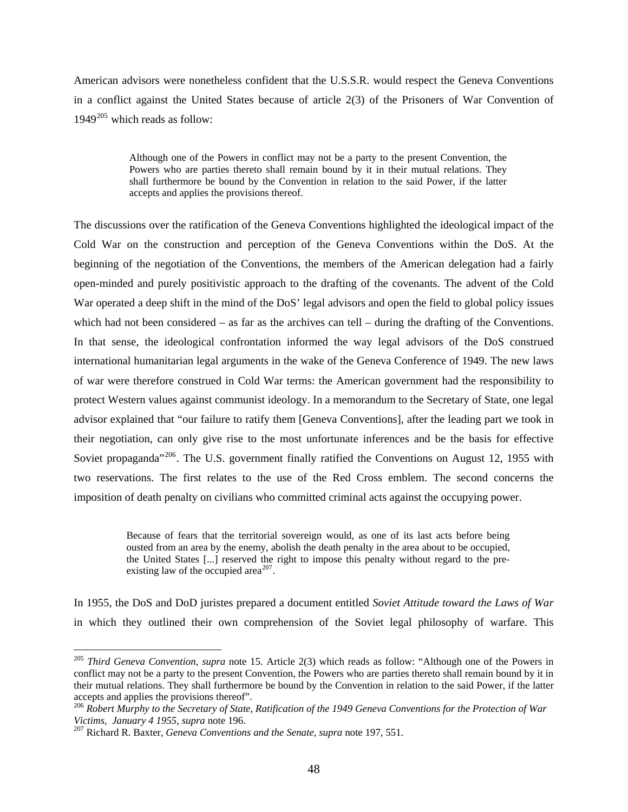American advisors were nonetheless confident that the U.S.S.R. would respect the Geneva Conventions in a conflict against the United States because of article 2(3) of the Prisoners of War Convention of  $1949^{205}$  $1949^{205}$  $1949^{205}$  which reads as follow:

> Although one of the Powers in conflict may not be a party to the present Convention, the Powers who are parties thereto shall remain bound by it in their mutual relations. They shall furthermore be bound by the Convention in relation to the said Power, if the latter accepts and applies the provisions thereof.

The discussions over the ratification of the Geneva Conventions highlighted the ideological impact of the Cold War on the construction and perception of the Geneva Conventions within the DoS. At the beginning of the negotiation of the Conventions, the members of the American delegation had a fairly open-minded and purely positivistic approach to the drafting of the covenants. The advent of the Cold War operated a deep shift in the mind of the DoS' legal advisors and open the field to global policy issues which had not been considered – as far as the archives can tell – during the drafting of the Conventions. In that sense, the ideological confrontation informed the way legal advisors of the DoS construed international humanitarian legal arguments in the wake of the Geneva Conference of 1949. The new laws of war were therefore construed in Cold War terms: the American government had the responsibility to protect Western values against communist ideology. In a memorandum to the Secretary of State, one legal advisor explained that "our failure to ratify them [Geneva Conventions], after the leading part we took in their negotiation, can only give rise to the most unfortunate inferences and be the basis for effective Soviet propaganda<sup>"[206](#page-50-1)</sup>. The U.S. government finally ratified the Conventions on August 12, 1955 with two reservations. The first relates to the use of the Red Cross emblem. The second concerns the imposition of death penalty on civilians who committed criminal acts against the occupying power.

> Because of fears that the territorial sovereign would, as one of its last acts before being ousted from an area by the enemy, abolish the death penalty in the area about to be occupied, the United States [...] reserved the right to impose this penalty without regard to the pre-existing law of the occupied area<sup>[207](#page-50-2)</sup>.

In 1955, the DoS and DoD juristes prepared a document entitled *Soviet Attitude toward the Laws of War* in which they outlined their own comprehension of the Soviet legal philosophy of warfare. This

<span id="page-50-0"></span><sup>205</sup> *Third Geneva Convention*, *supra* note 15. Article 2(3) which reads as follow: "Although one of the Powers in conflict may not be a party to the present Convention, the Powers who are parties thereto shall remain bound by it in their mutual relations. They shall furthermore be bound by the Convention in relation to the said Power, if the latter accepts and applies the provisions thereof".

<span id="page-50-1"></span><sup>&</sup>lt;sup>206</sup> Robert Murphy to the Secretary of State, Ratification of the 1949 Geneva Conventions for the Protection of War<br>Victims, January 4 1955, supra note 196.

<span id="page-50-2"></span>*Victims, January 4 1955*, *supra* note 196. 207 Richard R. Baxter, *Geneva Conventions and the Senate*, *supra* note 197, 551.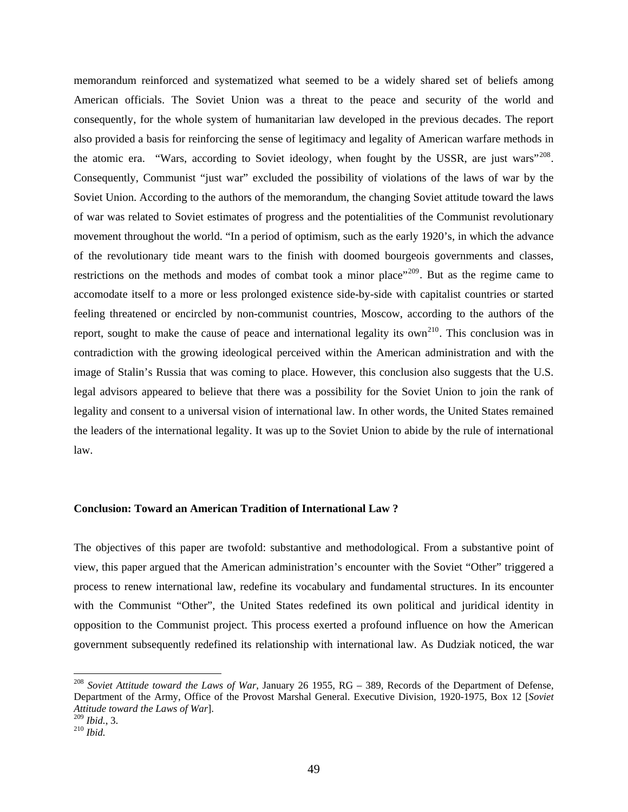memorandum reinforced and systematized what seemed to be a widely shared set of beliefs among American officials. The Soviet Union was a threat to the peace and security of the world and consequently, for the whole system of humanitarian law developed in the previous decades. The report also provided a basis for reinforcing the sense of legitimacy and legality of American warfare methods in the atomic era. "Wars, according to Soviet ideology, when fought by the USSR, are just wars"<sup>[208](#page-51-0)</sup>. Consequently, Communist "just war" excluded the possibility of violations of the laws of war by the Soviet Union. According to the authors of the memorandum, the changing Soviet attitude toward the laws of war was related to Soviet estimates of progress and the potentialities of the Communist revolutionary movement throughout the world. "In a period of optimism, such as the early 1920's, in which the advance of the revolutionary tide meant wars to the finish with doomed bourgeois governments and classes, restrictions on the methods and modes of combat took a minor place"<sup>[209](#page-51-1)</sup>. But as the regime came to accomodate itself to a more or less prolonged existence side-by-side with capitalist countries or started feeling threatened or encircled by non-communist countries, Moscow, according to the authors of the report, sought to make the cause of peace and international legality its own<sup>[210](#page-51-2)</sup>. This conclusion was in contradiction with the growing ideological perceived within the American administration and with the image of Stalin's Russia that was coming to place. However, this conclusion also suggests that the U.S. legal advisors appeared to believe that there was a possibility for the Soviet Union to join the rank of legality and consent to a universal vision of international law. In other words, the United States remained the leaders of the international legality. It was up to the Soviet Union to abide by the rule of international law.

## **Conclusion: Toward an American Tradition of International Law ?**

The objectives of this paper are twofold: substantive and methodological. From a substantive point of view, this paper argued that the American administration's encounter with the Soviet "Other" triggered a process to renew international law, redefine its vocabulary and fundamental structures. In its encounter with the Communist "Other", the United States redefined its own political and juridical identity in opposition to the Communist project. This process exerted a profound influence on how the American government subsequently redefined its relationship with international law. As Dudziak noticed, the war

<span id="page-51-0"></span><sup>208</sup> *Soviet Attitude toward the Laws of War*, January 26 1955, RG – 389, Records of the Department of Defense, Department of the Army, Office of the Provost Marshal General. Executive Division, 1920-1975, Box 12 [*Soviet Attitude toward the Laws of War*].

<span id="page-51-2"></span><span id="page-51-1"></span><sup>209</sup> *Ibid.*, 3. 210 *Ibid.*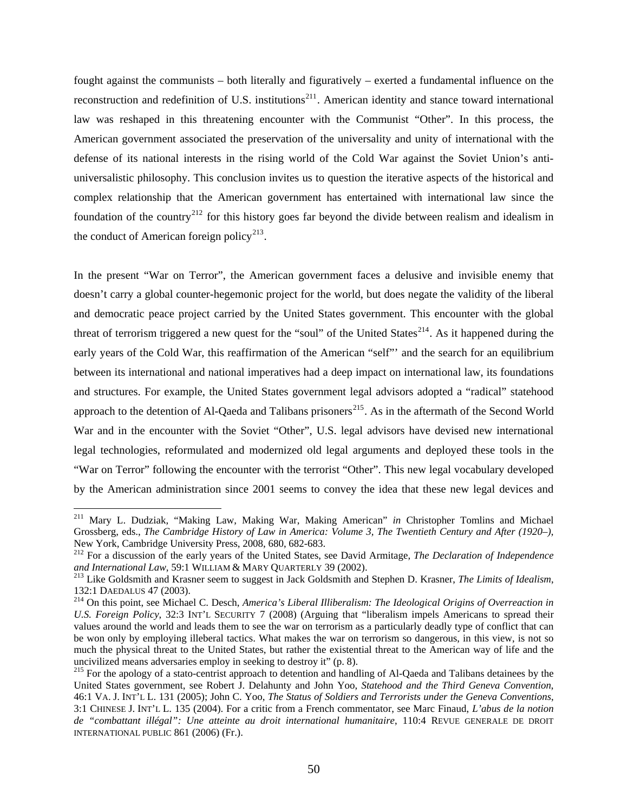fought against the communists – both literally and figuratively – exerted a fundamental influence on the reconstruction and redefinition of U.S. institutions<sup>[211](#page-52-0)</sup>. American identity and stance toward international law was reshaped in this threatening encounter with the Communist "Other". In this process, the American government associated the preservation of the universality and unity of international with the defense of its national interests in the rising world of the Cold War against the Soviet Union's antiuniversalistic philosophy. This conclusion invites us to question the iterative aspects of the historical and complex relationship that the American government has entertained with international law since the foundation of the country<sup>[212](#page-52-1)</sup> for this history goes far beyond the divide between realism and idealism in the conduct of American foreign policy<sup>[213](#page-52-2)</sup>.

In the present "War on Terror", the American government faces a delusive and invisible enemy that doesn't carry a global counter-hegemonic project for the world, but does negate the validity of the liberal and democratic peace project carried by the United States government. This encounter with the global threat of terrorism triggered a new quest for the "soul" of the United States<sup>[214](#page-52-3)</sup>. As it happened during the early years of the Cold War, this reaffirmation of the American "self"' and the search for an equilibrium between its international and national imperatives had a deep impact on international law, its foundations and structures. For example, the United States government legal advisors adopted a "radical" statehood approach to the detention of Al-Qaeda and Talibans prisoners<sup>[215](#page-52-4)</sup>. As in the aftermath of the Second World War and in the encounter with the Soviet "Other", U.S. legal advisors have devised new international legal technologies, reformulated and modernized old legal arguments and deployed these tools in the "War on Terror" following the encounter with the terrorist "Other". This new legal vocabulary developed by the American administration since 2001 seems to convey the idea that these new legal devices and

<span id="page-52-0"></span><sup>211</sup> Mary L. Dudziak, "Making Law, Making War, Making American" *in* Christopher Tomlins and Michael Grossberg, eds., *The Cambridge History of Law in America: Volume 3, The Twentieth Century and After (1920–)*, New York, Cambridge University Press, 2008, 680, 682-683.

<span id="page-52-1"></span><sup>212</sup> For a discussion of the early years of the United States, see David Armitage, *The Declaration of Independence* and International Law, 59:1 WILLIAM & MARY QUARTERLY 39 (2002).

<span id="page-52-2"></span><sup>&</sup>lt;sup>213</sup> Like Goldsmith and Krasner seem to suggest in Jack Goldsmith and Stephen D. Krasner, *The Limits of Idealism*, 132:1 DAEDALUS 47 (2003). 214 On this point, see Michael C. Desch, *America's Liberal Illiberalism: The Ideological Origins of Overreaction in* 

<span id="page-52-3"></span>*U.S. Foreign Policy*, 32:3 INT'L SECURITY 7 (2008) (Arguing that "liberalism impels Americans to spread their values around the world and leads them to see the war on terrorism as a particularly deadly type of conflict that can be won only by employing illeberal tactics. What makes the war on terrorism so dangerous, in this view, is not so much the physical threat to the United States, but rather the existential threat to the American way of life and the uncivilized means adversaries employ in seeking to destroy it" (p. 8).

<span id="page-52-4"></span><sup>&</sup>lt;sup>215</sup> For the apology of a stato-centrist approach to detention and handling of Al-Qaeda and Talibans detainees by the United States government, see Robert J. Delahunty and John Yoo, *Statehood and the Third Geneva Convention*, 46:1 VA. J. INT'L L. 131 (2005); John C. Yoo, *The Status of Soldiers and Terrorists under the Geneva Conventions*, 3:1 CHINESE J. INT'L L. 135 (2004). For a critic from a French commentator, see Marc Finaud, *L'abus de la notion de "combattant illégal": Une atteinte au droit international humanitaire*, 110:4 REVUE GENERALE DE DROIT INTERNATIONAL PUBLIC 861 (2006) (Fr.).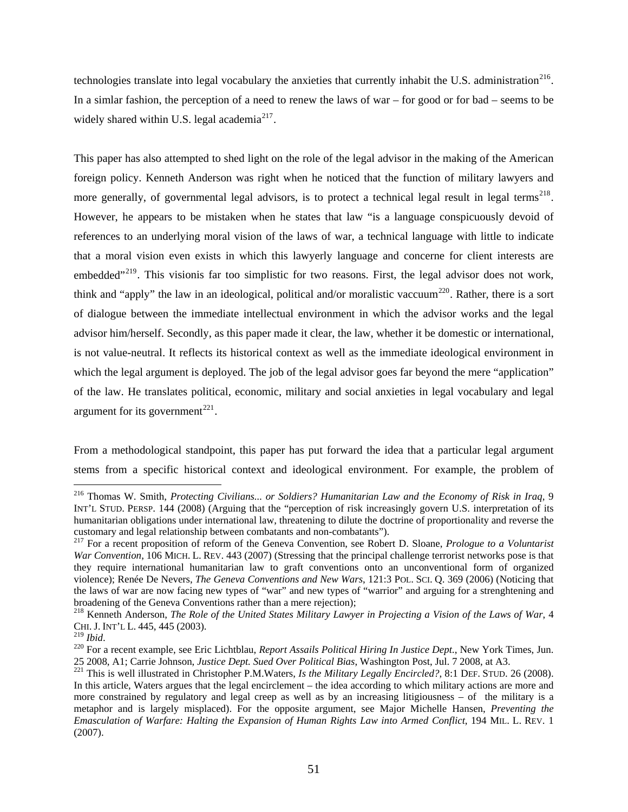technologies translate into legal vocabulary the anxieties that currently inhabit the U.S. administration<sup>[216](#page-53-0)</sup>. In a simlar fashion, the perception of a need to renew the laws of war – for good or for bad – seems to be widely shared within U.S. legal academia<sup>[217](#page-53-1)</sup>.

This paper has also attempted to shed light on the role of the legal advisor in the making of the American foreign policy. Kenneth Anderson was right when he noticed that the function of military lawyers and more generally, of governmental legal advisors, is to protect a technical legal result in legal terms<sup>[218](#page-53-2)</sup>. However, he appears to be mistaken when he states that law "is a language conspicuously devoid of references to an underlying moral vision of the laws of war, a technical language with little to indicate that a moral vision even exists in which this lawyerly language and concerne for client interests are embedded"<sup>[219](#page-53-3)</sup>. This visionis far too simplistic for two reasons. First, the legal advisor does not work, think and "apply" the law in an ideological, political and/or moralistic vaccuum<sup>[220](#page-53-4)</sup>. Rather, there is a sort of dialogue between the immediate intellectual environment in which the advisor works and the legal advisor him/herself. Secondly, as this paper made it clear, the law, whether it be domestic or international, is not value-neutral. It reflects its historical context as well as the immediate ideological environment in which the legal argument is deployed. The job of the legal advisor goes far beyond the mere "application" of the law. He translates political, economic, military and social anxieties in legal vocabulary and legal argument for its government<sup>[221](#page-53-5)</sup>.

From a methodological standpoint, this paper has put forward the idea that a particular legal argument stems from a specific historical context and ideological environment. For example, the problem of

<span id="page-53-0"></span><sup>216</sup> Thomas W. Smith, *Protecting Civilians... or Soldiers? Humanitarian Law and the Economy of Risk in Iraq*, 9 INT'L STUD. PERSP. 144 (2008) (Arguing that the "perception of risk increasingly govern U.S. interpretation of its humanitarian obligations under international law, threatening to dilute the doctrine of proportionality and reverse the

<span id="page-53-1"></span>customary and legal relationship between combatants and non-combatants"). 217 For a recent proposition of reform of the Geneva Convention, see Robert D. Sloane, *Prologue to a Voluntarist War Convention*, 106 MICH. L. REV. 443 (2007) (Stressing that the principal challenge terrorist networks pose is that they require international humanitarian law to graft conventions onto an unconventional form of organized violence); Renée De Nevers, *The Geneva Conventions and New Wars*, 121:3 POL. SCI. Q. 369 (2006) (Noticing that the laws of war are now facing new types of "war" and new types of "warrior" and arguing for a strenghtening and broadening of the Geneva Conventions rather than a mere rejection);

<span id="page-53-2"></span><sup>218</sup> Kenneth Anderson, *The Role of the United States Military Lawyer in Projecting a Vision of the Laws of War*, 4 CHI. J. INT'L L. 445, 445 (2003).<br><sup>219</sup> Ibid.

<span id="page-53-4"></span><span id="page-53-3"></span><sup>&</sup>lt;sup>220</sup> For a recent example, see Eric Lichtblau, *Report Assails Political Hiring In Justice Dept.*, New York Times, Jun. 25 2008, A1; Carrie Johnson, Justice Dept. Sued Over Political Bias, Washington Post, Jul. 7 2008, at A3.<br><sup>221</sup> This is well illustrated in Christopher P.M.Waters, Is the Military Legally Encircled?, 8:1 DEF. STUD. 26 (200

<span id="page-53-5"></span>In this article, Waters argues that the legal encirclement – the idea according to which military actions are more and more constrained by regulatory and legal creep as well as by an increasing litigiousness – of the military is a metaphor and is largely misplaced). For the opposite argument, see Major Michelle Hansen, *Preventing the Emasculation of Warfare: Halting the Expansion of Human Rights Law into Armed Conflict*, 194 MIL. L. REV. 1 (2007).